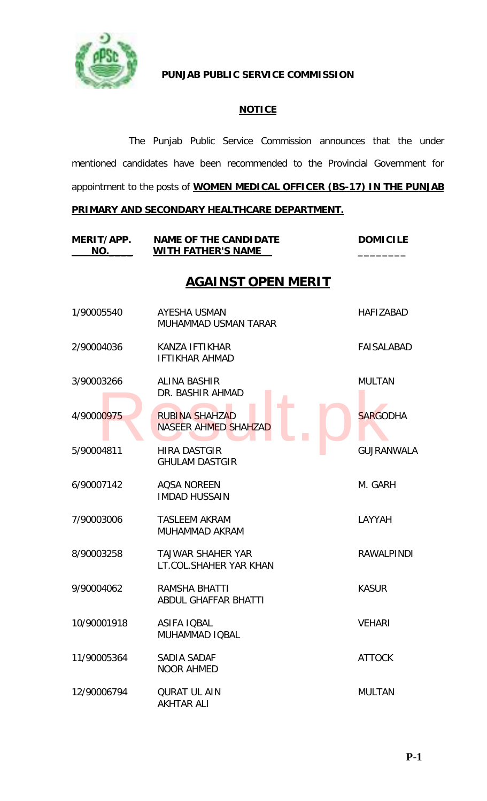

# **PUNJAB PUBLIC SERVICE COMMISSION**

# **NOTICE**

The Punjab Public Service Commission announces that the under mentioned candidates have been recommended to the Provincial Government for appointment to the posts of **WOMEN MEDICAL OFFICER (BS-17) IN THE PUNJAB** 

# **PRIMARY AND SECONDARY HEALTHCARE DEPARTMENT.**

| MERIT/APP.<br>NO. | <b>NAME OF THE CANDIDATE</b><br><b>WITH FATHER'S NAME</b> | <b>DOMICILE</b>   |
|-------------------|-----------------------------------------------------------|-------------------|
|                   | <b>AGAINST OPEN MERIT</b>                                 |                   |
| 1/90005540        | AYESHA USMAN<br>MUHAMMAD USMAN TARAR                      | <b>HAFIZABAD</b>  |
| 2/90004036        | KANZA IFTIKHAR<br><b>IFTIKHAR AHMAD</b>                   | <b>FAISALABAD</b> |
| 3/90003266        | ALINA BASHIR<br>DR. BASHIR AHMAD                          | <b>MULTAN</b>     |
| 4/90000975        | <b>RUBINA SHAHZAD</b><br>NASEER AHMED SHAHZAD             | <b>SARGODHA</b>   |
| 5/90004811        | <b>HIRA DASTGIR</b><br><b>GHULAM DASTGIR</b>              | <b>GUJRANWALA</b> |
| 6/90007142        | <b>AQSA NOREEN</b><br><b>IMDAD HUSSAIN</b>                | M. GARH           |
| 7/90003006        | <b>TASLEEM AKRAM</b><br>MUHAMMAD AKRAM                    | LAYYAH            |
| 8/90003258        | <b>TAJWAR SHAHER YAR</b><br>LT.COL.SHAHER YAR KHAN        | <b>RAWALPINDI</b> |
| 9/90004062        | RAMSHA BHATTI<br>ABDUL GHAFFAR BHATTI                     | <b>KASUR</b>      |
| 10/90001918       | ASIFA IQBAL<br>MUHAMMAD IQBAL                             | <b>VEHARI</b>     |
| 11/90005364       | SADIA SADAF<br><b>NOOR AHMED</b>                          | <b>ATTOCK</b>     |
| 12/90006794       | <b>QURAT UL AIN</b><br><b>AKHTAR ALI</b>                  | <b>MULTAN</b>     |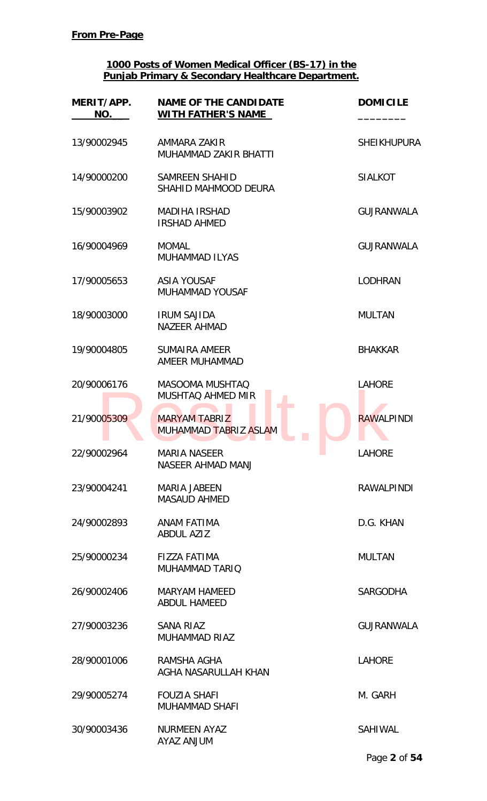| MERIT/APP.<br>NO. | <b>NAME OF THE CANDIDATE</b><br><b>WITH FATHER'S NAME</b> | <b>DOMICILE</b>    |
|-------------------|-----------------------------------------------------------|--------------------|
| 13/90002945       | AMMARA ZAKIR<br><b>MUHAMMAD ZAKIR BHATTI</b>              | <b>SHEIKHUPURA</b> |
| 14/90000200       | <b>SAMREEN SHAHID</b><br>SHAHID MAHMOOD DEURA             | <b>SIALKOT</b>     |
| 15/90003902       | <b>MADIHA IRSHAD</b><br><b>IRSHAD AHMED</b>               | <b>GUJRANWALA</b>  |
| 16/90004969       | <b>MOMAL</b><br><b>MUHAMMAD ILYAS</b>                     | <b>GUJRANWALA</b>  |
| 17/90005653       | <b>ASIA YOUSAF</b><br><b>MUHAMMAD YOUSAF</b>              | <b>LODHRAN</b>     |
| 18/90003000       | <b>IRUM SAJIDA</b><br><b>NAZEER AHMAD</b>                 | <b>MULTAN</b>      |
| 19/90004805       | <b>SUMAIRA AMEER</b><br>AMEER MUHAMMAD                    | <b>BHAKKAR</b>     |
| 20/90006176       | <b>MASOOMA MUSHTAQ</b><br>MUSHTAQ AHMED MIR               | <b>LAHORE</b>      |
| 21/90005309       | <b>MARYAM TABRIZ</b><br>MUHAMMAD TABRIZ ASLAM             | <b>RAWALPINDI</b>  |
| 22/90002964       | <b>MARIA NASEER</b><br>NASEER AHMAD MANJ                  | <b>LAHORE</b>      |
| 23/90004241       | <b>MARIA JABEEN</b><br><b>MASAUD AHMED</b>                | <b>RAWALPINDI</b>  |
| 24/90002893       | ANAM FATIMA<br><b>ABDUL AZIZ</b>                          | D.G. KHAN          |
| 25/90000234       | <b>FIZZA FATIMA</b><br><b>MUHAMMAD TARIQ</b>              | <b>MULTAN</b>      |
| 26/90002406       | <b>MARYAM HAMEED</b><br><b>ABDUL HAMEED</b>               | <b>SARGODHA</b>    |
| 27/90003236       | SANA RIAZ<br><b>MUHAMMAD RIAZ</b>                         | <b>GUJRANWALA</b>  |
| 28/90001006       | RAMSHA AGHA<br>AGHA NASARULLAH KHAN                       | <b>LAHORE</b>      |
| 29/90005274       | <b>FOUZIA SHAFI</b><br><b>MUHAMMAD SHAFI</b>              | M. GARH            |
| 30/90003436       | <b>NURMEEN AYAZ</b><br><b>MULIAN SAYA</b>                 | <b>SAHIWAL</b>     |
|                   |                                                           | Page 2 of 54       |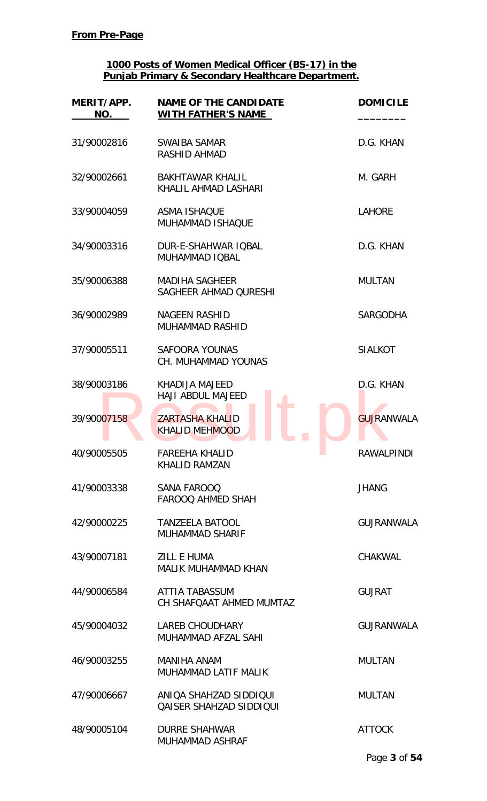| MERIT/APP.<br>NO. | <b>NAME OF THE CANDIDATE</b><br><b>WITH FATHER'S NAME</b> | <b>DOMICILE</b>   |
|-------------------|-----------------------------------------------------------|-------------------|
| 31/90002816       | SWAIBA SAMAR<br><b>RASHID AHMAD</b>                       | D.G. KHAN         |
| 32/90002661       | <b>BAKHTAWAR KHALIL</b><br>KHALIL AHMAD LASHARI           | M. GARH           |
| 33/90004059       | <b>ASMA ISHAQUE</b><br>MUHAMMAD ISHAQUE                   | <b>LAHORE</b>     |
| 34/90003316       | DUR-E-SHAHWAR IOBAL<br>MUHAMMAD IOBAL                     | D.G. KHAN         |
| 35/90006388       | <b>MADIHA SAGHEER</b><br>SAGHEER AHMAD QURESHI            | <b>MULTAN</b>     |
| 36/90002989       | <b>NAGEEN RASHID</b><br><b>MUHAMMAD RASHID</b>            | <b>SARGODHA</b>   |
| 37/90005511       | <b>SAFOORA YOUNAS</b><br>CH. MUHAMMAD YOUNAS              | <b>SIALKOT</b>    |
| 38/90003186       | KHADIJA MAJEED<br><b>HAJI ABDUL MAJEED</b>                | D.G. KHAN         |
| 39/90007158       | <b>ZARTASHA KHALID</b><br><b>KHALID MEHMOOD</b>           | <b>GUJRANWALA</b> |
| 40/90005505       | <b>FAREEHA KHALID</b><br>KHALID RAMZAN                    | <b>RAWALPINDI</b> |
| 41/90003338       | SANA FAROOQ<br><b>FAROOQ AHMED SHAH</b>                   | <b>JHANG</b>      |
| 42/90000225       | <b>TANZEELA BATOOL</b><br><b>MUHAMMAD SHARIF</b>          | <b>GUJRANWALA</b> |
| 43/90007181       | <b>ZILL E HUMA</b><br><b>MALIK MUHAMMAD KHAN</b>          | <b>CHAKWAL</b>    |
| 44/90006584       | ATTIA TABASSUM<br>CH SHAFQAAT AHMED MUMTAZ                | <b>GUJRAT</b>     |
| 45/90004032       | <b>LAREB CHOUDHARY</b><br>MUHAMMAD AFZAL SAHI             | <b>GUJRANWALA</b> |
| 46/90003255       | <b>MANIHA ANAM</b><br><b>MUHAMMAD LATIF MALIK</b>         | <b>MULTAN</b>     |
| 47/90006667       | ANIOA SHAHZAD SIDDIQUI<br><b>QAISER SHAHZAD SIDDIQUI</b>  | <b>MULTAN</b>     |
| 48/90005104       | <b>DURRE SHAHWAR</b><br><b>MUHAMMAD ASHRAF</b>            | <b>ATTOCK</b>     |
|                   |                                                           | Page 3 of 54      |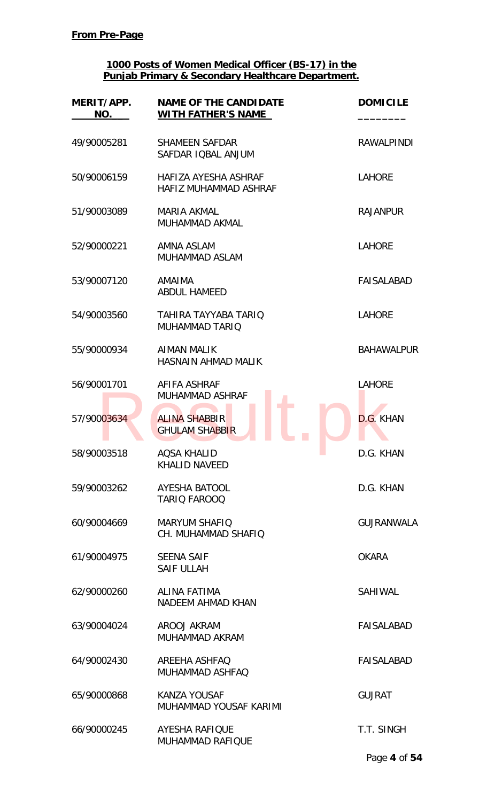| MERIT/APP.<br>NO. | <b>NAME OF THE CANDIDATE</b><br><b>WITH FATHER'S NAME</b> | <b>DOMICILE</b>   |
|-------------------|-----------------------------------------------------------|-------------------|
| 49/90005281       | <b>SHAMEEN SAFDAR</b><br>SAFDAR IQBAL ANJUM               | <b>RAWALPINDI</b> |
| 50/90006159       | HAFIZA AYESHA ASHRAF<br><b>HAFIZ MUHAMMAD ASHRAF</b>      | <b>LAHORE</b>     |
| 51/90003089       | MARIA AKMAL<br><b>MUHAMMAD AKMAL</b>                      | <b>RAJANPUR</b>   |
| 52/90000221       | AMNA ASLAM<br>MUHAMMAD ASLAM                              | <b>LAHORE</b>     |
| 53/90007120       | AMAIMA<br><b>ABDUL HAMEED</b>                             | FAISALABAD        |
| 54/90003560       | TAHIRA TAYYABA TARIQ<br><b>MUHAMMAD TARIQ</b>             | <b>LAHORE</b>     |
| 55/90000934       | <b>AIMAN MALIK</b><br><b>HASNAIN AHMAD MALIK</b>          | <b>BAHAWALPUR</b> |
| 56/90001701       | AFIFA ASHRAF<br><b>MUHAMMAD ASHRAF</b>                    | <b>LAHORE</b>     |
| 57/90003634       | <b>ALINA SHABBIR</b><br><b>GHULAM SHABBIR</b>             | D.G. KHAN         |
| 58/90003518       | <b>AQSA KHALID</b><br><b>KHALID NAVEED</b>                | D.G. KHAN         |
| 59/90003262       | AYESHA BATOOL<br><b>TARIO FAROOQ</b>                      | D.G. KHAN         |
| 60/90004669       | <b>MARYUM SHAFIQ</b><br>CH. MUHAMMAD SHAFIQ               | <b>GUJRANWALA</b> |
| 61/90004975       | <b>SEENA SAIF</b><br><b>SAIF ULLAH</b>                    | <b>OKARA</b>      |
| 62/90000260       | ALINA FATIMA<br>NADEEM AHMAD KHAN                         | SAHIWAL           |
| 63/90004024       | AROOJ AKRAM<br>MUHAMMAD AKRAM                             | <b>FAISALABAD</b> |
| 64/90002430       | AREEHA ASHFAQ<br>MUHAMMAD ASHFAQ                          | FAISALABAD        |
| 65/90000868       | <b>KANZA YOUSAF</b><br>MUHAMMAD YOUSAF KARIMI             | <b>GUJRAT</b>     |
| 66/90000245       | <b>AYESHA RAFIQUE</b><br><b>MUHAMMAD RAFIQUE</b>          | T.T. SINGH        |
|                   |                                                           | Page 4 of 54      |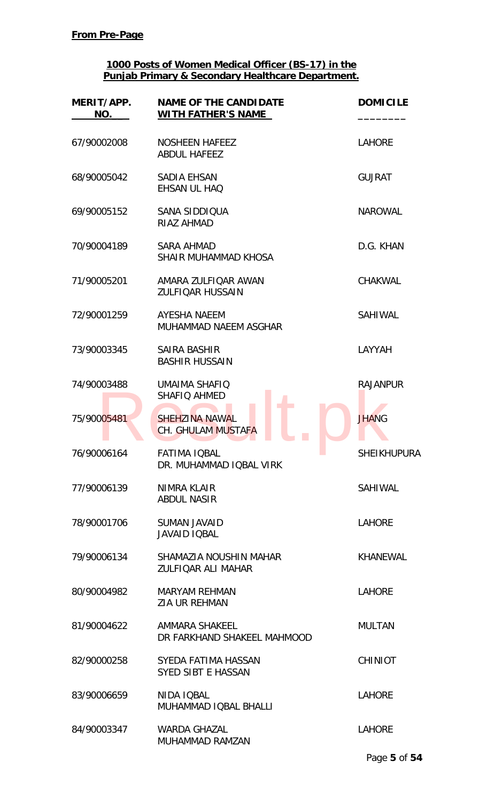| MERIT/APP.<br>NO. | <b>NAME OF THE CANDIDATE</b><br><b>WITH FATHER'S NAME</b> | <b>DOMICILE</b>    |
|-------------------|-----------------------------------------------------------|--------------------|
| 67/90002008       | NOSHEEN HAFEEZ<br><b>ABDUL HAFEEZ</b>                     | <b>LAHORE</b>      |
| 68/90005042       | <b>SADIA EHSAN</b><br>EHSAN UL HAQ                        | <b>GUJRAT</b>      |
| 69/90005152       | SANA SIDDIQUA<br>RIAZ AHMAD                               | <b>NAROWAL</b>     |
| 70/90004189       | <b>SARA AHMAD</b><br>SHAIR MUHAMMAD KHOSA                 | D.G. KHAN          |
| 71/90005201       | AMARA ZULFIQAR AWAN<br><b>ZULFIQAR HUSSAIN</b>            | <b>CHAKWAL</b>     |
| 72/90001259       | AYESHA NAEEM<br>MUHAMMAD NAEEM ASGHAR                     | <b>SAHIWAL</b>     |
| 73/90003345       | <b>SAIRA BASHIR</b><br><b>BASHIR HUSSAIN</b>              | LAYYAH             |
| 74/90003488       | <b>UMAIMA SHAFIQ</b><br><b>SHAFIQ AHMED</b>               | <b>RAJANPUR</b>    |
| 75/90005481       | <b>SHEHZINA NAWAL</b><br><b>CH. GHULAM MUSTAFA</b>        | <b>JHANG</b>       |
| 76/90006164       | <b>FATIMA IQBAL</b><br>DR. MUHAMMAD IQBAL VIRK            | <b>SHEIKHUPURA</b> |
| 77/90006139       | NIMRA KLAIR<br><b>ABDUL NASIR</b>                         | SAHIWAL            |
| 78/90001706       | <b>SUMAN JAVAID</b><br><b>JAVAID IQBAL</b>                | <b>LAHORE</b>      |
| 79/90006134       | SHAMAZIA NOUSHIN MAHAR<br><b>ZULFIQAR ALI MAHAR</b>       | <b>KHANEWAL</b>    |
| 80/90004982       | <b>MARYAM REHMAN</b><br><b>ZIA UR REHMAN</b>              | <b>LAHORE</b>      |
| 81/90004622       | AMMARA SHAKEEL<br>DR FARKHAND SHAKEEL MAHMOOD             | <b>MULTAN</b>      |
| 82/90000258       | SYEDA FATIMA HASSAN<br><b>SYED SIBT E HASSAN</b>          | <b>CHINIOT</b>     |
| 83/90006659       | NIDA IQBAL<br>MUHAMMAD IQBAL BHALLI                       | <b>LAHORE</b>      |
| 84/90003347       | <b>WARDA GHAZAL</b><br>MUHAMMAD RAMZAN                    | <b>LAHORE</b>      |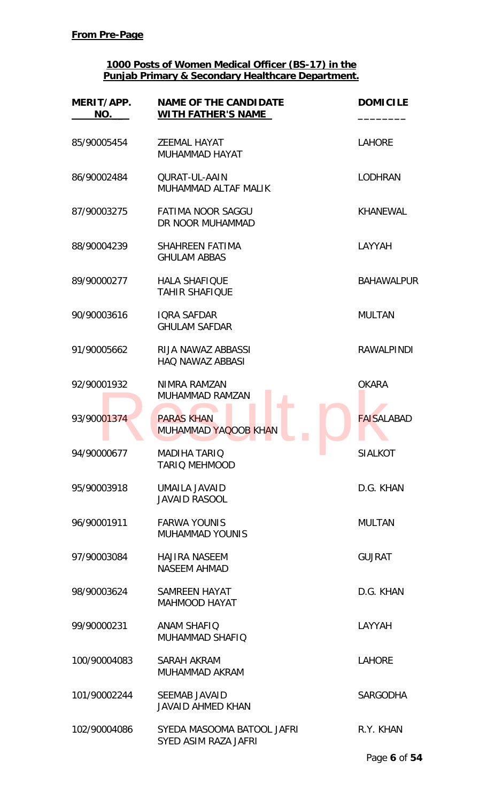| MERIT/APP.<br>NO. | <b>NAME OF THE CANDIDATE</b><br><b>WITH FATHER'S NAME</b> | <b>DOMICILE</b>   |
|-------------------|-----------------------------------------------------------|-------------------|
| 85/90005454       | <b>ZEEMAL HAYAT</b><br>MUHAMMAD HAYAT                     | <b>LAHORE</b>     |
| 86/90002484       | <b>QURAT-UL-AAIN</b><br>MUHAMMAD ALTAF MALIK              | <b>LODHRAN</b>    |
| 87/90003275       | <b>FATIMA NOOR SAGGU</b><br>DR NOOR MUHAMMAD              | <b>KHANEWAL</b>   |
| 88/90004239       | <b>SHAHREEN FATIMA</b><br><b>GHULAM ABBAS</b>             | LAYYAH            |
| 89/90000277       | <b>HALA SHAFIQUE</b><br><b>TAHIR SHAFIQUE</b>             | <b>BAHAWALPUR</b> |
| 90/90003616       | <b>IORA SAFDAR</b><br><b>GHULAM SAFDAR</b>                | <b>MULTAN</b>     |
| 91/90005662       | RIJA NAWAZ ABBASSI<br><b>HAQ NAWAZ ABBASI</b>             | <b>RAWALPINDI</b> |
| 92/90001932       | NIMRA RAMZAN<br><b>MUHAMMAD RAMZAN</b>                    | <b>OKARA</b>      |
| 93/90001374       | <b>PARAS KHAN</b><br><b>MUHAMMAD YAQOOB KHAN</b>          | <b>FAISALABAD</b> |
| 94/90000677       | <b>MADIHA TARIQ</b><br><b>TARIO MEHMOOD</b>               | <b>SIALKOT</b>    |
| 95/90003918       | UMAILA JAVAID<br><b>JAVAID RASOOL</b>                     | D.G. KHAN         |
| 96/90001911       | <b>FARWA YOUNIS</b><br><b>MUHAMMAD YOUNIS</b>             | <b>MULTAN</b>     |
| 97/90003084       | <b>HAJIRA NASEEM</b><br><b>NASEEM AHMAD</b>               | <b>GUJRAT</b>     |
| 98/90003624       | <b>SAMREEN HAYAT</b><br><b>MAHMOOD HAYAT</b>              | D.G. KHAN         |
| 99/90000231       | <b>ANAM SHAFIQ</b><br>MUHAMMAD SHAFIQ                     | LAYYAH            |
| 100/90004083      | SARAH AKRAM<br>MUHAMMAD AKRAM                             | <b>LAHORE</b>     |
| 101/90002244      | <b>SEEMAB JAVAID</b><br><b>JAVAID AHMED KHAN</b>          | <b>SARGODHA</b>   |
| 102/90004086      | SYEDA MASOOMA BATOOL JAFRI<br>SYED ASIM RAZA JAFRI        | R.Y. KHAN         |
|                   |                                                           | Page 6 of 54      |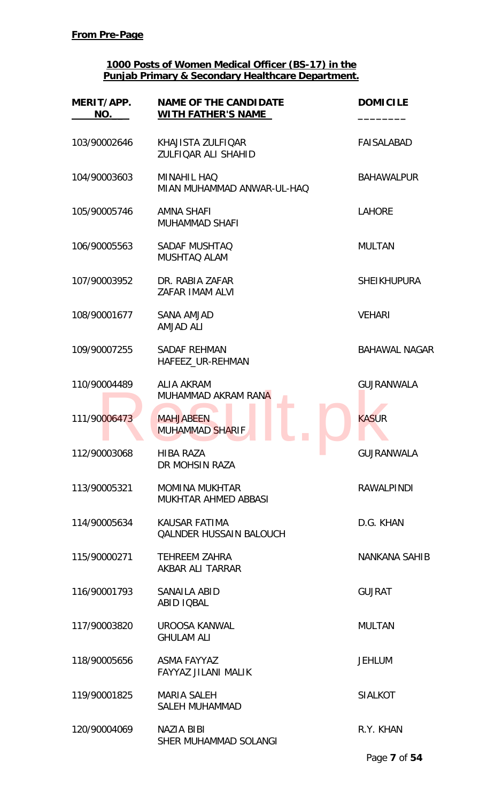| MERIT/APP.<br>NO. | <b>NAME OF THE CANDIDATE</b><br><b>WITH FATHER'S NAME</b> | <b>DOMICILE</b>      |
|-------------------|-----------------------------------------------------------|----------------------|
| 103/90002646      | KHAJISTA ZULFIQAR<br><b>ZULFIOAR ALI SHAHID</b>           | <b>FAISALABAD</b>    |
| 104/90003603      | <b>MINAHIL HAQ</b><br>MIAN MUHAMMAD ANWAR-UL-HAQ          | <b>BAHAWALPUR</b>    |
| 105/90005746      | <b>AMNA SHAFI</b><br>MUHAMMAD SHAFI                       | <b>LAHORE</b>        |
| 106/90005563      | <b>SADAF MUSHTAQ</b><br>MUSHTAQ ALAM                      | <b>MULTAN</b>        |
| 107/90003952      | DR. RABIA ZAFAR<br>ZAFAR IMAM ALVI                        | <b>SHEIKHUPURA</b>   |
| 108/90001677      | <b>SANA AMJAD</b><br><b>AMJAD ALI</b>                     | <b>VEHARI</b>        |
| 109/90007255      | <b>SADAF REHMAN</b><br>HAFEEZ_UR-REHMAN                   | <b>BAHAWAL NAGAR</b> |
| 110/90004489      | <b>ALIA AKRAM</b><br>MUHAMMAD AKRAM RANA                  | <b>GUJRANWALA</b>    |
| 111/90006473      | <b>MAHJABEEN</b><br><b>MUHAMMAD SHARIF</b>                | <b>KASUR</b>         |
| 112/90003068      | <b>HIBA RAZA</b><br>DR MOHSIN RAZA                        | <b>GUJRANWALA</b>    |
| 113/90005321      | <b>MOMINA MUKHTAR</b><br>MUKHTAR AHMED ABBASI             | <b>RAWALPINDI</b>    |
| 114/90005634      | KAUSAR FATIMA<br><b>QALNDER HUSSAIN BALOUCH</b>           | D.G. KHAN            |
| 115/90000271      | <b>TEHREEM ZAHRA</b><br>AKBAR ALI TARRAR                  | NANKANA SAHIB        |
| 116/90001793      | SANAILA ABID<br>ABID IQBAL                                | <b>GUJRAT</b>        |
| 117/90003820      | UROOSA KANWAL<br><b>GHULAM ALI</b>                        | <b>MULTAN</b>        |
| 118/90005656      | ASMA FAYYAZ<br>FAYYAZ JILANI MALIK                        | <b>JEHLUM</b>        |
| 119/90001825      | <b>MARIA SALEH</b><br>SALEH MUHAMMAD                      | <b>SIALKOT</b>       |
| 120/90004069      | <b>NAZIA BIBI</b><br>SHER MUHAMMAD SOLANGI                | R.Y. KHAN            |
|                   |                                                           | Page 7 of 54         |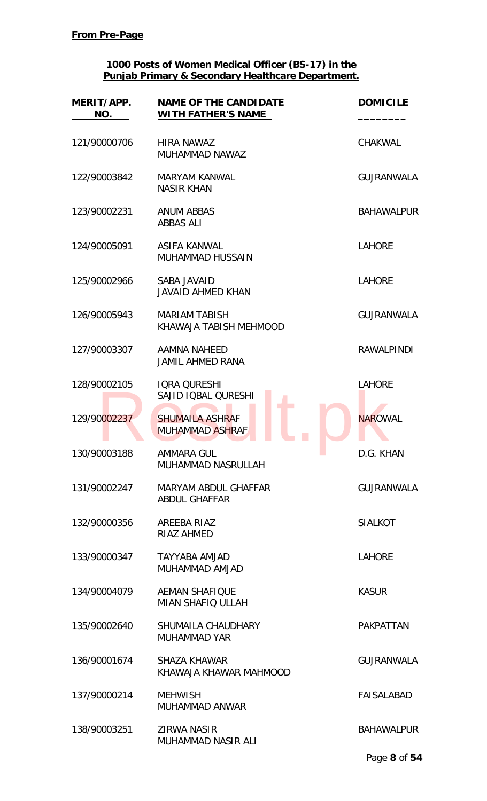| MERIT/APP.<br>NO. | <b>NAME OF THE CANDIDATE</b><br>WITH FATHER'S NAME  | <b>DOMICILE</b>   |
|-------------------|-----------------------------------------------------|-------------------|
| 121/90000706      | <b>HIRA NAWAZ</b><br>MUHAMMAD NAWAZ                 | <b>CHAKWAL</b>    |
| 122/90003842      | <b>MARYAM KANWAL</b><br><b>NASIR KHAN</b>           | <b>GUJRANWALA</b> |
| 123/90002231      | <b>ANUM ABBAS</b><br><b>ABBAS ALI</b>               | <b>BAHAWALPUR</b> |
| 124/90005091      | ASIFA KANWAL<br><b>MUHAMMAD HUSSAIN</b>             | <b>LAHORE</b>     |
| 125/90002966      | SABA JAVAID<br><b>JAVAID AHMED KHAN</b>             | <b>LAHORE</b>     |
| 126/90005943      | <b>MARIAM TABISH</b><br>KHAWAJA TABISH MEHMOOD      | <b>GUJRANWALA</b> |
| 127/90003307      | AAMNA NAHEED<br><b>JAMIL AHMED RANA</b>             | <b>RAWALPINDI</b> |
| 128/90002105      | <b>IQRA QURESHI</b><br>SAJID IQBAL QURESHI          | <b>LAHORE</b>     |
| 129/90002237      | <b>SHUMAILA ASHRAF</b><br><b>MUHAMMAD ASHRAF</b>    | <b>NAROWAL</b>    |
| 130/90003188      | <b>AMMARA GUL</b><br>MUHAMMAD NASRULLAH             | D.G. KHAN         |
| 131/90002247      | <b>MARYAM ABDUL GHAFFAR</b><br><b>ABDUL GHAFFAR</b> | <b>GUJRANWALA</b> |
| 132/90000356      | AREEBA RIAZ<br><b>RIAZ AHMED</b>                    | <b>SIALKOT</b>    |
| 133/90000347      | TAYYABA AMJAD<br>MUHAMMAD AMJAD                     | <b>LAHORE</b>     |
| 134/90004079      | <b>AEMAN SHAFIQUE</b><br><b>MIAN SHAFIQ ULLAH</b>   | <b>KASUR</b>      |
| 135/90002640      | SHUMAILA CHAUDHARY<br><b>MUHAMMAD YAR</b>           | <b>PAKPATTAN</b>  |
| 136/90001674      | <b>SHAZA KHAWAR</b><br>KHAWAJA KHAWAR MAHMOOD       | <b>GUJRANWALA</b> |
| 137/90000214      | <b>MEHWISH</b><br>MUHAMMAD ANWAR                    | <b>FAISALABAD</b> |
| 138/90003251      | <b>ZIRWA NASIR</b><br>MUHAMMAD NASIR ALI            | <b>BAHAWALPUR</b> |
|                   |                                                     | Page 8 of 54      |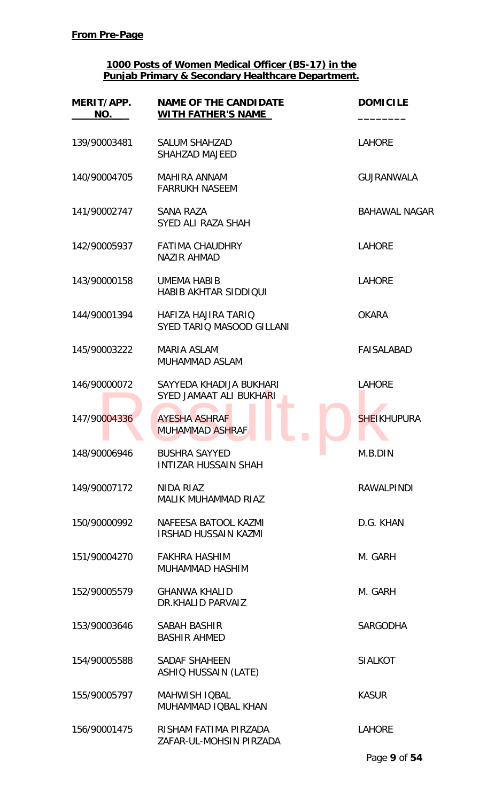| MERIT/APP.<br>NO. | <b>NAME OF THE CANDIDATE</b><br><b>WITH FATHER'S NAME</b> | <b>DOMICILE</b>      |
|-------------------|-----------------------------------------------------------|----------------------|
| 139/90003481      | <b>SALUM SHAHZAD</b><br>SHAHZAD MAJEED                    | <b>LAHORE</b>        |
| 140/90004705      | <b>MAHIRA ANNAM</b><br><b>FARRUKH NASEEM</b>              | <b>GUJRANWALA</b>    |
| 141/90002747      | <b>SANA RAZA</b><br>SYED ALI RAZA SHAH                    | <b>BAHAWAL NAGAR</b> |
| 142/90005937      | <b>FATIMA CHAUDHRY</b><br><b>NAZIR AHMAD</b>              | <b>LAHORE</b>        |
| 143/90000158      | <b>UMEMA HABIB</b><br><b>HABIB AKHTAR SIDDIQUI</b>        | <b>LAHORE</b>        |
| 144/90001394      | HAFIZA HAJIRA TARIO<br>SYED TARIQ MASOOD GILLANI          | <b>OKARA</b>         |
| 145/90003222      | <b>MARIA ASLAM</b><br><b>MUHAMMAD ASLAM</b>               | <b>FAISALABAD</b>    |
| 146/90000072      | SAYYEDA KHADIJA BUKHARI<br>SYED JAMAAT ALI BUKHARI        | <b>LAHORE</b>        |
| 147/90004336      | <b>AYESHA ASHRAF</b><br><b>MUHAMMAD ASHRAF</b>            | <b>SHEIKHUPURA</b>   |
| 148/90006946      | <b>BUSHRA SAYYED</b><br><b>INTIZAR HUSSAIN SHAH</b>       | M.B.DIN              |
| 149/90007172      | NIDA RIAZ<br><b>MALIK MUHAMMAD RIAZ</b>                   | <b>RAWALPINDI</b>    |
| 150/90000992      | NAFEESA BATOOL KAZMI<br><b>IRSHAD HUSSAIN KAZMI</b>       | D.G. KHAN            |
| 151/90004270      | <b>FAKHRA HASHIM</b><br>MUHAMMAD HASHIM                   | M. GARH              |
| 152/90005579      | <b>GHANWA KHALID</b><br>DR.KHALID PARVAIZ                 | M. GARH              |
| 153/90003646      | SABAH BASHIR<br><b>BASHIR AHMED</b>                       | <b>SARGODHA</b>      |
| 154/90005588      | <b>SADAF SHAHEEN</b><br><b>ASHIQ HUSSAIN (LATE)</b>       | <b>SIALKOT</b>       |
| 155/90005797      | <b>MAHWISH IQBAL</b><br>MUHAMMAD IQBAL KHAN               | <b>KASUR</b>         |
| 156/90001475      | RISHAM FATIMA PIRZADA<br>ZAFAR-UL-MOHSIN PIRZADA          | <b>LAHORE</b>        |
|                   |                                                           | Page 9 of 54         |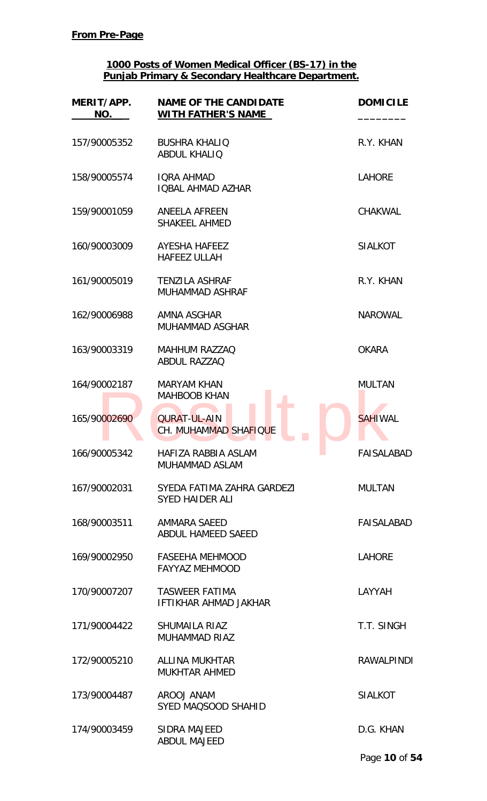| MERIT/APP.<br>NO. | <b>NAME OF THE CANDIDATE</b><br>WITH FATHER'S NAME    | <b>DOMICILE</b>   |
|-------------------|-------------------------------------------------------|-------------------|
| 157/90005352      | <b>BUSHRA KHALIQ</b><br><b>ABDUL KHALIQ</b>           | R.Y. KHAN         |
| 158/90005574      | <b>IORA AHMAD</b><br><b>IQBAL AHMAD AZHAR</b>         | <b>LAHORE</b>     |
| 159/90001059      | <b>ANEELA AFREEN</b><br><b>SHAKEEL AHMED</b>          | <b>CHAKWAL</b>    |
| 160/90003009      | <b>AYESHA HAFEEZ</b><br><b>HAFEEZ ULLAH</b>           | <b>SIALKOT</b>    |
| 161/90005019      | <b>TENZILA ASHRAF</b><br><b>MUHAMMAD ASHRAF</b>       | R.Y. KHAN         |
| 162/90006988      | AMNA ASGHAR<br>MUHAMMAD ASGHAR                        | <b>NAROWAL</b>    |
| 163/90003319      | <b>MAHHUM RAZZAQ</b><br>ABDUL RAZZAQ                  | <b>OKARA</b>      |
| 164/90002187      | <b>MARYAM KHAN</b><br><b>MAHBOOB KHAN</b>             | <b>MULTAN</b>     |
| 165/90002690      | <b>QURAT-UL-AIN</b><br>CH. MUHAMMAD SHAFIQUE          | <b>SAHIWAL</b>    |
| 166/90005342      | HAFIZA RABBIA ASLAM<br>MUHAMMAD ASLAM                 | <b>FAISALABAD</b> |
| 167/90002031      | SYEDA FATIMA ZAHRA GARDEZI<br><b>SYED HAIDER ALI</b>  | <b>MULTAN</b>     |
| 168/90003511      | AMMARA SAEED<br>ABDUL HAMEED SAEED                    | <b>FAISALABAD</b> |
| 169/90002950      | <b>FASEEHA MEHMOOD</b><br><b>FAYYAZ MEHMOOD</b>       | <b>LAHORE</b>     |
| 170/90007207      | <b>TASWEER FATIMA</b><br><b>IFTIKHAR AHMAD JAKHAR</b> | LAYYAH            |
| 171/90004422      | <b>SHUMAILA RIAZ</b><br><b>MUHAMMAD RIAZ</b>          | T.T. SINGH        |
| 172/90005210      | <b>ALLINA MUKHTAR</b><br><b>MUKHTAR AHMED</b>         | <b>RAWALPINDI</b> |
| 173/90004487      | AROOJ ANAM<br>SYED MAQSOOD SHAHID                     | <b>SIALKOT</b>    |
| 174/90003459      | SIDRA MAJEED<br><b>ABDUL MAJEED</b>                   | D.G. KHAN         |
|                   |                                                       | Page 10 of 54     |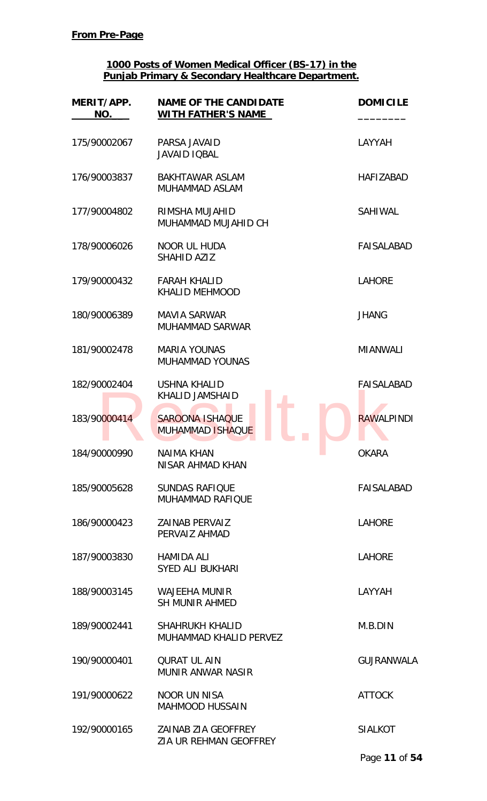| MERIT/APP.<br>NO. | <b>NAME OF THE CANDIDATE</b><br><b>WITH FATHER'S NAME</b> | <b>DOMICILE</b>   |
|-------------------|-----------------------------------------------------------|-------------------|
| 175/90002067      | PARSA JAVAID<br><b>JAVAID IQBAL</b>                       | LAYYAH            |
| 176/90003837      | <b>BAKHTAWAR ASLAM</b><br>MUHAMMAD ASLAM                  | <b>HAFIZABAD</b>  |
| 177/90004802      | RIMSHA MUJAHID<br>MUHAMMAD MUJAHID CH                     | <b>SAHIWAL</b>    |
| 178/90006026      | NOOR UL HUDA<br>SHAHID AZIZ                               | FAISALABAD        |
| 179/90000432      | <b>FARAH KHALID</b><br><b>KHALID MEHMOOD</b>              | <b>LAHORE</b>     |
| 180/90006389      | <b>MAVIA SARWAR</b><br><b>MUHAMMAD SARWAR</b>             | <b>JHANG</b>      |
| 181/90002478      | <b>MARIA YOUNAS</b><br><b>MUHAMMAD YOUNAS</b>             | <b>MIANWALI</b>   |
| 182/90002404      | <b>USHNA KHALID</b><br><b>KHALID JAMSHAID</b>             | <b>FAISALABAD</b> |
| 183/90000414      | <b>SAROONA ISHAQUE</b><br><b>MUHAMMAD ISHAQUE</b>         | <b>RAWALPINDI</b> |
| 184/90000990      | <b>NAIMA KHAN</b><br>NISAR AHMAD KHAN                     | <b>OKARA</b>      |
| 185/90005628      | <b>SUNDAS RAFIQUE</b><br><b>MUHAMMAD RAFIOUE</b>          | FAISALABAD        |
| 186/90000423      | ZAINAB PERVAIZ<br>PERVAIZ AHMAD                           | <b>LAHORE</b>     |
| 187/90003830      | <b>HAMIDA ALI</b><br><b>SYED ALI BUKHARI</b>              | <b>LAHORE</b>     |
| 188/90003145      | <b>WAJEEHA MUNIR</b><br><b>SH MUNIR AHMED</b>             | LAYYAH            |
| 189/90002441      | <b>SHAHRUKH KHALID</b><br>MUHAMMAD KHALID PERVEZ          | M.B.DIN           |
| 190/90000401      | <b>QURAT UL AIN</b><br><b>MUNIR ANWAR NASIR</b>           | <b>GUJRANWALA</b> |
| 191/90000622      | <b>NOOR UN NISA</b><br><b>MAHMOOD HUSSAIN</b>             | <b>ATTOCK</b>     |
| 192/90000165      | ZAINAB ZIA GEOFFREY<br><b>ZIA UR REHMAN GEOFFREY</b>      | <b>SIALKOT</b>    |
|                   |                                                           | Page 11 of 54     |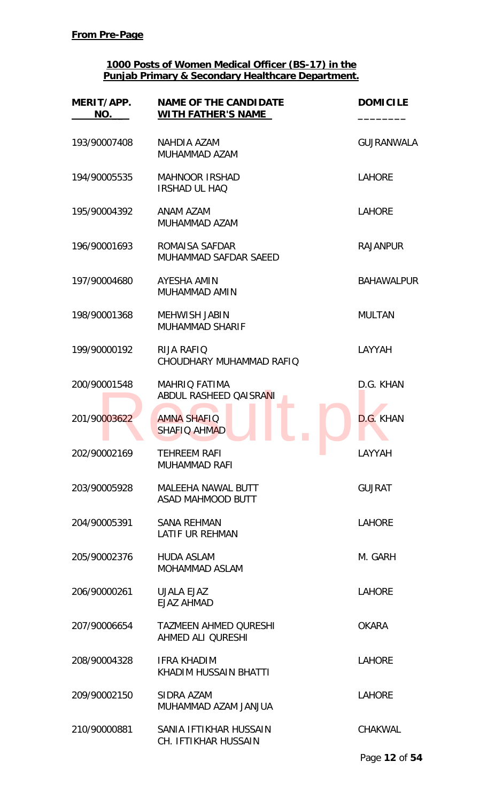| MERIT/APP.<br>NO. | <b>NAME OF THE CANDIDATE</b><br><b>WITH FATHER'S NAME</b> | <b>DOMICILE</b>   |
|-------------------|-----------------------------------------------------------|-------------------|
| 193/90007408      | NAHDIA AZAM<br>MUHAMMAD AZAM                              | <b>GUJRANWALA</b> |
| 194/90005535      | <b>MAHNOOR IRSHAD</b><br>IRSHAD UL HAQ                    | <b>LAHORE</b>     |
| 195/90004392      | ANAM AZAM<br>MUHAMMAD AZAM                                | <b>LAHORE</b>     |
| 196/90001693      | ROMAISA SAFDAR<br>MUHAMMAD SAFDAR SAEED                   | <b>RAJANPUR</b>   |
| 197/90004680      | AYESHA AMIN<br>MUHAMMAD AMIN                              | <b>BAHAWALPUR</b> |
| 198/90001368      | <b>MEHWISH JABIN</b><br><b>MUHAMMAD SHARIF</b>            | <b>MULTAN</b>     |
| 199/90000192      | <b>RIJA RAFIQ</b><br>CHOUDHARY MUHAMMAD RAFIQ             | LAYYAH            |
| 200/90001548      | <b>MAHRIQ FATIMA</b><br>ABDUL RASHEED QAISRANI            | D.G. KHAN         |
| 201/90003622      | <b>AMNA SHAFIQ</b><br><b>SHAFIQ AHMAD</b>                 | D.G. KHAN         |
| 202/90002169      | <b>TEHREEM RAFI</b><br><b>MUHAMMAD RAFI</b>               | LAYYAH            |
| 203/90005928      | <b>MALEEHA NAWAL BUTT</b><br>ASAD MAHMOOD BUTT            | <b>GUJRAT</b>     |
| 204/90005391      | <b>SANA REHMAN</b><br><b>LATIF UR REHMAN</b>              | <b>LAHORE</b>     |
| 205/90002376      | <b>HUDA ASLAM</b><br><b>MOHAMMAD ASLAM</b>                | M. GARH           |
| 206/90000261      | UJALA EJAZ<br>EJAZ AHMAD                                  | <b>LAHORE</b>     |
| 207/90006654      | <b>TAZMEEN AHMED QURESHI</b><br>AHMED ALI QURESHI         | <b>OKARA</b>      |
| 208/90004328      | <b>IFRA KHADIM</b><br>KHADIM HUSSAIN BHATTI               | <b>LAHORE</b>     |
| 209/90002150      | SIDRA AZAM<br>MUHAMMAD AZAM JANJUA                        | <b>LAHORE</b>     |
| 210/90000881      | SANIA IFTIKHAR HUSSAIN<br>CH. IFTIKHAR HUSSAIN            | <b>CHAKWAL</b>    |
|                   |                                                           | Page 12 of 54     |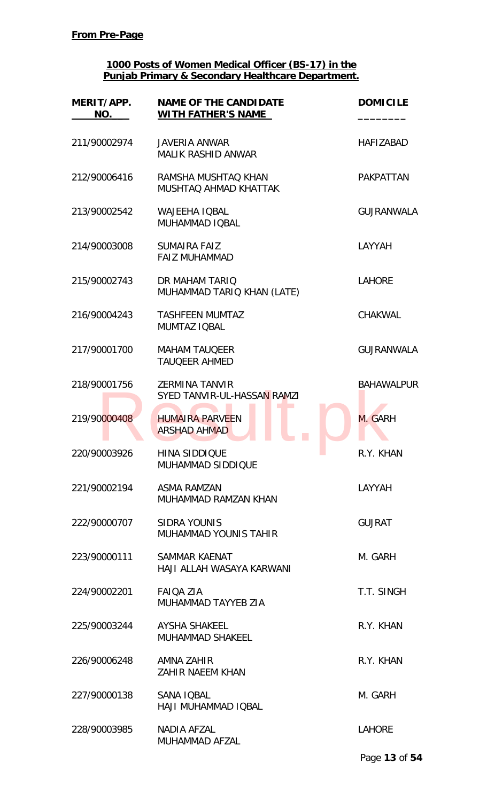| MERIT/APP.<br>NO. | <b>NAME OF THE CANDIDATE</b><br><b>WITH FATHER'S NAME</b> | <b>DOMICILE</b>   |
|-------------------|-----------------------------------------------------------|-------------------|
| 211/90002974      | <b>JAVERIA ANWAR</b><br><b>MALIK RASHID ANWAR</b>         | <b>HAFIZABAD</b>  |
| 212/90006416      | RAMSHA MUSHTAQ KHAN<br><b>MUSHTAQ AHMAD KHATTAK</b>       | <b>PAKPATTAN</b>  |
| 213/90002542      | <b>WAJEEHA IQBAL</b><br>MUHAMMAD IQBAL                    | <b>GUJRANWALA</b> |
| 214/90003008      | <b>SUMAIRA FAIZ</b><br><b>FAIZ MUHAMMAD</b>               | LAYYAH            |
| 215/90002743      | DR MAHAM TARIO<br>MUHAMMAD TARIQ KHAN (LATE)              | <b>LAHORE</b>     |
| 216/90004243      | <b>TASHFEEN MUMTAZ</b><br>MUMTAZ IQBAL                    | <b>CHAKWAL</b>    |
| 217/90001700      | <b>MAHAM TAUQEER</b><br><b>TAUQEER AHMED</b>              | <b>GUJRANWALA</b> |
| 218/90001756      | <b>ZERMINA TANVIR</b><br>SYED TANVIR-UL-HASSAN RAMZI      | <b>BAHAWALPUR</b> |
| 219/90000408      | <b>HUMAIRA PARVEEN</b><br><b>ARSHAD AHMAD</b>             | M. GARH           |
| 220/90003926      | <b>HINA SIDDIQUE</b><br>MUHAMMAD SIDDIQUE                 | R.Y. KHAN         |
| 221/90002194      | ASMA RAMZAN<br>MUHAMMAD RAMZAN KHAN                       | LAYYAH            |
| 222/90000707      | <b>SIDRA YOUNIS</b><br><b>MUHAMMAD YOUNIS TAHIR</b>       | <b>GUJRAT</b>     |
| 223/90000111      | SAMMAR KAENAT<br>HAJI ALLAH WASAYA KARWANI                | M. GARH           |
| 224/90002201      | <b>FAIQA ZIA</b><br>MUHAMMAD TAYYEB ZIA                   | T.T. SINGH        |
| 225/90003244      | AYSHA SHAKEEL<br><b>MUHAMMAD SHAKEEL</b>                  | R.Y. KHAN         |
| 226/90006248      | AMNA ZAHIR<br><b>ZAHIR NAEEM KHAN</b>                     | R.Y. KHAN         |
| 227/90000138      | SANA IQBAL<br>HAJI MUHAMMAD IQBAL                         | M. GARH           |
| 228/90003985      | <b>NADIA AFZAL</b><br>MUHAMMAD AFZAL                      | <b>LAHORE</b>     |
|                   |                                                           | Page 13 of 54     |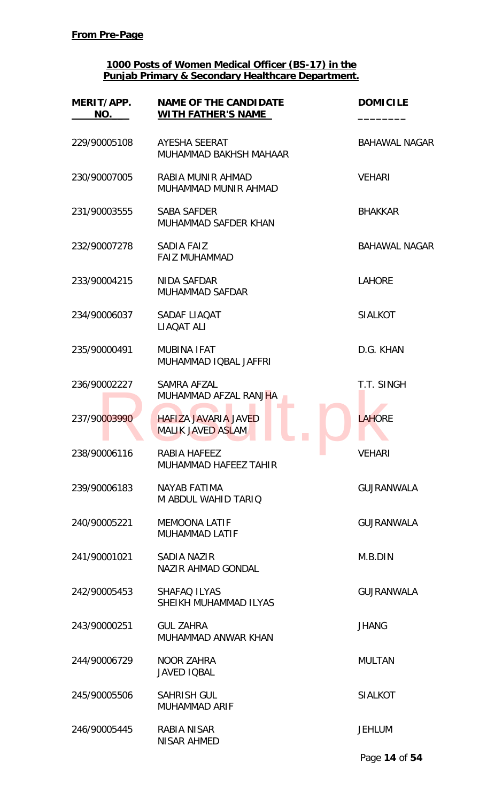| MERIT/APP.<br>NO. | <b>NAME OF THE CANDIDATE</b><br><b>WITH FATHER'S NAME</b> | <b>DOMICILE</b>      |
|-------------------|-----------------------------------------------------------|----------------------|
| 229/90005108      | <b>AYESHA SEERAT</b><br>MUHAMMAD BAKHSH MAHAAR            | <b>BAHAWAL NAGAR</b> |
| 230/90007005      | RABIA MUNIR AHMAD<br>MUHAMMAD MUNIR AHMAD                 | <b>VEHARI</b>        |
| 231/90003555      | <b>SABA SAFDER</b><br>MUHAMMAD SAFDER KHAN                | <b>BHAKKAR</b>       |
| 232/90007278      | SADIA FAIZ<br><b>FAIZ MUHAMMAD</b>                        | <b>BAHAWAL NAGAR</b> |
| 233/90004215      | NIDA SAFDAR<br>MUHAMMAD SAFDAR                            | <b>LAHORE</b>        |
| 234/90006037      | SADAF LIAQAT<br>LIAQAT ALI                                | <b>SIALKOT</b>       |
| 235/90000491      | <b>MUBINA IFAT</b><br>MUHAMMAD IQBAL JAFFRI               | D.G. KHAN            |
| 236/90002227      | SAMRA AFZAL<br>MUHAMMAD AFZAL RANJHA                      | T.T. SINGH           |
| 237/90003990      | <b>HAFIZA JAVARIA JAVED</b><br><b>MALIK JAVED ASLAM</b>   | <b>LAHORE</b>        |
| 238/90006116      | RABIA HAFEEZ<br>MUHAMMAD HAFEEZ TAHIR                     | <b>VEHARI</b>        |
| 239/90006183      | <b>NAYAB FATIMA</b><br>M ABDUL WAHID TARIO                | <b>GUJRANWALA</b>    |
| 240/90005221      | <b>MEMOONA LATIF</b><br><b>MUHAMMAD LATIF</b>             | <b>GUJRANWALA</b>    |
| 241/90001021      | SADIA NAZIR<br><b>NAZIR AHMAD GONDAL</b>                  | M.B.DIN              |
| 242/90005453      | <b>SHAFAQ ILYAS</b><br>SHEIKH MUHAMMAD ILYAS              | <b>GUJRANWALA</b>    |
| 243/90000251      | <b>GUL ZAHRA</b><br>MUHAMMAD ANWAR KHAN                   | <b>JHANG</b>         |
| 244/90006729      | <b>NOOR ZAHRA</b><br><b>JAVED IQBAL</b>                   | <b>MULTAN</b>        |
| 245/90005506      | <b>SAHRISH GUL</b><br><b>MUHAMMAD ARIF</b>                | <b>SIALKOT</b>       |
| 246/90005445      | RABIA NISAR<br>NISAR AHMED                                | <b>JEHLUM</b>        |
|                   |                                                           | Page 14 of 54        |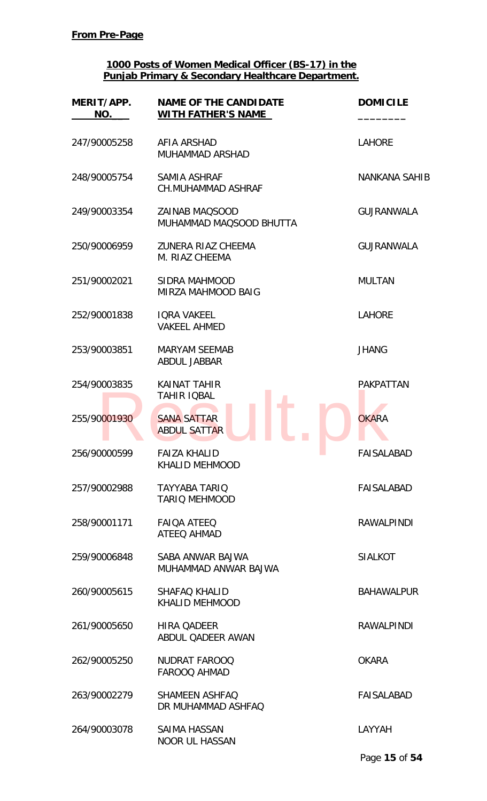| MERIT/APP.<br>NO. | <b>NAME OF THE CANDIDATE</b><br><b>WITH FATHER'S NAME</b>       | <b>DOMICILE</b>      |
|-------------------|-----------------------------------------------------------------|----------------------|
| 247/90005258      | AFIA ARSHAD<br><b>MUHAMMAD ARSHAD</b>                           | <b>LAHORE</b>        |
| 248/90005754      | SAMIA ASHRAF<br><b>CH.MUHAMMAD ASHRAF</b>                       | <b>NANKANA SAHIB</b> |
| 249/90003354      | <b>ZAINAB MAOSOOD</b><br>MUHAMMAD MAQSOOD BHUTTA                | <b>GUJRANWALA</b>    |
| 250/90006959      | <b>ZUNERA RIAZ CHEEMA</b><br>M. RIAZ CHEEMA                     | <b>GUJRANWALA</b>    |
| 251/90002021      | SIDRA MAHMOOD<br>MIRZA MAHMOOD BAIG                             | <b>MULTAN</b>        |
| 252/90001838      | <b>IQRA VAKEEL</b><br><b>VAKEEL AHMED</b>                       | <b>LAHORE</b>        |
| 253/90003851      | <b>MARYAM SEEMAB</b><br><b>ABDUL JABBAR</b>                     | <b>JHANG</b>         |
| 254/90003835      | <b>KAINAT TAHIR</b><br><b>TAHIR IQBAL</b>                       | <b>PAKPATTAN</b>     |
| 255/90001930      | <b>SANA SATTAR</b><br><b>ABDUL SATTAR</b>                       | <b>OKARA</b>         |
| 256/90000599      | <b>FAIZA KHALID</b><br><b>Contract</b><br><b>KHALID MEHMOOD</b> | <b>FAISALABAD</b>    |
| 257/90002988      | <b>TAYYABA TARIQ</b><br><b>TARIO MEHMOOD</b>                    | FAISALABAD           |
| 258/90001171      | <b>FAIOA ATEEO</b><br><b>ATEEQ AHMAD</b>                        | <b>RAWALPINDI</b>    |
| 259/90006848      | SABA ANWAR BAJWA<br>MUHAMMAD ANWAR BAJWA                        | <b>SIALKOT</b>       |
| 260/90005615      | <b>SHAFAQ KHALID</b><br><b>KHALID MEHMOOD</b>                   | <b>BAHAWALPUR</b>    |
| 261/90005650      | <b>HIRA QADEER</b><br>ABDUL QADEER AWAN                         | <b>RAWALPINDI</b>    |
| 262/90005250      | NUDRAT FAROOQ<br><b>FAROOQ AHMAD</b>                            | <b>OKARA</b>         |
| 263/90002279      | <b>SHAMEEN ASHFAQ</b><br>DR MUHAMMAD ASHFAQ                     | <b>FAISALABAD</b>    |
| 264/90003078      | SAIMA HASSAN<br><b>NOOR UL HASSAN</b>                           | LAYYAH               |
|                   |                                                                 | Page 15 of 54        |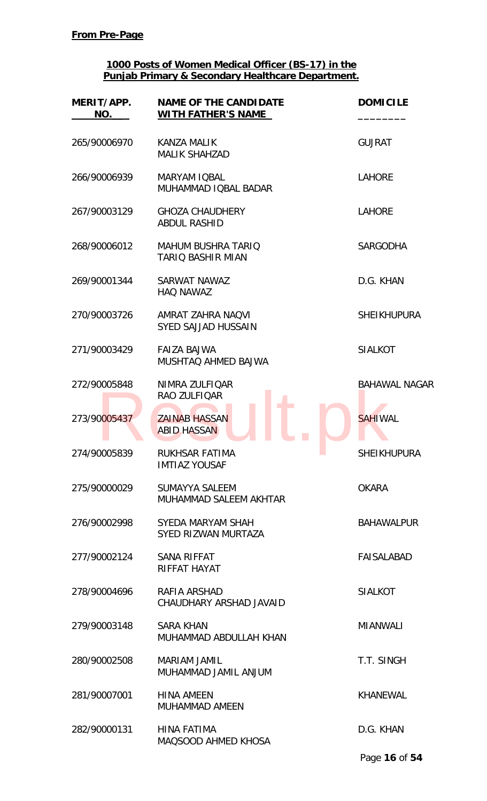| MERIT/APP.<br><b>NO.</b> | <b>NAME OF THE CANDIDATE</b><br><b>WITH FATHER'S NAME</b> | <b>DOMICILE</b>      |
|--------------------------|-----------------------------------------------------------|----------------------|
| 265/90006970             | <b>KANZA MALIK</b><br><b>MALIK SHAHZAD</b>                | <b>GUJRAT</b>        |
| 266/90006939             | <b>MARYAM IQBAL</b><br>MUHAMMAD IQBAL BADAR               | <b>LAHORE</b>        |
| 267/90003129             | <b>GHOZA CHAUDHERY</b><br><b>ABDUL RASHID</b>             | <b>LAHORE</b>        |
| 268/90006012             | <b>MAHUM BUSHRA TARIQ</b><br><b>TARIO BASHIR MIAN</b>     | <b>SARGODHA</b>      |
| 269/90001344             | SARWAT NAWAZ<br><b>HAQ NAWAZ</b>                          | D.G. KHAN            |
| 270/90003726             | AMRAT ZAHRA NAQVI<br><b>SYED SAJJAD HUSSAIN</b>           | <b>SHEIKHUPURA</b>   |
| 271/90003429             | <b>FAIZA BAJWA</b><br>MUSHTAQ AHMED BAJWA                 | <b>SIALKOT</b>       |
| 272/90005848             | NIMRA ZULFIQAR<br>RAO ZULFIQAR                            | <b>BAHAWAL NAGAR</b> |
| 273/90005437             | <b>ZAINAB HASSAN</b><br><b>ABID HASSAN</b>                | <b>SAHIWAL</b>       |
| 274/90005839             | RUKHSAR FATIMA<br><b>College</b><br><b>IMTIAZ YOUSAF</b>  | <b>SHEIKHUPURA</b>   |
| 275/90000029             | SUMAYYA SALEEM<br>MUHAMMAD SALEEM AKHTAR                  | <b>OKARA</b>         |
| 276/90002998             | SYEDA MARYAM SHAH<br>SYED RIZWAN MURTAZA                  | <b>BAHAWALPUR</b>    |
| 277/90002124             | SANA RIFFAT<br>RIFFAT HAYAT                               | <b>FAISALABAD</b>    |
| 278/90004696             | RAFIA ARSHAD<br>CHAUDHARY ARSHAD JAVAID                   | <b>SIALKOT</b>       |
| 279/90003148             | <b>SARA KHAN</b><br>MUHAMMAD ABDULLAH KHAN                | <b>MIANWALI</b>      |
| 280/90002508             | <b>MARIAM JAMIL</b><br>MUHAMMAD JAMIL ANJUM               | T.T. SINGH           |
| 281/90007001             | <b>HINA AMEEN</b><br><b>MUHAMMAD AMEEN</b>                | <b>KHANEWAL</b>      |
| 282/90000131             | <b>HINA FATIMA</b><br>MAQSOOD AHMED KHOSA                 | D.G. KHAN            |

Page **16** of **54**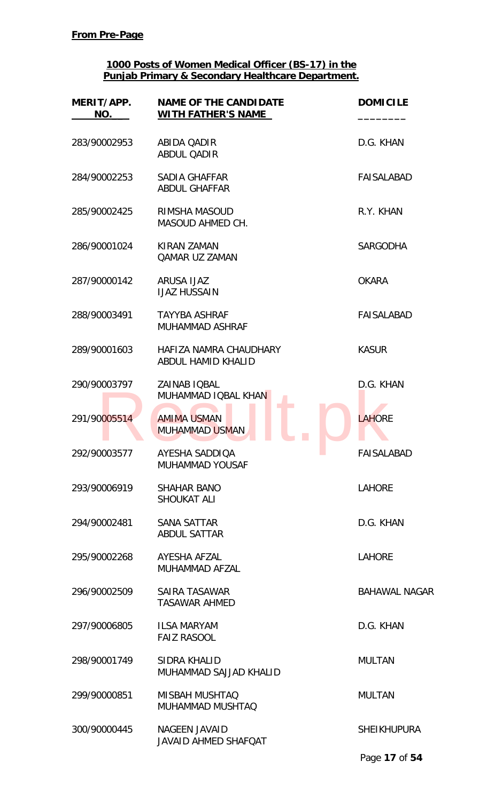| MERIT/APP.<br>NO. | <b>NAME OF THE CANDIDATE</b><br><b>WITH FATHER'S NAME</b> | <b>DOMICILE</b>                      |
|-------------------|-----------------------------------------------------------|--------------------------------------|
| 283/90002953      | <b>ABIDA QADIR</b><br><b>ABDUL QADIR</b>                  | D.G. KHAN                            |
| 284/90002253      | SADIA GHAFFAR<br><b>ABDUL GHAFFAR</b>                     | FAISALABAD                           |
| 285/90002425      | RIMSHA MASOUD<br>MASOUD AHMED CH.                         | R.Y. KHAN                            |
| 286/90001024      | <b>KIRAN ZAMAN</b><br><b>QAMAR UZ ZAMAN</b>               | <b>SARGODHA</b>                      |
| 287/90000142      | ARUSA IJAZ<br><b>IJAZ HUSSAIN</b>                         | <b>OKARA</b>                         |
| 288/90003491      | <b>TAYYBA ASHRAF</b><br><b>MUHAMMAD ASHRAF</b>            | <b>FAISALABAD</b>                    |
| 289/90001603      | HAFIZA NAMRA CHAUDHARY<br>ABDUL HAMID KHALID              | <b>KASUR</b>                         |
| 290/90003797      | ZAINAB IQBAL<br>MUHAMMAD IQBAL KHAN                       | D.G. KHAN                            |
| 291/90005514      | <b>AMIMA USMAN</b><br><b>MUHAMMAD USMAN</b>               | <b>LAHORE</b>                        |
| 292/90003577      | AYESHA SADDIQA<br>MUHAMMAD YOUSAF                         | <b>FAISALABAD</b><br><b>Contract</b> |
| 293/90006919      | <b>SHAHAR BANO</b><br><b>SHOUKAT ALI</b>                  | <b>LAHORE</b>                        |
| 294/90002481      | <b>SANA SATTAR</b><br><b>ABDUL SATTAR</b>                 | D.G. KHAN                            |
| 295/90002268      | AYESHA AFZAL<br>MUHAMMAD AFZAL                            | <b>LAHORE</b>                        |
| 296/90002509      | SAIRA TASAWAR<br><b>TASAWAR AHMED</b>                     | <b>BAHAWAL NAGAR</b>                 |
| 297/90006805      | <b>ILSA MARYAM</b><br><b>FAIZ RASOOL</b>                  | D.G. KHAN                            |
| 298/90001749      | SIDRA KHALID<br>MUHAMMAD SAJJAD KHALID                    | <b>MULTAN</b>                        |
| 299/90000851      | <b>MISBAH MUSHTAQ</b><br>MUHAMMAD MUSHTAQ                 | <b>MULTAN</b>                        |
| 300/90000445      | <b>NAGEEN JAVAID</b><br><b>JAVAID AHMED SHAFQAT</b>       | <b>SHEIKHUPURA</b>                   |
|                   |                                                           | Page 17 of 54                        |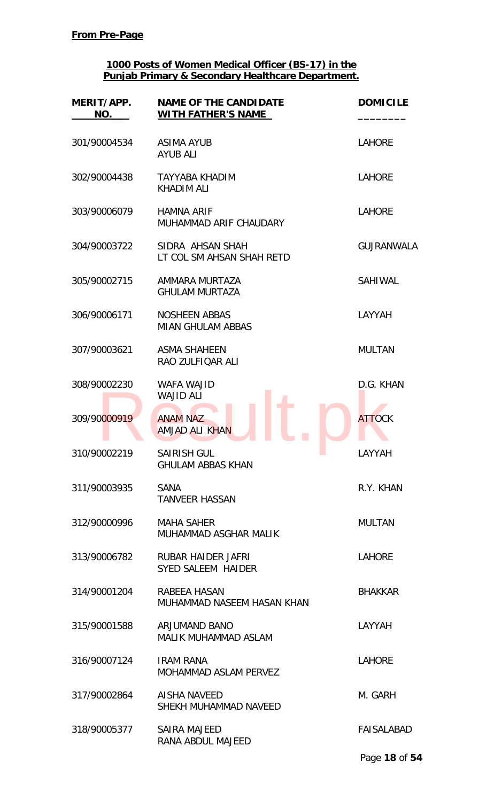| MERIT/APP.<br>NO. | <b>NAME OF THE CANDIDATE</b><br><b>WITH FATHER'S NAME</b> | <b>DOMICILE</b>   |
|-------------------|-----------------------------------------------------------|-------------------|
| 301/90004534      | <b>ASIMA AYUB</b><br><b>AYUB ALI</b>                      | <b>LAHORE</b>     |
| 302/90004438      | <b>TAYYABA KHADIM</b><br><b>KHADIM ALI</b>                | <b>LAHORE</b>     |
| 303/90006079      | <b>HAMNA ARIF</b><br>MUHAMMAD ARIF CHAUDARY               | <b>LAHORE</b>     |
| 304/90003722      | SIDRA AHSAN SHAH<br>LT COL SM AHSAN SHAH RETD             | <b>GUJRANWALA</b> |
| 305/90002715      | AMMARA MURTAZA<br><b>GHULAM MURTAZA</b>                   | <b>SAHIWAL</b>    |
| 306/90006171      | <b>NOSHEEN ABBAS</b><br><b>MIAN GHULAM ABBAS</b>          | LAYYAH            |
| 307/90003621      | <b>ASMA SHAHEEN</b><br>RAO ZULFIQAR ALI                   | <b>MULTAN</b>     |
| 308/90002230      | <b>WAFA WAJID</b><br><b>WAJID ALI</b>                     | D.G. KHAN         |
| 309/90000919      | <b>ANAM NAZ</b><br><b>AMJAD ALI KHAN</b>                  | <b>ATTOCK</b>     |
| 310/90002219      | <b>SAIRISH GUL</b><br><b>GHULAM ABBAS KHAN</b>            | LAYYAH            |
| 311/90003935      | <b>SANA</b><br><b>TANVEER HASSAN</b>                      | R.Y. KHAN         |
| 312/90000996      | <b>MAHA SAHER</b><br>MUHAMMAD ASGHAR MALIK                | <b>MULTAN</b>     |
| 313/90006782      | <b>RUBAR HAIDER JAFRI</b><br><b>SYED SALEEM HAIDER</b>    | <b>LAHORE</b>     |
| 314/90001204      | RABEEA HASAN<br>MUHAMMAD NASEEM HASAN KHAN                | <b>BHAKKAR</b>    |
| 315/90001588      | <b>ARJUMAND BANO</b><br><b>MALIK MUHAMMAD ASLAM</b>       | LAYYAH            |
| 316/90007124      | <b>IRAM RANA</b><br><b>MOHAMMAD ASLAM PERVEZ</b>          | <b>LAHORE</b>     |
| 317/90002864      | <b>AISHA NAVEED</b><br>SHEKH MUHAMMAD NAVEED              | M. GARH           |
| 318/90005377      | <b>SAIRA MAJEED</b><br>RANA ABDUL MAJEED                  | FAISALABAD        |
|                   |                                                           | Page 18 of 54     |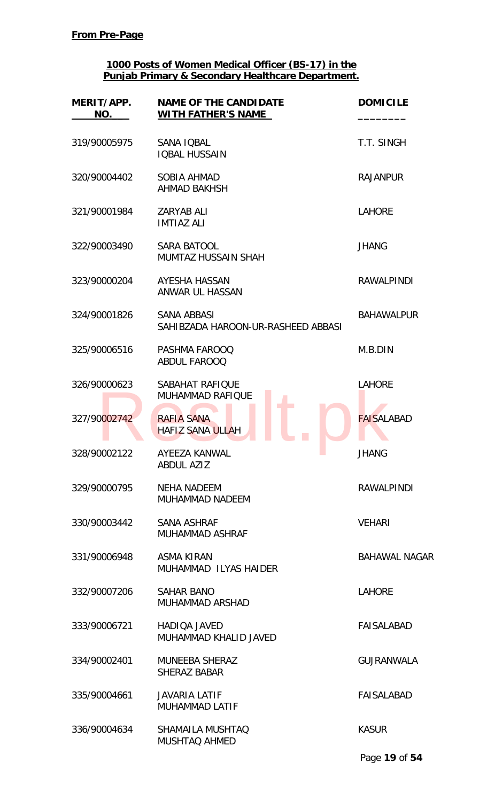| MERIT/APP.<br>NO. | <b>NAME OF THE CANDIDATE</b><br><b>WITH FATHER'S NAME</b> | <b>DOMICILE</b>      |
|-------------------|-----------------------------------------------------------|----------------------|
| 319/90005975      | SANA IQBAL<br><b>IQBAL HUSSAIN</b>                        | T.T. SINGH           |
| 320/90004402      | <b>SOBIA AHMAD</b><br><b>AHMAD BAKHSH</b>                 | <b>RAJANPUR</b>      |
| 321/90001984      | <b>ZARYAB ALI</b><br><b>IMTIAZ ALI</b>                    | <b>LAHORE</b>        |
| 322/90003490      | <b>SARA BATOOL</b><br><b>MUMTAZ HUSSAIN SHAH</b>          | <b>JHANG</b>         |
| 323/90000204      | AYESHA HASSAN<br>ANWAR UL HASSAN                          | <b>RAWALPINDI</b>    |
| 324/90001826      | <b>SANA ABBASI</b><br>SAHIBZADA HAROON-UR-RASHEED ABBASI  | <b>BAHAWALPUR</b>    |
| 325/90006516      | PASHMA FAROOQ<br><b>ABDUL FAROOQ</b>                      | M.B.DIN              |
| 326/90000623      | SABAHAT RAFIQUE<br><b>MUHAMMAD RAFIQUE</b>                | <b>LAHORE</b>        |
| 327/90002742      | <b>RAFIA SANA</b><br><b>HAFIZ SANA ULLAH</b>              | <b>FAISALABAD</b>    |
| 328/90002122      | <b>AYEEZA KANWAL</b><br>a a<br><b>ABDUL AZIZ</b>          | JHANG                |
| 329/90000795      | <b>NEHA NADEEM</b><br><b>MUHAMMAD NADEEM</b>              | <b>RAWALPINDI</b>    |
| 330/90003442      | <b>SANA ASHRAF</b><br>MUHAMMAD ASHRAF                     | <b>VEHARI</b>        |
| 331/90006948      | <b>ASMA KIRAN</b><br>MUHAMMAD ILYAS HAIDER                | <b>BAHAWAL NAGAR</b> |
| 332/90007206      | <b>SAHAR BANO</b><br><b>MUHAMMAD ARSHAD</b>               | <b>LAHORE</b>        |
| 333/90006721      | <b>HADIOA JAVED</b><br>MUHAMMAD KHALID JAVED              | <b>FAISALABAD</b>    |
| 334/90002401      | <b>MUNEEBA SHERAZ</b><br><b>SHERAZ BABAR</b>              | <b>GUJRANWALA</b>    |
| 335/90004661      | <b>JAVARIA LATIF</b><br>MUHAMMAD LATIF                    | <b>FAISALABAD</b>    |
| 336/90004634      | SHAMAILA MUSHTAQ<br><b>MUSHTAQ AHMED</b>                  | <b>KASUR</b>         |
|                   |                                                           | Page 19 of 54        |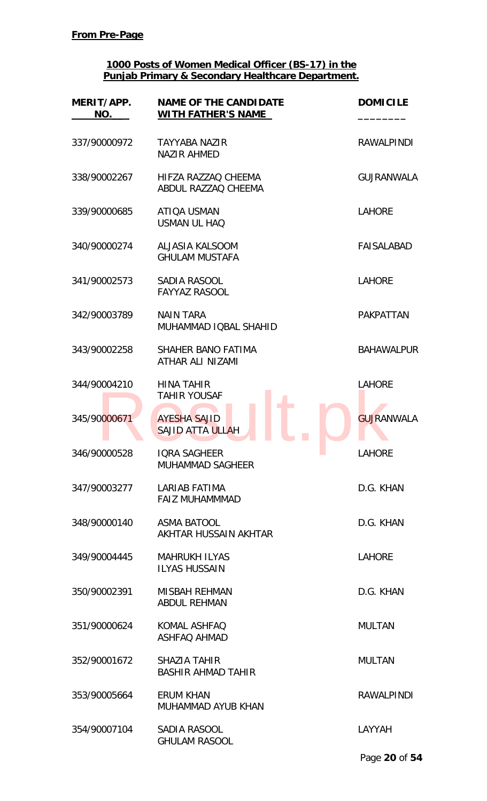| MERIT/APP.<br>NO. | <b>NAME OF THE CANDIDATE</b><br><b>WITH FATHER'S NAME</b> | <b>DOMICILE</b>   |
|-------------------|-----------------------------------------------------------|-------------------|
| 337/90000972      | <b>TAYYABA NAZIR</b><br><b>NAZIR AHMED</b>                | <b>RAWALPINDI</b> |
| 338/90002267      | HIFZA RAZZAO CHEEMA<br>ABDUL RAZZAQ CHEEMA                | <b>GUJRANWALA</b> |
| 339/90000685      | ATIQA USMAN<br><b>USMAN UL HAQ</b>                        | <b>LAHORE</b>     |
| 340/90000274      | ALJASIA KALSOOM<br><b>GHULAM MUSTAFA</b>                  | <b>FAISALABAD</b> |
| 341/90002573      | SADIA RASOOL<br><b>FAYYAZ RASOOL</b>                      | <b>LAHORE</b>     |
| 342/90003789      | <b>NAIN TARA</b><br>MUHAMMAD IQBAL SHAHID                 | <b>PAKPATTAN</b>  |
| 343/90002258      | SHAHER BANO FATIMA<br>ATHAR ALI NIZAMI                    | <b>BAHAWALPUR</b> |
| 344/90004210      | <b>HINA TAHIR</b><br><b>TAHIR YOUSAF</b>                  | <b>LAHORE</b>     |
| 345/90000671      | <b>AYESHA SAJID</b><br><b>SAJID ATTA ULLAH</b>            | <b>GUJRANWALA</b> |
| 346/90000528      | <b>IORA SAGHEER</b><br><b>MUHAMMAD SAGHEER</b>            | <b>LAHORE</b>     |
| 347/90003277      | LARIAB FATIMA<br><b>FAIZ MUHAMMMAD</b>                    | D.G. KHAN         |
| 348/90000140      | <b>ASMA BATOOL</b><br>AKHTAR HUSSAIN AKHTAR               | D.G. KHAN         |
| 349/90004445      | <b>MAHRUKH ILYAS</b><br><b>ILYAS HUSSAIN</b>              | <b>LAHORE</b>     |
| 350/90002391      | MISBAH REHMAN<br><b>ABDUL REHMAN</b>                      | D.G. KHAN         |
| 351/90000624      | KOMAL ASHFAQ<br><b>ASHFAQ AHMAD</b>                       | <b>MULTAN</b>     |
| 352/90001672      | <b>SHAZIA TAHIR</b><br><b>BASHIR AHMAD TAHIR</b>          | <b>MULTAN</b>     |
| 353/90005664      | <b>ERUM KHAN</b><br>MUHAMMAD AYUB KHAN                    | <b>RAWALPINDI</b> |
| 354/90007104      | SADIA RASOOL<br><b>GHULAM RASOOL</b>                      | LAYYAH            |
|                   |                                                           | Page 20 of 54     |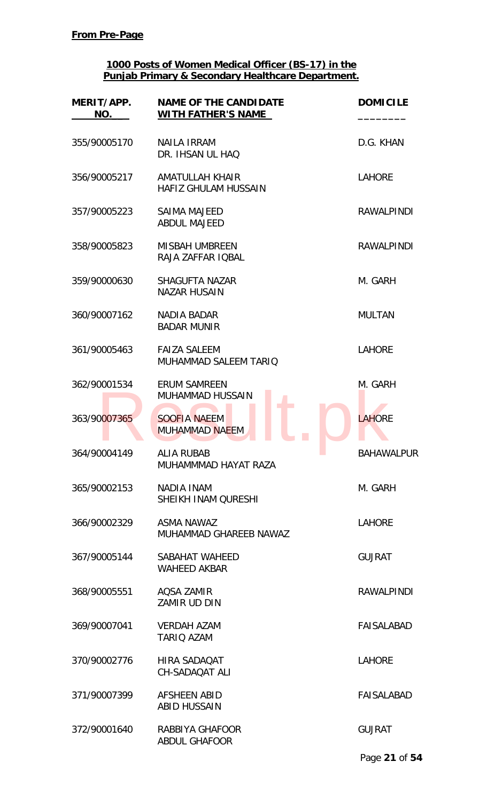| MERIT/APP.<br>NO. | <b>NAME OF THE CANDIDATE</b><br><b>WITH FATHER'S NAME</b> | <b>DOMICILE</b>   |
|-------------------|-----------------------------------------------------------|-------------------|
| 355/90005170      | <b>NAILA IRRAM</b><br>DR. IHSAN UL HAQ                    | D.G. KHAN         |
| 356/90005217      | AMATULLAH KHAIR<br>HAFIZ GHULAM HUSSAIN                   | <b>LAHORE</b>     |
| 357/90005223      | <b>SAIMA MAJEED</b><br><b>ABDUL MAJEED</b>                | <b>RAWALPINDI</b> |
| 358/90005823      | <b>MISBAH UMBREEN</b><br>RAJA ZAFFAR IQBAL                | <b>RAWALPINDI</b> |
| 359/90000630      | SHAGUFTA NAZAR<br><b>NAZAR HUSAIN</b>                     | M. GARH           |
| 360/90007162      | <b>NADIA BADAR</b><br><b>BADAR MUNIR</b>                  | <b>MULTAN</b>     |
| 361/90005463      | <b>FAIZA SALEEM</b><br>MUHAMMAD SALEEM TARIQ              | <b>LAHORE</b>     |
| 362/90001534      | <b>ERUM SAMREEN</b><br>MUHAMMAD HUSSAIN                   | M. GARH           |
| 363/90007365      | <b>SOOFIA NAEEM</b><br><b>MUHAMMAD NAEEM</b>              | <b>LAHORE</b>     |
| 364/90004149      | <b>ALIA RUBAB</b><br>MUHAMMMAD HAYAT RAZA                 | <b>BAHAWALPUR</b> |
| 365/90002153      | NADIA INAM<br>SHEIKH INAM QURESHI                         | M. GARH           |
| 366/90002329      | ASMA NAWAZ<br>MUHAMMAD GHAREEB NAWAZ                      | <b>LAHORE</b>     |
| 367/90005144      | SABAHAT WAHEED<br><b>WAHEED AKBAR</b>                     | <b>GUJRAT</b>     |
| 368/90005551      | AQSA ZAMIR<br>ZAMIR UD DIN                                | <b>RAWALPINDI</b> |
| 369/90007041      | <b>VERDAH AZAM</b><br><b>TARIQ AZAM</b>                   | FAISALABAD        |
| 370/90002776      | HIRA SADAQAT<br><b>CH-SADAQAT ALI</b>                     | <b>LAHORE</b>     |
| 371/90007399      | <b>AFSHEEN ABID</b><br><b>ABID HUSSAIN</b>                | <b>FAISALABAD</b> |
| 372/90001640      | RABBIYA GHAFOOR<br><b>ABDUL GHAFOOR</b>                   | <b>GUJRAT</b>     |
|                   |                                                           | Page 21 of 54     |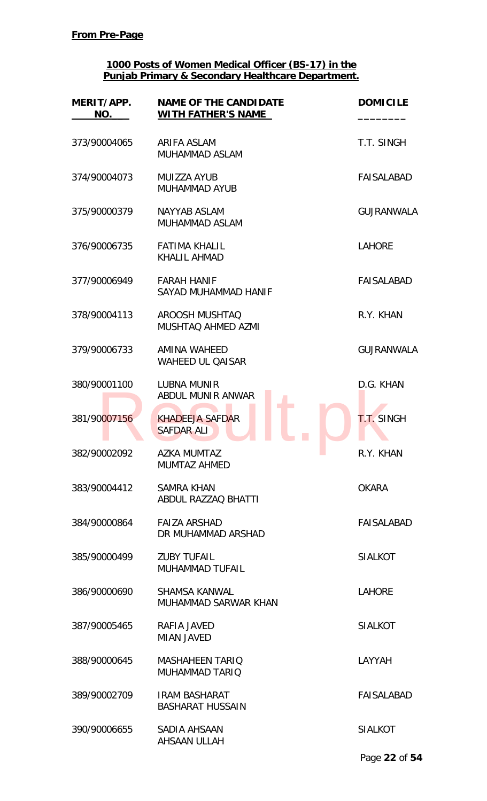| MERIT/APP.<br>NO. | <b>NAME OF THE CANDIDATE</b><br><b>WITH FATHER'S NAME</b> | <b>DOMICILE</b>   |
|-------------------|-----------------------------------------------------------|-------------------|
| 373/90004065      | ARIFA ASLAM<br>MUHAMMAD ASLAM                             | T.T. SINGH        |
| 374/90004073      | MUIZZA AYUB<br><b>MUHAMMAD AYUB</b>                       | FAISALABAD        |
| 375/90000379      | NAYYAB ASLAM<br>MUHAMMAD ASLAM                            | <b>GUJRANWALA</b> |
| 376/90006735      | <b>FATIMA KHALIL</b><br><b>KHALIL AHMAD</b>               | <b>LAHORE</b>     |
| 377/90006949      | <b>FARAH HANIF</b><br>SAYAD MUHAMMAD HANIF                | <b>FAISALABAD</b> |
| 378/90004113      | AROOSH MUSHTAQ<br>MUSHTAQ AHMED AZMI                      | R.Y. KHAN         |
| 379/90006733      | AMINA WAHEED<br><b>WAHEED UL QAISAR</b>                   | <b>GUJRANWALA</b> |
| 380/90001100      | <b>LUBNA MUNIR</b><br>ABDUL MUNIR ANWAR                   | D.G. KHAN         |
| 381/90007156      | <b>KHADEEJA SAFDAR</b><br><b>SAFDAR ALI</b>               | <b>T.T. SINGH</b> |
| 382/90002092      | <b>AZKA MUMTAZ</b><br>$\sim$<br><b>MUMTAZ AHMED</b>       | R.Y. KHAN         |
| 383/90004412      | <b>SAMRA KHAN</b><br>ABDUL RAZZAQ BHATTI                  | <b>OKARA</b>      |
| 384/90000864      | <b>FAIZA ARSHAD</b><br>DR MUHAMMAD ARSHAD                 | FAISALABAD        |
| 385/90000499      | <b>ZUBY TUFAIL</b><br><b>MUHAMMAD TUFAIL</b>              | <b>SIALKOT</b>    |
| 386/90000690      | <b>SHAMSA KANWAL</b><br>MUHAMMAD SARWAR KHAN              | <b>LAHORE</b>     |
| 387/90005465      | RAFIA JAVED<br><b>MIAN JAVED</b>                          | <b>SIALKOT</b>    |
| 388/90000645      | <b>MASHAHEEN TARIO</b><br><b>MUHAMMAD TARIQ</b>           | LAYYAH            |
| 389/90002709      | <b>IRAM BASHARAT</b><br><b>BASHARAT HUSSAIN</b>           | <b>FAISALABAD</b> |
| 390/90006655      | SADIA AHSAAN<br><b>AHSAAN ULLAH</b>                       | <b>SIALKOT</b>    |
|                   |                                                           | Page 22 of 54     |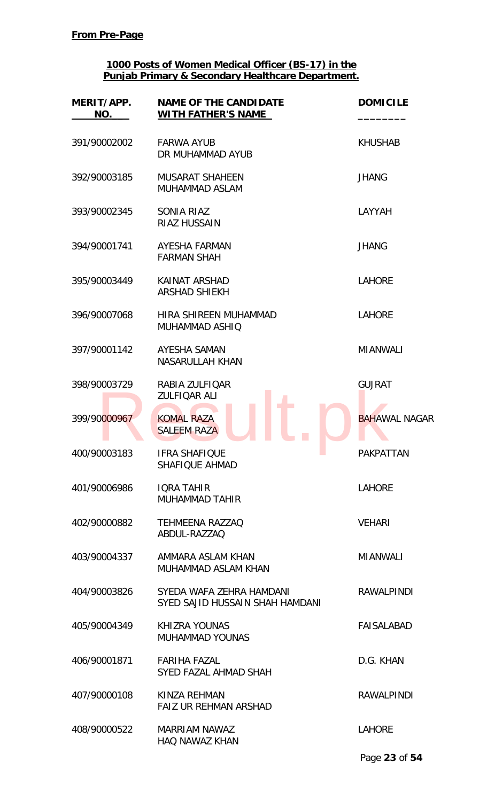| MERIT/APP.<br>NO. | <b>NAME OF THE CANDIDATE</b><br><b>WITH FATHER'S NAME</b>   | <b>DOMICILE</b>      |
|-------------------|-------------------------------------------------------------|----------------------|
| 391/90002002      | <b>FARWA AYUB</b><br>DR MUHAMMAD AYUB                       | <b>KHUSHAB</b>       |
| 392/90003185      | <b>MUSARAT SHAHEEN</b><br>MUHAMMAD ASLAM                    | <b>JHANG</b>         |
| 393/90002345      | <b>SONIA RIAZ</b><br><b>RIAZ HUSSAIN</b>                    | LAYYAH               |
| 394/90001741      | AYESHA FARMAN<br><b>FARMAN SHAH</b>                         | <b>JHANG</b>         |
| 395/90003449      | KAINAT ARSHAD<br><b>ARSHAD SHIEKH</b>                       | <b>LAHORE</b>        |
| 396/90007068      | HIRA SHIREEN MUHAMMAD<br>MUHAMMAD ASHIQ                     | <b>LAHORE</b>        |
| 397/90001142      | AYESHA SAMAN<br><b>NASARULLAH KHAN</b>                      | <b>MIANWALI</b>      |
| 398/90003729      | RABIA ZULFIQAR<br>ZULFIQAR ALI                              | <b>GUJRAT</b>        |
| 399/90000967      | <b>KOMAL RAZA</b><br><b>SALEEM RAZA</b>                     | <b>BAHAWAL NAGAR</b> |
| 400/90003183      | <b>IFRA SHAFIQUE</b><br>a a<br><b>SHAFIQUE AHMAD</b>        | <b>PAKPATTAN</b>     |
| 401/90006986      | <b>IQRA TAHIR</b><br><b>MUHAMMAD TAHIR</b>                  | <b>LAHORE</b>        |
| 402/90000882      | <b>TEHMEENA RAZZAQ</b><br>ABDUL-RAZZAQ                      | <b>VEHARI</b>        |
| 403/90004337      | AMMARA ASLAM KHAN<br>MUHAMMAD ASLAM KHAN                    | <b>MIANWALI</b>      |
| 404/90003826      | SYEDA WAFA ZEHRA HAMDANI<br>SYED SAJID HUSSAIN SHAH HAMDANI | <b>RAWALPINDI</b>    |
| 405/90004349      | <b>KHIZRA YOUNAS</b><br><b>MUHAMMAD YOUNAS</b>              | <b>FAISALABAD</b>    |
| 406/90001871      | <b>FARIHA FAZAL</b><br>SYED FAZAL AHMAD SHAH                | D.G. KHAN            |
| 407/90000108      | KINZA REHMAN<br>FAIZ UR REHMAN ARSHAD                       | <b>RAWALPINDI</b>    |
| 408/90000522      | MARRIAM NAWAZ<br><b>HAQ NAWAZ KHAN</b>                      | <b>LAHORE</b>        |
|                   |                                                             | Page 23 of 54        |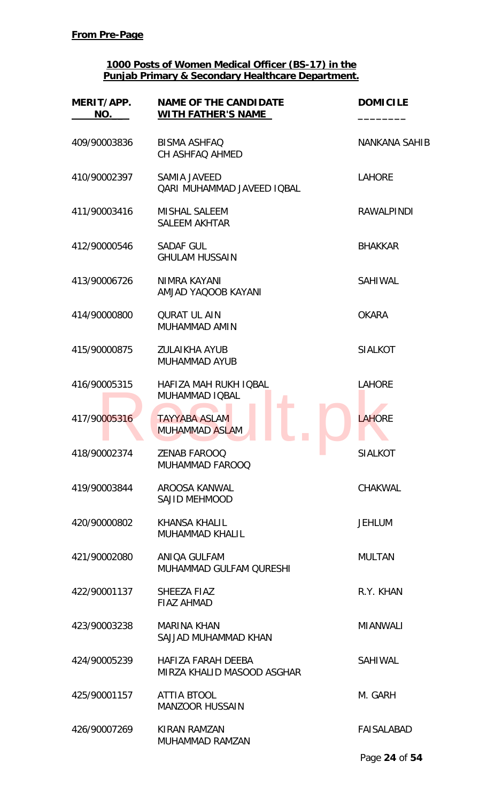| MERIT/APP.<br>NO. | <b>NAME OF THE CANDIDATE</b><br><b>WITH FATHER'S NAME</b> | <b>DOMICILE</b>      |
|-------------------|-----------------------------------------------------------|----------------------|
| 409/90003836      | <b>BISMA ASHFAQ</b><br>CH ASHFAQ AHMED                    | <b>NANKANA SAHIB</b> |
| 410/90002397      | <b>SAMIA JAVEED</b><br><b>QARI MUHAMMAD JAVEED IQBAL</b>  | <b>LAHORE</b>        |
| 411/90003416      | <b>MISHAL SALEEM</b><br><b>SALEEM AKHTAR</b>              | <b>RAWALPINDI</b>    |
| 412/90000546      | SADAF GUL<br><b>GHULAM HUSSAIN</b>                        | <b>BHAKKAR</b>       |
| 413/90006726      | NIMRA KAYANI<br>AMJAD YAQOOB KAYANI                       | <b>SAHIWAL</b>       |
| 414/90000800      | <b>QURAT UL AIN</b><br>MUHAMMAD AMIN                      | <b>OKARA</b>         |
| 415/90000875      | <b>ZULAIKHA AYUB</b><br><b>MUHAMMAD AYUB</b>              | <b>SIALKOT</b>       |
| 416/90005315      | <b>HAFIZA MAH RUKH IQBAL</b><br>MUHAMMAD IQBAL            | <b>LAHORE</b>        |
| 417/90005316      | <b>TAYYABA ASLAM</b><br><b>MUHAMMAD ASLAM</b>             | <b>LAHORE</b>        |
| 418/90002374      | <b>ZENAB FAROOQ</b><br><b>MUHAMMAD FAROOQ</b>             | <b>SIALKOT</b>       |
| 419/90003844      | AROOSA KANWAL<br><b>SAJID MEHMOOD</b>                     | CHAKWAL              |
| 420/90000802      | <b>KHANSA KHALIL</b><br>MUHAMMAD KHALIL                   | <b>JEHLUM</b>        |
| 421/90002080      | ANIQA GULFAM<br>MUHAMMAD GULFAM QURESHI                   | <b>MULTAN</b>        |
| 422/90001137      | SHEEZA FIAZ<br><b>FIAZ AHMAD</b>                          | R.Y. KHAN            |
| 423/90003238      | <b>MARINA KHAN</b><br>SAJJAD MUHAMMAD KHAN                | <b>MIANWALI</b>      |
| 424/90005239      | HAFIZA FARAH DEEBA<br>MIRZA KHALID MASOOD ASGHAR          | SAHIWAL              |
| 425/90001157      | <b>ATTIA BTOOL</b><br><b>MANZOOR HUSSAIN</b>              | M. GARH              |
| 426/90007269      | KIRAN RAMZAN<br><b>MUHAMMAD RAMZAN</b>                    | <b>FAISALABAD</b>    |
|                   |                                                           | Page 24 of 54        |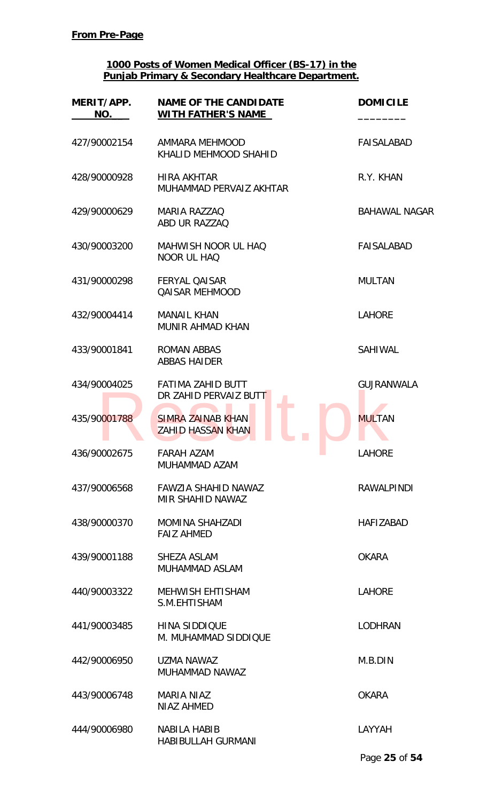| MERIT/APP.<br>NO. | <b>NAME OF THE CANDIDATE</b><br><b>WITH FATHER'S NAME</b> | <b>DOMICILE</b>      |
|-------------------|-----------------------------------------------------------|----------------------|
| 427/90002154      | AMMARA MEHMOOD<br>KHALID MEHMOOD SHAHID                   | <b>FAISALABAD</b>    |
| 428/90000928      | <b>HIRA AKHTAR</b><br>MUHAMMAD PERVAIZ AKHTAR             | R.Y. KHAN            |
| 429/90000629      | <b>MARIA RAZZAQ</b><br>ABD UR RAZZAQ                      | <b>BAHAWAL NAGAR</b> |
| 430/90003200      | <b>MAHWISH NOOR UL HAQ</b><br>NOOR UL HAQ                 | <b>FAISALABAD</b>    |
| 431/90000298      | <b>FERYAL QAISAR</b><br><b>QAISAR MEHMOOD</b>             | <b>MULTAN</b>        |
| 432/90004414      | <b>MANAIL KHAN</b><br><b>MUNIR AHMAD KHAN</b>             | <b>LAHORE</b>        |
| 433/90001841      | <b>ROMAN ABBAS</b><br><b>ABBAS HAIDER</b>                 | <b>SAHIWAL</b>       |
| 434/90004025      | FATIMA ZAHID BUTT<br>DR ZAHID PERVAIZ BUTT                | <b>GUJRANWALA</b>    |
| 435/90001788      | <b>SIMRA ZAINAB KHAN</b><br><b>ZAHID HASSAN KHAN</b>      | <b>MULTAN</b>        |
| 436/90002675      | <b>FARAH AZAM</b><br>MUHAMMAD AZAM                        | a a<br>LAHORE        |
| 437/90006568      | <b>FAWZIA SHAHID NAWAZ</b><br>MIR SHAHID NAWAZ            | <b>RAWALPINDI</b>    |
| 438/90000370      | <b>MOMINA SHAHZADI</b><br><b>FAIZ AHMED</b>               | <b>HAFIZABAD</b>     |
| 439/90001188      | SHEZA ASLAM<br>MUHAMMAD ASLAM                             | <b>OKARA</b>         |
| 440/90003322      | <b>MEHWISH EHTISHAM</b><br>S.M.EHTISHAM                   | <b>LAHORE</b>        |
| 441/90003485      | <b>HINA SIDDIQUE</b><br>M. MUHAMMAD SIDDIQUE              | <b>LODHRAN</b>       |
| 442/90006950      | UZMA NAWAZ<br>MUHAMMAD NAWAZ                              | M.B.DIN              |
| 443/90006748      | <b>MARIA NIAZ</b><br><b>NIAZ AHMED</b>                    | <b>OKARA</b>         |
| 444/90006980      | <b>NABILA HABIB</b><br><b>HABIBULLAH GURMANI</b>          | LAYYAH               |
|                   |                                                           | Page 25 of 54        |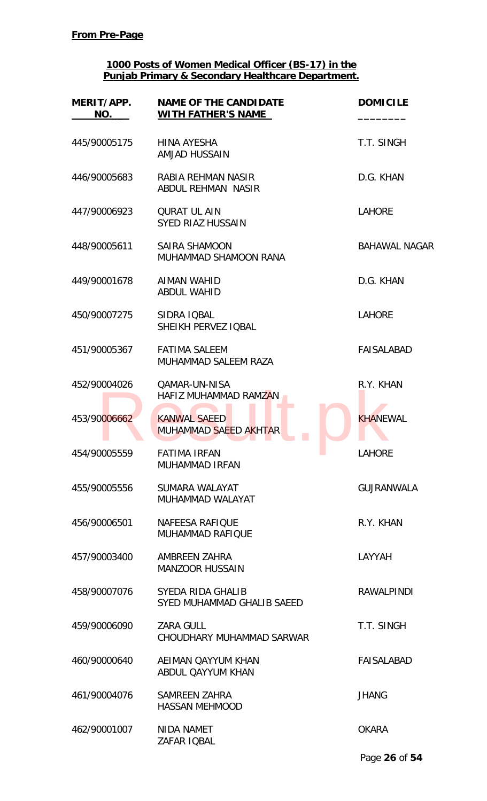| MERIT/APP.<br>NO. | <b>NAME OF THE CANDIDATE</b><br><b>WITH FATHER'S NAME</b> | <b>DOMICILE</b>      |
|-------------------|-----------------------------------------------------------|----------------------|
| 445/90005175      | HINA AYESHA<br><b>AMJAD HUSSAIN</b>                       | T.T. SINGH           |
| 446/90005683      | RABIA REHMAN NASIR<br><b>ABDUL REHMAN NASIR</b>           | D.G. KHAN            |
| 447/90006923      | <b>QURAT UL AIN</b><br><b>SYED RIAZ HUSSAIN</b>           | <b>LAHORE</b>        |
| 448/90005611      | SAIRA SHAMOON<br>MUHAMMAD SHAMOON RANA                    | <b>BAHAWAL NAGAR</b> |
| 449/90001678      | <b>AIMAN WAHID</b><br><b>ABDUL WAHID</b>                  | D.G. KHAN            |
| 450/90007275      | SIDRA IQBAL<br>SHEIKH PERVEZ IQBAL                        | <b>LAHORE</b>        |
| 451/90005367      | <b>FATIMA SALEEM</b><br>MUHAMMAD SALEEM RAZA              | <b>FAISALABAD</b>    |
| 452/90004026      | <b>QAMAR-UN-NISA</b><br>HAFIZ MUHAMMAD RAMZAN             | R.Y. KHAN            |
| 453/90006662      | <b>KANWAL SAEED</b><br>MUHAMMAD SAEED AKHTAR              | <b>KHANEWAL</b>      |
| 454/90005559      | <b>FATIMA IRFAN</b><br><b>MUHAMMAD IRFAN</b>              | <b>LAHORE</b>        |
| 455/90005556      | SUMARA WALAYAT<br>MUHAMMAD WALAYAT                        | <b>GUJRANWALA</b>    |
| 456/90006501      | <b>NAFEESA RAFIQUE</b><br><b>MUHAMMAD RAFIQUE</b>         | R.Y. KHAN            |
| 457/90003400      | AMBREEN ZAHRA<br><b>MANZOOR HUSSAIN</b>                   | LAYYAH               |
| 458/90007076      | SYEDA RIDA GHALIB<br>SYED MUHAMMAD GHALIB SAEED           | <b>RAWALPINDI</b>    |
| 459/90006090      | <b>ZARA GULL</b><br>CHOUDHARY MUHAMMAD SARWAR             | T.T. SINGH           |
| 460/90000640      | AEIMAN QAYYUM KHAN<br>ABDUL QAYYUM KHAN                   | <b>FAISALABAD</b>    |
| 461/90004076      | <b>SAMREEN ZAHRA</b><br><b>HASSAN MEHMOOD</b>             | <b>JHANG</b>         |
| 462/90001007      | NIDA NAMET<br><b>ZAFAR IOBAL</b>                          | <b>OKARA</b>         |
|                   |                                                           | Page 26 of 54        |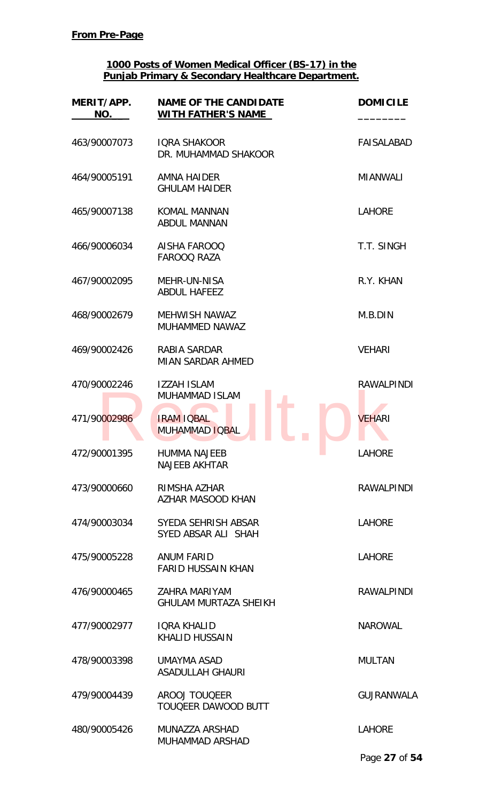| MERIT/APP.<br>NO. | <b>NAME OF THE CANDIDATE</b><br><b>WITH FATHER'S NAME</b> | <b>DOMICILE</b>   |
|-------------------|-----------------------------------------------------------|-------------------|
| 463/90007073      | <b>IQRA SHAKOOR</b><br>DR. MUHAMMAD SHAKOOR               | <b>FAISALABAD</b> |
| 464/90005191      | AMNA HAIDER<br><b>GHULAM HAIDER</b>                       | <b>MIANWALI</b>   |
| 465/90007138      | <b>KOMAL MANNAN</b><br><b>ABDUL MANNAN</b>                | <b>LAHORE</b>     |
| 466/90006034      | AISHA FAROOQ<br><b>FAROOQ RAZA</b>                        | T.T. SINGH        |
| 467/90002095      | <b>MEHR-UN-NISA</b><br><b>ABDUL HAFEEZ</b>                | R.Y. KHAN         |
| 468/90002679      | <b>MEHWISH NAWAZ</b><br>MUHAMMED NAWAZ                    | M.B.DIN           |
| 469/90002426      | RABIA SARDAR<br><b>MIAN SARDAR AHMED</b>                  | <b>VEHARI</b>     |
| 470/90002246      | <b>IZZAH ISLAM</b><br><b>MUHAMMAD ISLAM</b>               | <b>RAWALPINDI</b> |
| 471/90002986      | <b>IRAM IQBAL</b><br>MUHAMMAD IQBAL                       | <b>VEHARI</b>     |
| 472/90001395      | <b>HUMMA NAJEEB</b><br><b>NAJEEB AKHTAR</b>               | <b>LAHORE</b>     |
| 473/90000660      | RIMSHA AZHAR<br><b>AZHAR MASOOD KHAN</b>                  | <b>RAWALPINDI</b> |
| 474/90003034      | SYEDA SEHRISH ABSAR<br>SYED ABSAR ALI SHAH                | <b>LAHORE</b>     |
| 475/90005228      | ANUM FARID<br><b>FARID HUSSAIN KHAN</b>                   | <b>LAHORE</b>     |
| 476/90000465      | ZAHRA MARIYAM<br><b>GHULAM MURTAZA SHEIKH</b>             | <b>RAWALPINDI</b> |
| 477/90002977      | <b>IQRA KHALID</b><br><b>KHALID HUSSAIN</b>               | <b>NAROWAL</b>    |
| 478/90003398      | UMAYMA ASAD<br><b>ASADULLAH GHAURI</b>                    | <b>MULTAN</b>     |
| 479/90004439      | <b>AROOJ TOUQEER</b><br>TOUQEER DAWOOD BUTT               | <b>GUJRANWALA</b> |
| 480/90005426      | MUNAZZA ARSHAD<br>MUHAMMAD ARSHAD                         | <b>LAHORE</b>     |

Page **27** of **54**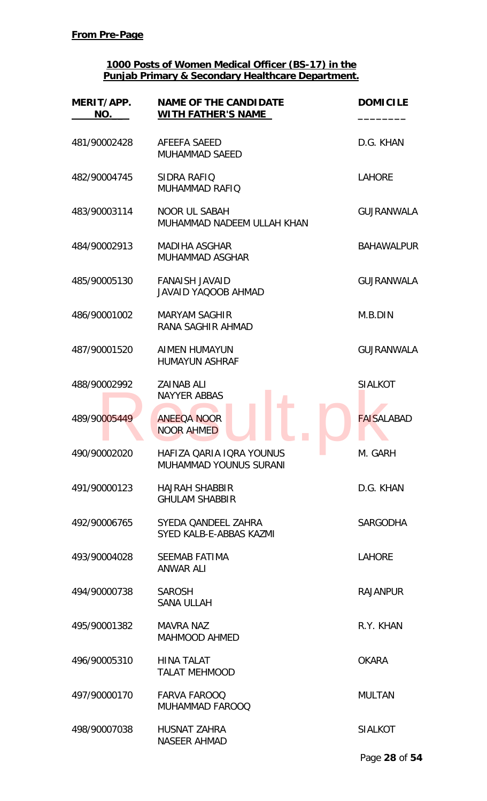| MERIT/APP.<br>NO. | <b>NAME OF THE CANDIDATE</b><br><b>WITH FATHER'S NAME</b> | <b>DOMICILE</b>   |
|-------------------|-----------------------------------------------------------|-------------------|
| 481/90002428      | AFEEFA SAEED<br><b>MUHAMMAD SAEED</b>                     | D.G. KHAN         |
| 482/90004745      | SIDRA RAFIQ<br><b>MUHAMMAD RAFIQ</b>                      | <b>LAHORE</b>     |
| 483/90003114      | <b>NOOR UL SABAH</b><br>MUHAMMAD NADEEM ULLAH KHAN        | <b>GUJRANWALA</b> |
| 484/90002913      | <b>MADIHA ASGHAR</b><br>MUHAMMAD ASGHAR                   | <b>BAHAWALPUR</b> |
| 485/90005130      | <b>FANAISH JAVAID</b><br><b>JAVAID YAQOOB AHMAD</b>       | <b>GUJRANWALA</b> |
| 486/90001002      | <b>MARYAM SAGHIR</b><br>RANA SAGHIR AHMAD                 | M.B.DIN           |
| 487/90001520      | <b>AIMEN HUMAYUN</b><br><b>HUMAYUN ASHRAF</b>             | <b>GUJRANWALA</b> |
| 488/90002992      | <b>ZAINAB ALI</b><br><b>NAYYER ABBAS</b>                  | <b>SIALKOT</b>    |
| 489/90005449      | <b>ANEEQA NOOR</b><br><b>NOOR AHMED</b>                   | <b>FAISALABAD</b> |
| 490/90002020      | HAFIZA QARIA IQRA YOUNUS<br><b>MUHAMMAD YOUNUS SURANI</b> | M. GARH           |
| 491/90000123      | <b>HAJRAH SHABBIR</b><br><b>GHULAM SHABBIR</b>            | D.G. KHAN         |
| 492/90006765      | SYEDA QANDEEL ZAHRA<br>SYED KALB-E-ABBAS KAZMI            | <b>SARGODHA</b>   |
| 493/90004028      | <b>SEEMAB FATIMA</b><br><b>ANWAR ALI</b>                  | <b>LAHORE</b>     |
| 494/90000738      | <b>SAROSH</b><br><b>SANA ULLAH</b>                        | <b>RAJANPUR</b>   |
| 495/90001382      | <b>MAVRA NAZ</b><br><b>MAHMOOD AHMED</b>                  | R.Y. KHAN         |
| 496/90005310      | <b>HINA TALAT</b><br><b>TALAT MEHMOOD</b>                 | <b>OKARA</b>      |
| 497/90000170      | <b>FARVA FAROOQ</b><br>MUHAMMAD FAROOQ                    | <b>MULTAN</b>     |
| 498/90007038      | HUSNAT ZAHRA<br><b>NASEER AHMAD</b>                       | <b>SIALKOT</b>    |
|                   |                                                           | Page 28 of 54     |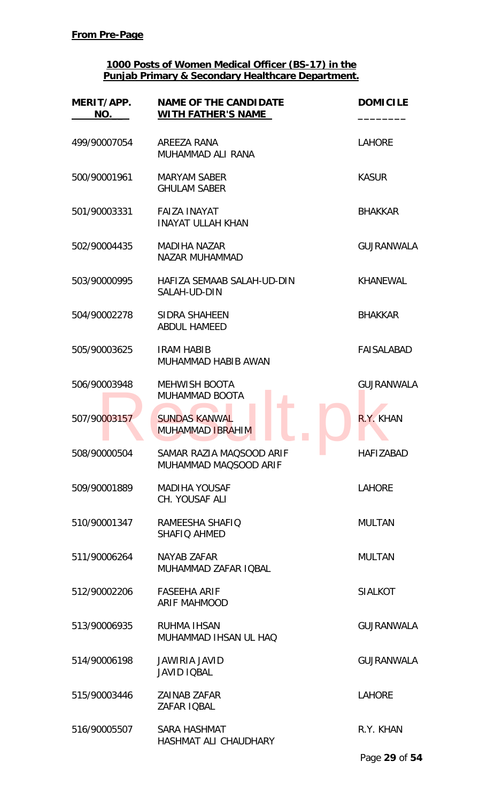| MERIT/APP.<br>NO. | <b>NAME OF THE CANDIDATE</b><br><b>WITH FATHER'S NAME</b> | <b>DOMICILE</b>   |
|-------------------|-----------------------------------------------------------|-------------------|
| 499/90007054      | AREEZA RANA<br>MUHAMMAD ALI RANA                          | <b>LAHORE</b>     |
| 500/90001961      | <b>MARYAM SABER</b><br><b>GHULAM SABER</b>                | <b>KASUR</b>      |
| 501/90003331      | <b>FAIZA INAYAT</b><br><b>INAYAT ULLAH KHAN</b>           | <b>BHAKKAR</b>    |
| 502/90004435      | <b>MADIHA NAZAR</b><br><b>NAZAR MUHAMMAD</b>              | <b>GUJRANWALA</b> |
| 503/90000995      | HAFIZA SEMAAB SALAH-UD-DIN<br>SALAH-UD-DIN                | <b>KHANEWAL</b>   |
| 504/90002278      | SIDRA SHAHEEN<br><b>ABDUL HAMEED</b>                      | <b>BHAKKAR</b>    |
| 505/90003625      | <b>IRAM HABIB</b><br>MUHAMMAD HABIB AWAN                  | <b>FAISALABAD</b> |
| 506/90003948      | <b>MEHWISH BOOTA</b><br>MUHAMMAD BOOTA                    | <b>GUJRANWALA</b> |
| 507/90003157      | <b>SUNDAS KANWAL</b><br><b>MUHAMMAD IBRAHIM</b>           | R.Y. KHAN         |
| 508/90000504      | SAMAR RAZIA MAQSOOD ARIF<br>MUHAMMAD MAQSOOD ARIF         | <b>HAFIZABAD</b>  |
| 509/90001889      | <b>MADIHA YOUSAF</b><br>CH. YOUSAF ALI                    | <b>LAHORE</b>     |
| 510/90001347      | RAMEESHA SHAFIQ<br>SHAFIO AHMED                           | <b>MULTAN</b>     |
| 511/90006264      | NAYAB ZAFAR<br>MUHAMMAD ZAFAR IQBAL                       | <b>MULTAN</b>     |
| 512/90002206      | <b>FASEEHA ARIF</b><br><b>ARIF MAHMOOD</b>                | <b>SIALKOT</b>    |
| 513/90006935      | <b>RUHMA IHSAN</b><br>MUHAMMAD IHSAN UL HAQ               | <b>GUJRANWALA</b> |
| 514/90006198      | JAWIRIA JAVID<br><b>JAVID IQBAL</b>                       | <b>GUJRANWALA</b> |
| 515/90003446      | <b>ZAINAB ZAFAR</b><br>ZAFAR IQBAL                        | <b>LAHORE</b>     |
| 516/90005507      | SARA HASHMAT<br>HASHMAT ALI CHAUDHARY                     | R.Y. KHAN         |
|                   |                                                           | Page 29 of 54     |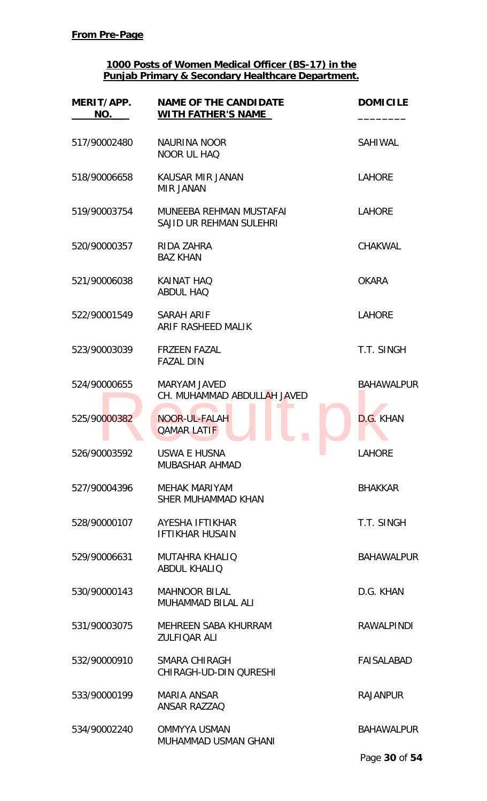| MERIT/APP.<br>NO. | <b>NAME OF THE CANDIDATE</b><br><b>WITH FATHER'S NAME</b> | <b>DOMICILE</b>   |
|-------------------|-----------------------------------------------------------|-------------------|
| 517/90002480      | NAURINA NOOR<br><b>NOOR UL HAQ</b>                        | SAHIWAL           |
| 518/90006658      | KAUSAR MIR JANAN<br><b>MIR JANAN</b>                      | <b>LAHORE</b>     |
| 519/90003754      | MUNEEBA REHMAN MUSTAFAI<br>SAJID UR REHMAN SULEHRI        | <b>LAHORE</b>     |
| 520/90000357      | RIDA ZAHRA<br><b>BAZ KHAN</b>                             | <b>CHAKWAL</b>    |
| 521/90006038      | <b>KAINAT HAQ</b><br><b>ABDUL HAO</b>                     | <b>OKARA</b>      |
| 522/90001549      | SARAH ARIF<br>ARIF RASHEED MALIK                          | <b>LAHORE</b>     |
| 523/90003039      | <b>FRZEEN FAZAL</b><br><b>FAZAL DIN</b>                   | T.T. SINGH        |
| 524/90000655      | <b>MARYAM JAVED</b><br>CH. MUHAMMAD ABDULLAH JAVED        | <b>BAHAWALPUR</b> |
| 525/90000382      | NOOR-UL-FALAH<br><b>QAMAR LATIF</b>                       | D.G. KHAN         |
| 526/90003592      | <b>USWA E HUSNA</b><br><b>MUBASHAR AHMAD</b>              | <b>LAHORE</b>     |
| 527/90004396      | <b>MEHAK MARIYAM</b><br>SHER MUHAMMAD KHAN                | <b>BHAKKAR</b>    |
| 528/90000107      | AYESHA IFTIKHAR<br><b>IFTIKHAR HUSAIN</b>                 | T.T. SINGH        |
| 529/90006631      | <b>MUTAHRA KHALIQ</b><br><b>ABDUL KHALIQ</b>              | <b>BAHAWALPUR</b> |
| 530/90000143      | <b>MAHNOOR BILAL</b><br>MUHAMMAD BILAL ALI                | D.G. KHAN         |
| 531/90003075      | MEHREEN SABA KHURRAM<br><b>ZULFIQAR ALI</b>               | <b>RAWALPINDI</b> |
| 532/90000910      | SMARA CHIRAGH<br>CHIRAGH-UD-DIN QURESHI                   | <b>FAISALABAD</b> |
| 533/90000199      | <b>MARIA ANSAR</b><br><b>ANSAR RAZZAQ</b>                 | <b>RAJANPUR</b>   |
| 534/90002240      | <b>OMMYYA USMAN</b><br>MUHAMMAD USMAN GHANI               | <b>BAHAWALPUR</b> |
|                   |                                                           | Page 30 of 54     |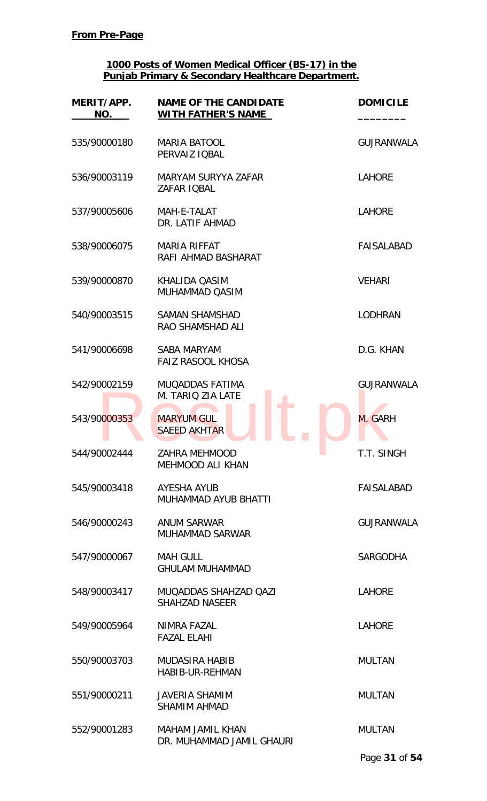| MERIT/APP.<br>NO. | <b>NAME OF THE CANDIDATE</b><br><b>WITH FATHER'S NAME</b> | <b>DOMICILE</b>   |
|-------------------|-----------------------------------------------------------|-------------------|
| 535/90000180      | <b>MARIA BATOOL</b><br>PERVAIZ IOBAL                      | <b>GUJRANWALA</b> |
| 536/90003119      | <b>MARYAM SURYYA ZAFAR</b><br>ZAFAR IQBAL                 | <b>LAHORE</b>     |
| 537/90005606      | MAH-E-TALAT<br>DR. LATIF AHMAD                            | <b>LAHORE</b>     |
| 538/90006075      | <b>MARIA RIFFAT</b><br>RAFI AHMAD BASHARAT                | FAISALABAD        |
| 539/90000870      | KHALIDA OASIM<br>MUHAMMAD QASIM                           | <b>VEHARI</b>     |
| 540/90003515      | <b>SAMAN SHAMSHAD</b><br>RAO SHAMSHAD ALI                 | <b>LODHRAN</b>    |
| 541/90006698      | <b>SABA MARYAM</b><br>FAIZ RASOOL KHOSA                   | D.G. KHAN         |
| 542/90002159      | <b>MUQADDAS FATIMA</b><br>M. TARIO ZIA LATE               | <b>GUJRANWALA</b> |
| 543/90000353      | <b>MARYUM GUL</b><br><b>SAEED AKHTAR</b>                  | M. GARH           |
| 544/90002444      | <b>ZAHRA MEHMOOD</b><br><b>MEHMOOD ALI KHAN</b>           | T.T. SINGH        |
| 545/90003418      | AYESHA AYUB<br>MUHAMMAD AYUB BHATTI                       | FAISALABAD        |
| 546/90000243      | <b>ANUM SARWAR</b><br><b>MUHAMMAD SARWAR</b>              | <b>GUJRANWALA</b> |
| 547/90000067      | <b>MAH GULL</b><br><b>GHULAM MUHAMMAD</b>                 | <b>SARGODHA</b>   |
| 548/90003417      | MUQADDAS SHAHZAD QAZI<br><b>SHAHZAD NASEER</b>            | <b>LAHORE</b>     |
| 549/90005964      | NIMRA FAZAL<br><b>FAZAL ELAHI</b>                         | <b>LAHORE</b>     |
| 550/90003703      | <b>MUDASIRA HABIB</b><br><b>HABIB-UR-REHMAN</b>           | <b>MULTAN</b>     |
| 551/90000211      | <b>JAVERIA SHAMIM</b><br><b>SHAMIM AHMAD</b>              | <b>MULTAN</b>     |
| 552/90001283      | <b>MAHAM JAMIL KHAN</b><br>DR. MUHAMMAD JAMIL GHAURI      | <b>MULTAN</b>     |
|                   |                                                           | Page 31 of 54     |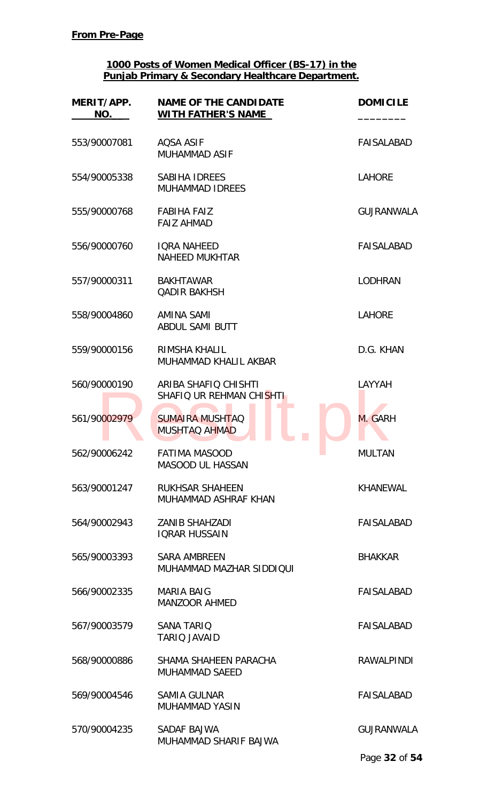| MERIT/APP.<br>NO. | <b>NAME OF THE CANDIDATE</b><br><b>WITH FATHER'S NAME</b> | <b>DOMICILE</b>   |
|-------------------|-----------------------------------------------------------|-------------------|
| 553/90007081      | <b>AQSA ASIF</b><br><b>MUHAMMAD ASIF</b>                  | <b>FAISALABAD</b> |
| 554/90005338      | SABIHA IDREES<br><b>MUHAMMAD IDREES</b>                   | <b>LAHORE</b>     |
| 555/90000768      | <b>FABIHA FAIZ</b><br><b>FAIZ AHMAD</b>                   | <b>GUJRANWALA</b> |
| 556/90000760      | <b>IQRA NAHEED</b><br><b>NAHEED MUKHTAR</b>               | <b>FAISALABAD</b> |
| 557/90000311      | <b>BAKHTAWAR</b><br><b>QADIR BAKHSH</b>                   | <b>LODHRAN</b>    |
| 558/90004860      | AMINA SAMI<br><b>ABDUL SAMI BUTT</b>                      | <b>LAHORE</b>     |
| 559/90000156      | RIMSHA KHALIL<br>MUHAMMAD KHALIL AKBAR                    | D.G. KHAN         |
| 560/90000190      | ARIBA SHAFIQ CHISHTI<br>SHAFIQ UR REHMAN CHISHTI          | LAYYAH            |
| 561/90002979      | <b>SUMAIRA MUSHTAQ</b><br><b>MUSHTAQ AHMAD</b>            | M. GARH           |
| 562/90006242      | <b>FATIMA MASOOD</b><br><b>MASOOD UL HASSAN</b>           | <b>MULTAN</b>     |
| 563/90001247      | <b>RUKHSAR SHAHEEN</b><br>MUHAMMAD ASHRAF KHAN            | <b>KHANEWAL</b>   |
| 564/90002943      | <b>ZANIB SHAHZADI</b><br><b>IQRAR HUSSAIN</b>             | <b>FAISALABAD</b> |
| 565/90003393      | <b>SARA AMBREEN</b><br>MUHAMMAD MAZHAR SIDDIQUI           | <b>BHAKKAR</b>    |
| 566/90002335      | <b>MARIA BAIG</b><br><b>MANZOOR AHMED</b>                 | FAISALABAD        |
| 567/90003579      | <b>SANA TARIQ</b><br><b>TARIO JAVAID</b>                  | <b>FAISALABAD</b> |
| 568/90000886      | SHAMA SHAHEEN PARACHA<br><b>MUHAMMAD SAEED</b>            | <b>RAWALPINDI</b> |
| 569/90004546      | <b>SAMIA GULNAR</b><br><b>MUHAMMAD YASIN</b>              | <b>FAISALABAD</b> |
| 570/90004235      | SADAF BAJWA<br>MUHAMMAD SHARIF BAJWA                      | <b>GUJRANWALA</b> |
|                   |                                                           | Page 32 of 54     |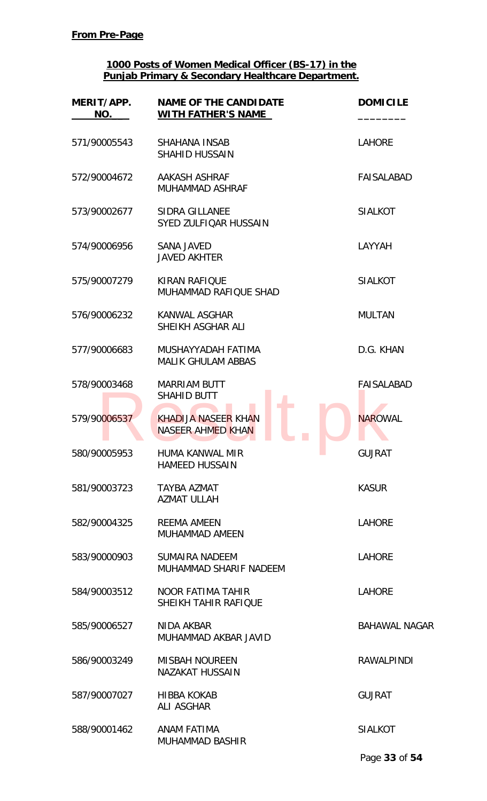| MERIT/APP.<br>NO. | <b>NAME OF THE CANDIDATE</b><br><b>WITH FATHER'S NAME</b> | <b>DOMICILE</b>                  |
|-------------------|-----------------------------------------------------------|----------------------------------|
| 571/90005543      | <b>SHAHANA INSAB</b><br><b>SHAHID HUSSAIN</b>             | <b>LAHORE</b>                    |
| 572/90004672      | AAKASH ASHRAF<br><b>MUHAMMAD ASHRAF</b>                   | FAISALABAD                       |
| 573/90002677      | <b>SIDRA GILLANEE</b><br>SYED ZULFIQAR HUSSAIN            | <b>SIALKOT</b>                   |
| 574/90006956      | <b>SANA JAVED</b><br><b>JAVED AKHTER</b>                  | LAYYAH                           |
| 575/90007279      | <b>KIRAN RAFIOUE</b><br>MUHAMMAD RAFIQUE SHAD             | <b>SIALKOT</b>                   |
| 576/90006232      | <b>KANWAL ASGHAR</b><br>SHEIKH ASGHAR ALI                 | <b>MULTAN</b>                    |
| 577/90006683      | MUSHAYYADAH FATIMA<br><b>MALIK GHULAM ABBAS</b>           | D.G. KHAN                        |
| 578/90003468      | <b>MARRIAM BUTT</b><br><b>SHAHID BUTT</b>                 | <b>FAISALABAD</b>                |
| 579/90006537      | <b>KHADIJA NASEER KHAN</b><br>NASEER AHMED KHAN           | <b>NAROWAL</b>                   |
| 580/90005953      | HUMA KANWAL MIR<br><b>HAMEED HUSSAIN</b>                  | <b>GUJRAT</b><br><b>Contract</b> |
| 581/90003723      | <b>TAYBA AZMAT</b><br><b>AZMAT ULLAH</b>                  | <b>KASUR</b>                     |
| 582/90004325      | <b>REEMA AMEEN</b><br><b>MUHAMMAD AMEEN</b>               | <b>LAHORE</b>                    |
| 583/90000903      | SUMAIRA NADEEM<br>MUHAMMAD SHARIF NADEEM                  | <b>LAHORE</b>                    |
| 584/90003512      | <b>NOOR FATIMA TAHIR</b><br><b>SHEIKH TAHIR RAFIQUE</b>   | <b>LAHORE</b>                    |
| 585/90006527      | NIDA AKBAR<br>MUHAMMAD AKBAR JAVID                        | <b>BAHAWAL NAGAR</b>             |
| 586/90003249      | <b>MISBAH NOUREEN</b><br><b>NAZAKAT HUSSAIN</b>           | <b>RAWALPINDI</b>                |
| 587/90007027      | <b>HIBBA KOKAB</b><br><b>ALI ASGHAR</b>                   | <b>GUJRAT</b>                    |
| 588/90001462      | ANAM FATIMA<br><b>MUHAMMAD BASHIR</b>                     | <b>SIALKOT</b>                   |
|                   |                                                           | Page 33 of 54                    |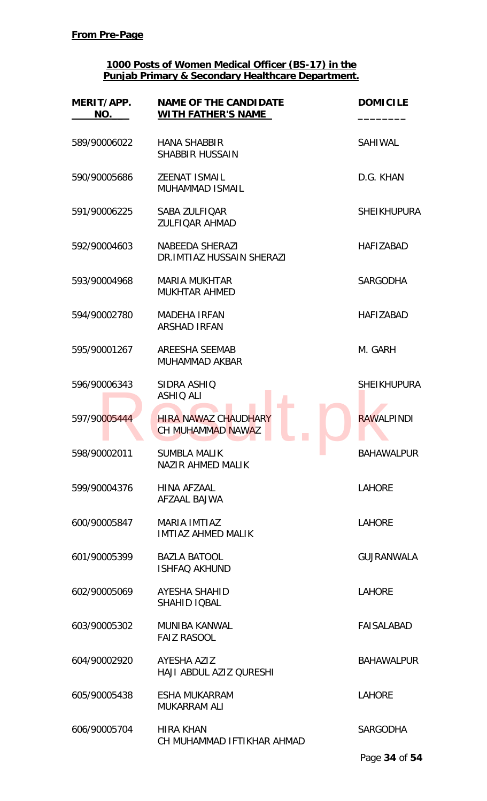| MERIT/APP.<br>NO. | <b>NAME OF THE CANDIDATE</b><br><b>WITH FATHER'S NAME</b> | <b>DOMICILE</b>    |
|-------------------|-----------------------------------------------------------|--------------------|
| 589/90006022      | <b>HANA SHABBIR</b><br><b>SHABBIR HUSSAIN</b>             | <b>SAHIWAL</b>     |
| 590/90005686      | ZEENAT ISMAIL<br>MUHAMMAD ISMAIL                          | D.G. KHAN          |
| 591/90006225      | SABA ZULFIQAR<br><b>ZULFIOAR AHMAD</b>                    | <b>SHEIKHUPURA</b> |
| 592/90004603      | NABEEDA SHERAZI<br>DR. IMTIAZ HUSSAIN SHERAZI             | <b>HAFIZABAD</b>   |
| 593/90004968      | <b>MARIA MUKHTAR</b><br><b>MUKHTAR AHMED</b>              | <b>SARGODHA</b>    |
| 594/90002780      | <b>MADEHA IRFAN</b><br><b>ARSHAD IRFAN</b>                | <b>HAFIZABAD</b>   |
| 595/90001267      | <b>AREESHA SEEMAB</b><br>MUHAMMAD AKBAR                   | M. GARH            |
| 596/90006343      | SIDRA ASHIQ<br><b>ASHIQ ALI</b>                           | <b>SHEIKHUPURA</b> |
| 597/90005444      | <b>HIRA NAWAZ CHAUDHARY</b><br><b>CH MUHAMMAD NAWAZ</b>   | <b>RAWALPINDI</b>  |
| 598/90002011      | <b>SUMBLA MALIK</b><br>NAZIR AHMED MALIK                  | <b>BAHAWALPUR</b>  |
| 599/90004376      | HINA AFZAAL<br>AFZAAL BAJWA                               | <b>LAHORE</b>      |
| 600/90005847      | <b>MARIA IMTIAZ</b><br><b>IMTIAZ AHMED MALIK</b>          | <b>LAHORE</b>      |
| 601/90005399      | <b>BAZLA BATOOL</b><br><b>ISHFAQ AKHUND</b>               | <b>GUJRANWALA</b>  |
| 602/90005069      | AYESHA SHAHID<br>SHAHID IQBAL                             | <b>LAHORE</b>      |
| 603/90005302      | <b>MUNIBA KANWAL</b><br><b>FAIZ RASOOL</b>                | <b>FAISALABAD</b>  |
| 604/90002920      | AYESHA AZIZ<br>HAJI ABDUL AZIZ QURESHI                    | <b>BAHAWALPUR</b>  |
| 605/90005438      | <b>ESHA MUKARRAM</b><br><b>MUKARRAM ALI</b>               | <b>LAHORE</b>      |
| 606/90005704      | <b>HIRA KHAN</b><br>CH MUHAMMAD IFTIKHAR AHMAD            | <b>SARGODHA</b>    |
|                   |                                                           | Page 34 of 54      |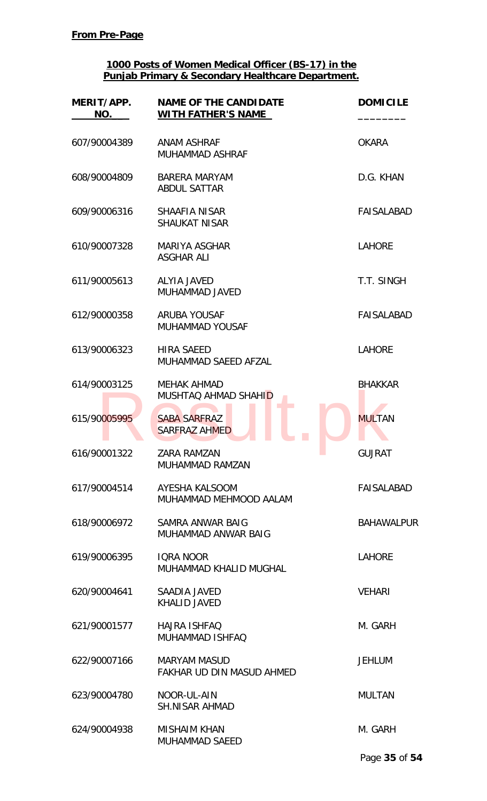| MERIT/APP.<br>NO. | <b>NAME OF THE CANDIDATE</b><br><b>WITH FATHER'S NAME</b> | <b>DOMICILE</b>   |
|-------------------|-----------------------------------------------------------|-------------------|
| 607/90004389      | <b>ANAM ASHRAF</b><br><b>MUHAMMAD ASHRAF</b>              | <b>OKARA</b>      |
| 608/90004809      | <b>BARERA MARYAM</b><br><b>ABDUL SATTAR</b>               | D.G. KHAN         |
| 609/90006316      | SHAAFIA NISAR<br><b>SHAUKAT NISAR</b>                     | <b>FAISALABAD</b> |
| 610/90007328      | MARIYA ASGHAR<br><b>ASGHAR ALI</b>                        | <b>LAHORE</b>     |
| 611/90005613      | <b>ALYIA JAVED</b><br>MUHAMMAD JAVED                      | T.T. SINGH        |
| 612/90000358      | <b>ARUBA YOUSAF</b><br><b>MUHAMMAD YOUSAF</b>             | <b>FAISALABAD</b> |
| 613/90006323      | <b>HIRA SAEED</b><br>MUHAMMAD SAEED AFZAL                 | <b>LAHORE</b>     |
| 614/90003125      | <b>MEHAK AHMAD</b><br>MUSHTAQ AHMAD SHAHID                | <b>BHAKKAR</b>    |
| 615/90005995      | <b>SABA SARFRAZ</b><br><b>SARFRAZ AHMED</b>               | <b>MULTAN</b>     |
| 616/90001322      | ZARA RAMZAN<br>MUHAMMAD RAMZAN                            | <b>GUJRAT</b>     |
| 617/90004514      | AYESHA KALSOOM<br>MUHAMMAD MEHMOOD AALAM                  | FAISALABAD        |
| 618/90006972      | SAMRA ANWAR BAIG<br>MUHAMMAD ANWAR BAIG                   | <b>BAHAWALPUR</b> |
| 619/90006395      | <b>IQRA NOOR</b><br>MUHAMMAD KHALID MUGHAL                | <b>LAHORE</b>     |
| 620/90004641      | SAADIA JAVED<br><b>KHALID JAVED</b>                       | <b>VEHARI</b>     |
| 621/90001577      | <b>HAJRA ISHFAQ</b><br><b>MUHAMMAD ISHFAQ</b>             | M. GARH           |
| 622/90007166      | <b>MARYAM MASUD</b><br>FAKHAR UD DIN MASUD AHMED          | <b>JEHLUM</b>     |
| 623/90004780      | NOOR-UL-AIN<br><b>SH.NISAR AHMAD</b>                      | <b>MULTAN</b>     |
| 624/90004938      | <b>MISHAIM KHAN</b><br><b>MUHAMMAD SAEED</b>              | M. GARH           |
|                   |                                                           | Page 35 of 54     |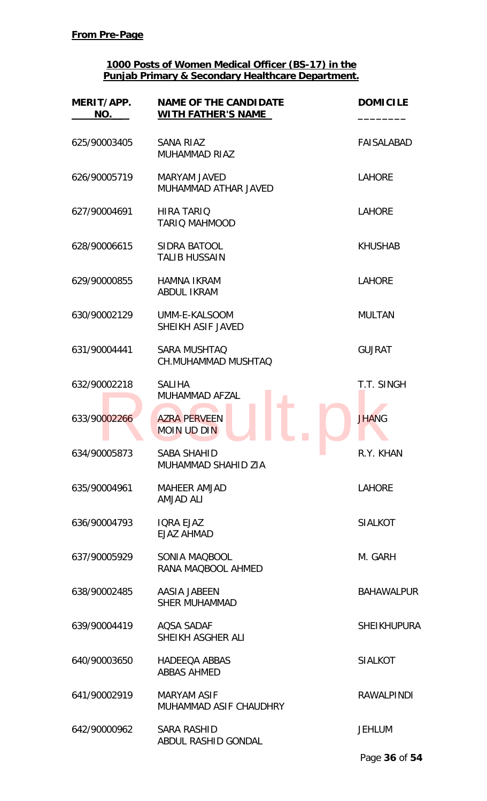| MERIT/APP.<br>NO. | <b>NAME OF THE CANDIDATE</b><br><b>WITH FATHER'S NAME</b> | <b>DOMICILE</b>    |
|-------------------|-----------------------------------------------------------|--------------------|
| 625/90003405      | SANA RIAZ<br><b>MUHAMMAD RIAZ</b>                         | <b>FAISALABAD</b>  |
| 626/90005719      | <b>MARYAM JAVED</b><br>MUHAMMAD ATHAR JAVED               | <b>LAHORE</b>      |
| 627/90004691      | <b>HIRA TARIQ</b><br><b>TARIO MAHMOOD</b>                 | <b>LAHORE</b>      |
| 628/90006615      | SIDRA BATOOL<br><b>TALIB HUSSAIN</b>                      | <b>KHUSHAB</b>     |
| 629/90000855      | <b>HAMNA IKRAM</b><br><b>ABDUL IKRAM</b>                  | <b>LAHORE</b>      |
| 630/90002129      | UMM-E-KALSOOM<br>SHEIKH ASIF JAVED                        | <b>MULTAN</b>      |
| 631/90004441      | <b>SARA MUSHTAQ</b><br>CH.MUHAMMAD MUSHTAQ                | <b>GUJRAT</b>      |
| 632/90002218      | <b>SALIHA</b><br>MUHAMMAD AFZAL                           | T.T. SINGH         |
| 633/90002266      | <b>AZRA PERVEEN</b><br><b>MOIN UD DIN</b>                 | <b>JHANG</b>       |
| 634/90005873      | <b>SABA SHAHID</b><br>MUHAMMAD SHAHID ZIA                 | R.Y. KHAN          |
| 635/90004961      | <b>MAHEER AMJAD</b><br><b>AMJAD ALI</b>                   | <b>LAHORE</b>      |
| 636/90004793      | <b>IORA EJAZ</b><br><b>EJAZ AHMAD</b>                     | <b>SIALKOT</b>     |
| 637/90005929      | SONIA MAQBOOL<br>RANA MAQBOOL AHMED                       | M. GARH            |
| 638/90002485      | AASIA JABEEN<br><b>SHER MUHAMMAD</b>                      | <b>BAHAWALPUR</b>  |
| 639/90004419      | <b>AQSA SADAF</b><br>SHEIKH ASGHER ALI                    | <b>SHEIKHUPURA</b> |
| 640/90003650      | <b>HADEEQA ABBAS</b><br><b>ABBAS AHMED</b>                | <b>SIALKOT</b>     |
| 641/90002919      | <b>MARYAM ASIF</b><br>MUHAMMAD ASIF CHAUDHRY              | <b>RAWALPINDI</b>  |
| 642/90000962      | <b>SARA RASHID</b><br>ABDUL RASHID GONDAL                 | <b>JEHLUM</b>      |
|                   |                                                           | Page 36 of 54      |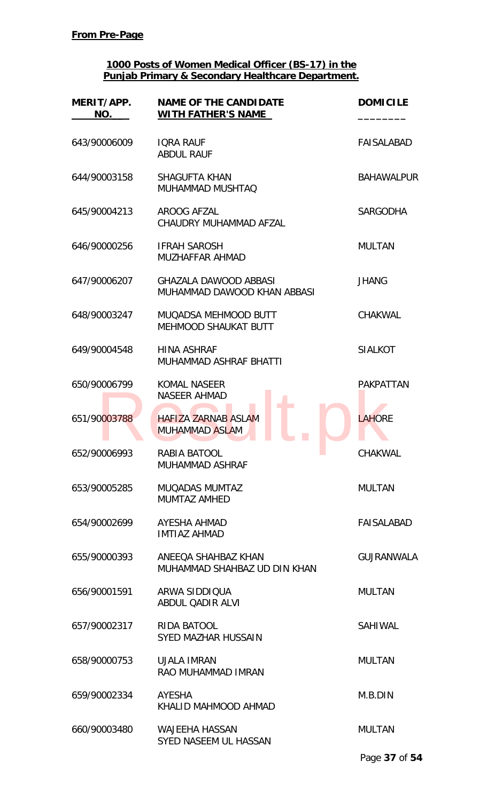| MERIT/APP.<br>NO. | <b>NAME OF THE CANDIDATE</b><br><b>WITH FATHER'S NAME</b>   | <b>DOMICILE</b>   |
|-------------------|-------------------------------------------------------------|-------------------|
| 643/90006009      | <b>IORA RAUF</b><br><b>ABDUL RAUF</b>                       | <b>FAISALABAD</b> |
| 644/90003158      | <b>SHAGUFTA KHAN</b><br>MUHAMMAD MUSHTAQ                    | <b>BAHAWALPUR</b> |
| 645/90004213      | AROOG AFZAL<br>CHAUDRY MUHAMMAD AFZAL                       | <b>SARGODHA</b>   |
| 646/90000256      | <b>IFRAH SAROSH</b><br>MUZHAFFAR AHMAD                      | <b>MULTAN</b>     |
| 647/90006207      | <b>GHAZALA DAWOOD ABBASI</b><br>MUHAMMAD DAWOOD KHAN ABBASI | <b>JHANG</b>      |
| 648/90003247      | MUQADSA MEHMOOD BUTT<br><b>MEHMOOD SHAUKAT BUTT</b>         | <b>CHAKWAL</b>    |
| 649/90004548      | <b>HINA ASHRAF</b><br>MUHAMMAD ASHRAF BHATTI                | <b>SIALKOT</b>    |
| 650/90006799      | <b>KOMAL NASEER</b><br><b>NASEER AHMAD</b>                  | <b>PAKPATTAN</b>  |
| 651/90003788      | <b>HAFIZA ZARNAB ASLAM</b><br><b>MUHAMMAD ASLAM</b>         | <b>LAHORE</b>     |
| 652/90006993      | RABIA BATOOL<br><b>MUHAMMAD ASHRAF</b>                      | <b>CHAKWAL</b>    |
| 653/90005285      | <b>MUQADAS MUMTAZ</b><br><b>MUMTAZ AMHED</b>                | <b>MULTAN</b>     |
| 654/90002699      | AYESHA AHMAD<br><b>IMTIAZ AHMAD</b>                         | FAISALABAD        |
| 655/90000393      | ANEEOA SHAHBAZ KHAN<br>MUHAMMAD SHAHBAZ UD DIN KHAN         | <b>GUJRANWALA</b> |
| 656/90001591      | ARWA SIDDIQUA<br>ABDUL QADIR ALVI                           | <b>MULTAN</b>     |
| 657/90002317      | RIDA BATOOL<br><b>SYED MAZHAR HUSSAIN</b>                   | <b>SAHIWAL</b>    |
| 658/90000753      | <b>UJALA IMRAN</b><br>RAO MUHAMMAD IMRAN                    | <b>MULTAN</b>     |
| 659/90002334      | AYESHA<br>KHALID MAHMOOD AHMAD                              | M.B.DIN           |
| 660/90003480      | <b>WAJEEHA HASSAN</b><br>SYED NASEEM UL HASSAN              | <b>MULTAN</b>     |
|                   |                                                             | Page 37 of 54     |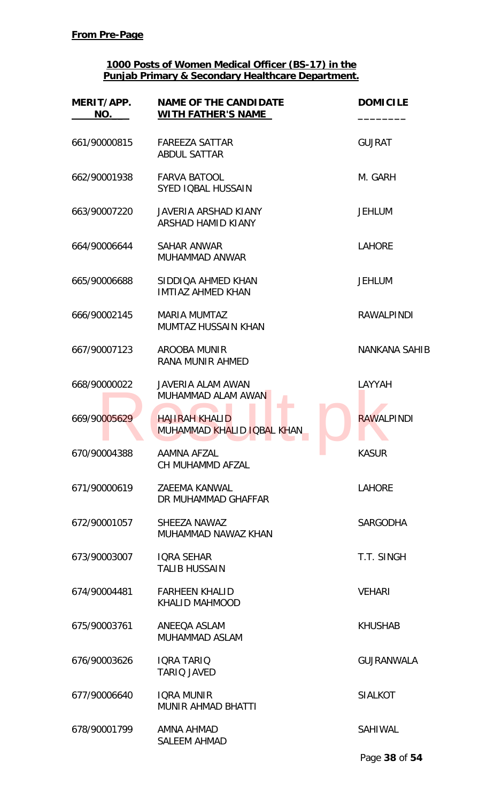| MERIT/APP.<br>NO. | <b>NAME OF THE CANDIDATE</b><br>WITH FATHER'S NAME  | <b>DOMICILE</b>      |
|-------------------|-----------------------------------------------------|----------------------|
| 661/90000815      | <b>FAREEZA SATTAR</b><br><b>ABDUL SATTAR</b>        | <b>GUJRAT</b>        |
| 662/90001938      | <b>FARVA BATOOL</b><br><b>SYED IQBAL HUSSAIN</b>    | M. GARH              |
| 663/90007220      | <b>JAVERIA ARSHAD KIANY</b><br>ARSHAD HAMID KIANY   | <b>JEHLUM</b>        |
| 664/90006644      | SAHAR ANWAR<br>MUHAMMAD ANWAR                       | <b>LAHORE</b>        |
| 665/90006688      | SIDDIQA AHMED KHAN<br><b>IMTIAZ AHMED KHAN</b>      | <b>JEHLUM</b>        |
| 666/90002145      | <b>MARIA MUMTAZ</b><br><b>MUMTAZ HUSSAIN KHAN</b>   | <b>RAWALPINDI</b>    |
| 667/90007123      | AROOBA MUNIR<br>RANA MUNIR AHMED                    | <b>NANKANA SAHIB</b> |
| 668/90000022      | <b>JAVERIA ALAM AWAN</b><br>MUHAMMAD ALAM AWAN      | LAYYAH               |
| 669/90005629      | <b>HAJIRAH KHALID</b><br>MUHAMMAD KHALID IQBAL KHAN | <b>RAWALPINDI</b>    |
| 670/90004388      | <b>AAMNA AFZAL</b><br>CH MUHAMMD AFZAL              | <b>KASUR</b>         |
| 671/90000619      | ZAEEMA KANWAL<br>DR MUHAMMAD GHAFFAR                | <b>LAHORE</b>        |
| 672/90001057      | SHEEZA NAWAZ<br>MUHAMMAD NAWAZ KHAN                 | <b>SARGODHA</b>      |
| 673/90003007      | <b>IQRA SEHAR</b><br><b>TALIB HUSSAIN</b>           | T.T. SINGH           |
| 674/90004481      | <b>FARHEEN KHALID</b><br>KHALID MAHMOOD             | <b>VEHARI</b>        |
| 675/90003761      | ANEEQA ASLAM<br><b>MUHAMMAD ASLAM</b>               | <b>KHUSHAB</b>       |
| 676/90003626      | <b>IQRA TARIQ</b><br><b>TARIO JAVED</b>             | <b>GUJRANWALA</b>    |
| 677/90006640      | <b>IQRA MUNIR</b><br><b>MUNIR AHMAD BHATTI</b>      | <b>SIALKOT</b>       |
| 678/90001799      | AMNA AHMAD<br><b>SALEEM AHMAD</b>                   | SAHIWAL              |

Page **38** of **54**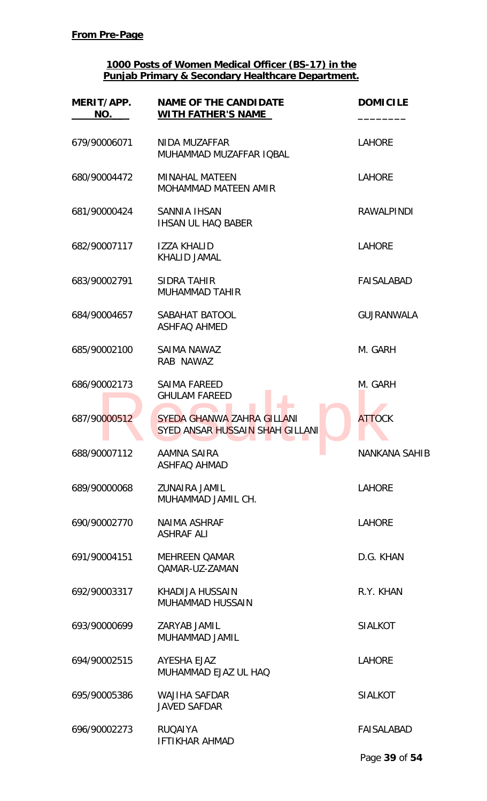| MERIT/APP.<br>NO. | <b>NAME OF THE CANDIDATE</b><br><b>WITH FATHER'S NAME</b>     | <b>DOMICILE</b>   |
|-------------------|---------------------------------------------------------------|-------------------|
| 679/90006071      | NIDA MUZAFFAR<br>MUHAMMAD MUZAFFAR IQBAL                      | <b>LAHORE</b>     |
| 680/90004472      | <b>MINAHAL MATEEN</b><br><b>MOHAMMAD MATEEN AMIR</b>          | <b>LAHORE</b>     |
| 681/90000424      | <b>SANNIA IHSAN</b><br><b>IHSAN UL HAQ BABER</b>              | <b>RAWALPINDI</b> |
| 682/90007117      | <b>IZZA KHALID</b><br>KHALID JAMAL                            | <b>LAHORE</b>     |
| 683/90002791      | <b>SIDRA TAHIR</b><br><b>MUHAMMAD TAHIR</b>                   | FAISALABAD        |
| 684/90004657      | SABAHAT BATOOL<br><b>ASHFAQ AHMED</b>                         | <b>GUJRANWALA</b> |
| 685/90002100      | SAIMA NAWAZ<br>RAB NAWAZ                                      | M. GARH           |
| 686/90002173      | <b>SAIMA FAREED</b><br><b>GHULAM FAREED</b>                   | M. GARH           |
| 687/90000512      | SYEDA GHANWA ZAHRA GILLANI<br>SYED ANSAR HUSSAIN SHAH GILLANI | <b>ATTOCK</b>     |
| 688/90007112      | AAMNA SAIRA<br>a a<br><b>ASHFAQ AHMAD</b>                     | NANKANA SAHIB     |
| 689/90000068      | <b>ZUNAIRA JAMIL</b><br>MUHAMMAD JAMIL CH.                    | <b>LAHORE</b>     |
| 690/90002770      | <b>NAIMA ASHRAF</b><br><b>ASHRAF ALI</b>                      | <b>LAHORE</b>     |
| 691/90004151      | <b>MEHREEN QAMAR</b><br><b>QAMAR-UZ-ZAMAN</b>                 | D.G. KHAN         |
| 692/90003317      | KHADIJA HUSSAIN<br><b>MUHAMMAD HUSSAIN</b>                    | R.Y. KHAN         |
| 693/90000699      | ZARYAB JAMIL<br>MUHAMMAD JAMIL                                | <b>SIALKOT</b>    |
| 694/90002515      | AYESHA EJAZ<br>MUHAMMAD EJAZ UL HAQ                           | <b>LAHORE</b>     |
| 695/90005386      | <b>WAJIHA SAFDAR</b><br><b>JAVED SAFDAR</b>                   | <b>SIALKOT</b>    |
| 696/90002273      | <b>RUQAIYA</b><br><b>IFTIKHAR AHMAD</b>                       | <b>FAISALABAD</b> |
|                   |                                                               | Page 39 of 54     |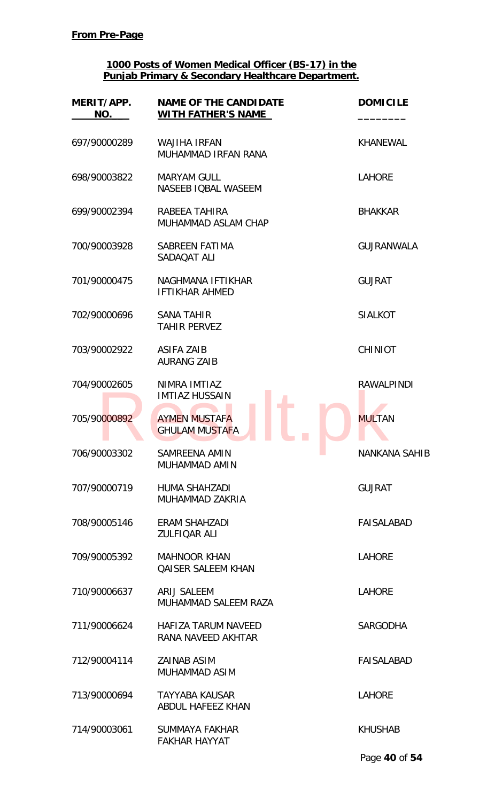| MERIT/APP.<br>NO. | <b>NAME OF THE CANDIDATE</b><br><b>WITH FATHER'S NAME</b> | <b>DOMICILE</b>      |
|-------------------|-----------------------------------------------------------|----------------------|
| 697/90000289      | <b>WAJIHA IRFAN</b><br>MUHAMMAD IRFAN RANA                | <b>KHANEWAL</b>      |
| 698/90003822      | <b>MARYAM GULL</b><br>NASEEB IQBAL WASEEM                 | <b>LAHORE</b>        |
| 699/90002394      | RABEEA TAHIRA<br>MUHAMMAD ASLAM CHAP                      | <b>BHAKKAR</b>       |
| 700/90003928      | <b>SABREEN FATIMA</b><br>SADAOAT ALI                      | <b>GUJRANWALA</b>    |
| 701/90000475      | NAGHMANA IFTIKHAR<br><b>IFTIKHAR AHMED</b>                | <b>GUJRAT</b>        |
| 702/90000696      | <b>SANA TAHIR</b><br><b>TAHIR PERVEZ</b>                  | <b>SIALKOT</b>       |
| 703/90002922      | <b>ASIFA ZAIB</b><br><b>AURANG ZAIB</b>                   | <b>CHINIOT</b>       |
| 704/90002605      | NIMRA IMTIAZ<br><b>IMTIAZ HUSSAIN</b>                     | <b>RAWALPINDI</b>    |
| 705/90000892      | <b>AYMEN MUSTAFA</b><br><b>GHULAM MUSTAFA</b>             | <b>MULTAN</b>        |
| 706/90003302      | SAMREENA AMIN<br>MUHAMMAD AMIN                            | <b>NANKANA SAHIB</b> |
| 707/90000719      | HUMA SHAHZADI<br>MUHAMMAD ZAKRIA                          | <b>GUJRAT</b>        |
| 708/90005146      | ERAM SHAHZADI<br><b>ZULFIQAR ALI</b>                      | <b>FAISALABAD</b>    |
| 709/90005392      | <b>MAHNOOR KHAN</b><br><b>QAISER SALEEM KHAN</b>          | <b>LAHORE</b>        |
| 710/90006637      | ARIJ SALEEM<br>MUHAMMAD SALEEM RAZA                       | <b>LAHORE</b>        |
| 711/90006624      | HAFIZA TARUM NAVEED<br>RANA NAVEED AKHTAR                 | <b>SARGODHA</b>      |
| 712/90004114      | <b>ZAINAB ASIM</b><br>MUHAMMAD ASIM                       | <b>FAISALABAD</b>    |
| 713/90000694      | <b>TAYYABA KAUSAR</b><br>ABDUL HAFEEZ KHAN                | <b>LAHORE</b>        |
| 714/90003061      | <b>SUMMAYA FAKHAR</b><br><b>FAKHAR HAYYAT</b>             | <b>KHUSHAB</b>       |

Page **40** of **54**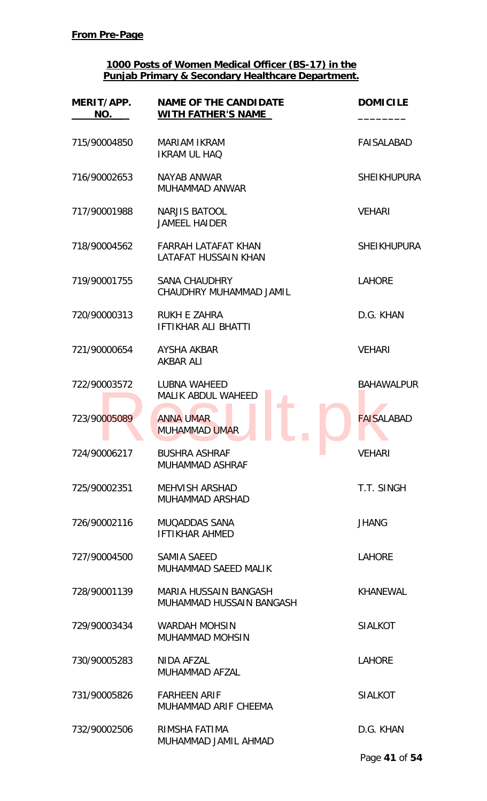| MERIT/APP.<br>NO. | <b>NAME OF THE CANDIDATE</b><br><b>WITH FATHER'S NAME</b> | <b>DOMICILE</b>    |
|-------------------|-----------------------------------------------------------|--------------------|
| 715/90004850      | <b>MARIAM IKRAM</b><br><b>IKRAM UL HAQ</b>                | <b>FAISALABAD</b>  |
| 716/90002653      | NAYAB ANWAR<br>MUHAMMAD ANWAR                             | <b>SHEIKHUPURA</b> |
| 717/90001988      | NARJIS BATOOL<br><b>JAMEEL HAIDER</b>                     | <b>VEHARI</b>      |
| 718/90004562      | FARRAH LATAFAT KHAN<br>LATAFAT HUSSAIN KHAN               | <b>SHEIKHUPURA</b> |
| 719/90001755      | <b>SANA CHAUDHRY</b><br>CHAUDHRY MUHAMMAD JAMIL           | <b>LAHORE</b>      |
| 720/90000313      | RUKH E ZAHRA<br><b>IFTIKHAR ALI BHATTI</b>                | D.G. KHAN          |
| 721/90000654      | AYSHA AKBAR<br><b>AKBAR ALI</b>                           | <b>VEHARI</b>      |
| 722/90003572      | LUBNA WAHEED<br><b>MALIK ABDUL WAHEED</b>                 | <b>BAHAWALPUR</b>  |
| 723/90005089      | <b>ANNA UMAR</b><br><b>MUHAMMAD UMAR</b>                  | <b>FAISALABAD</b>  |
| 724/90006217      | <b>BUSHRA ASHRAF</b><br>a a<br><b>MUHAMMAD ASHRAF</b>     | VEHARI             |
| 725/90002351      | <b>MEHVISH ARSHAD</b><br><b>MUHAMMAD ARSHAD</b>           | T.T. SINGH         |
| 726/90002116      | MUQADDAS SANA<br><b>IFTIKHAR AHMED</b>                    | <b>JHANG</b>       |
| 727/90004500      | <b>SAMIA SAEED</b><br>MUHAMMAD SAEED MALIK                | <b>LAHORE</b>      |
| 728/90001139      | MARIA HUSSAIN BANGASH<br>MUHAMMAD HUSSAIN BANGASH         | KHANEWAL           |
| 729/90003434      | <b>WARDAH MOHSIN</b><br><b>MUHAMMAD MOHSIN</b>            | <b>SIALKOT</b>     |
| 730/90005283      | NIDA AFZAL<br>MUHAMMAD AFZAL                              | <b>LAHORE</b>      |
| 731/90005826      | <b>FARHEEN ARIF</b><br>MUHAMMAD ARIF CHEEMA               | <b>SIALKOT</b>     |
| 732/90002506      | RIMSHA FATIMA<br>MUHAMMAD JAMIL AHMAD                     | D.G. KHAN          |
|                   |                                                           | Page 41 of 54      |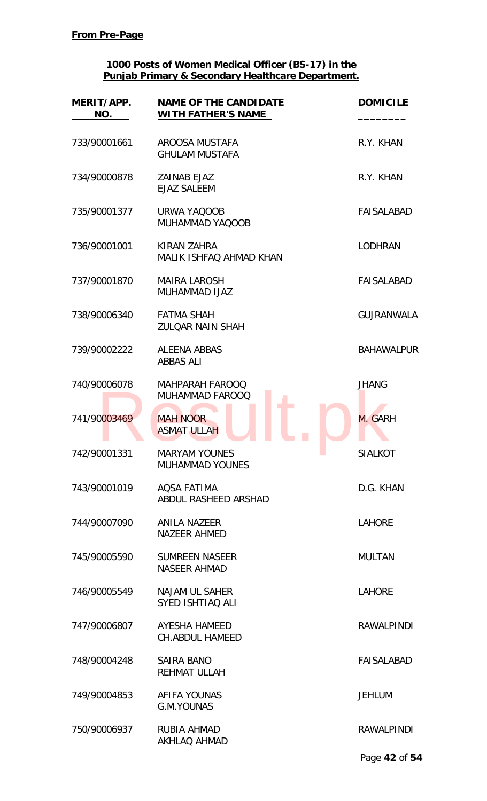| MERIT/APP.<br>NO. | <b>NAME OF THE CANDIDATE</b><br><b>WITH FATHER'S NAME</b> | <b>DOMICILE</b>   |
|-------------------|-----------------------------------------------------------|-------------------|
| 733/90001661      | AROOSA MUSTAFA<br><b>GHULAM MUSTAFA</b>                   | R.Y. KHAN         |
| 734/90000878      | <b>ZAINAB EJAZ</b><br><b>EJAZ SALEEM</b>                  | R.Y. KHAN         |
| 735/90001377      | URWA YAQOOB<br>MUHAMMAD YAQOOB                            | <b>FAISALABAD</b> |
| 736/90001001      | KIRAN ZAHRA<br>MALIK ISHFAQ AHMAD KHAN                    | <b>LODHRAN</b>    |
| 737/90001870      | <b>MAIRA LAROSH</b><br><b>MUHAMMAD IJAZ</b>               | FAISALABAD        |
| 738/90006340      | <b>FATMA SHAH</b><br><b>ZULOAR NAIN SHAH</b>              | <b>GUJRANWALA</b> |
| 739/90002222      | <b>ALEENA ABBAS</b><br><b>ABBAS ALI</b>                   | <b>BAHAWALPUR</b> |
| 740/90006078      | <b>MAHPARAH FAROOQ</b><br><b>MUHAMMAD FAROOQ</b>          | <b>JHANG</b>      |
| 741/90003469      | <b>MAH NOOR</b><br><b>ASMAT ULLAH</b>                     | M. GARH           |
| 742/90001331      | <b>MARYAM YOUNES</b><br>a a<br><b>MUHAMMAD YOUNES</b>     | SIALKOT           |
| 743/90001019      | <b>AQSA FATIMA</b><br>ABDUL RASHEED ARSHAD                | D.G. KHAN         |
| 744/90007090      | <b>ANILA NAZEER</b><br><b>NAZEER AHMED</b>                | <b>LAHORE</b>     |
| 745/90005590      | <b>SUMREEN NASEER</b><br><b>NASEER AHMAD</b>              | <b>MULTAN</b>     |
| 746/90005549      | NAJAM UL SAHER<br>SYED ISHTIAQ ALI                        | <b>LAHORE</b>     |
| 747/90006807      | <b>AYESHA HAMEED</b><br><b>CH.ABDUL HAMEED</b>            | <b>RAWALPINDI</b> |
| 748/90004248      | <b>SAIRA BANO</b><br><b>REHMAT ULLAH</b>                  | <b>FAISALABAD</b> |
| 749/90004853      | AFIFA YOUNAS<br><b>G.M.YOUNAS</b>                         | <b>JEHLUM</b>     |
| 750/90006937      | <b>RUBIA AHMAD</b><br><b>AKHLAQ AHMAD</b>                 | <b>RAWALPINDI</b> |
|                   |                                                           | Page 42 of 54     |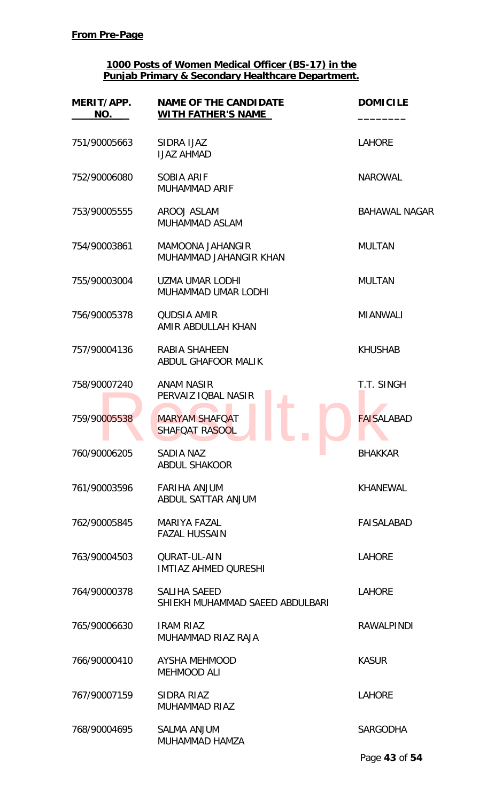| MERIT/APP.<br>NO. | <b>NAME OF THE CANDIDATE</b><br><b>WITH FATHER'S NAME</b> | <b>DOMICILE</b>      |
|-------------------|-----------------------------------------------------------|----------------------|
| 751/90005663      | SIDRA IJAZ<br><b>IJAZ AHMAD</b>                           | <b>LAHORE</b>        |
| 752/90006080      | <b>SOBIA ARIF</b><br><b>MUHAMMAD ARIF</b>                 | <b>NAROWAL</b>       |
| 753/90005555      | AROOJ ASLAM<br><b>MUHAMMAD ASLAM</b>                      | <b>BAHAWAL NAGAR</b> |
| 754/90003861      | MAMOONA JAHANGIR<br>MUHAMMAD JAHANGIR KHAN                | <b>MULTAN</b>        |
| 755/90003004      | <b>UZMA UMAR LODHI</b><br><b>MUHAMMAD UMAR LODHI</b>      | <b>MULTAN</b>        |
| 756/90005378      | <b>QUDSIA AMIR</b><br>AMIR ABDULLAH KHAN                  | <b>MIANWALI</b>      |
| 757/90004136      | RABIA SHAHEEN<br>ABDUL GHAFOOR MALIK                      | <b>KHUSHAB</b>       |
| 758/90007240      | <b>ANAM NASIR</b><br>PERVAIZ IQBAL NASIR                  | T.T. SINGH           |
| 759/90005538      | <b>MARYAM SHAFOAT</b><br><b>SHAFOAT RASOOL</b>            | <b>FAISALABAD</b>    |
| 760/90006205      | <b>SADIA NAZ</b><br>a a<br><b>ABDUL SHAKOOR</b>           | <b>BHAKKAR</b>       |
| 761/90003596      | <b>FARIHA ANJUM</b><br>ABDUL SATTAR ANJUM                 | <b>KHANEWAL</b>      |
| 762/90005845      | <b>MARIYA FAZAL</b><br><b>FAZAL HUSSAIN</b>               | <b>FAISALABAD</b>    |
| 763/90004503      | <b>QURAT-UL-AIN</b><br><b>IMTIAZ AHMED QURESHI</b>        | <b>LAHORE</b>        |
| 764/90000378      | SALIHA SAEED<br>SHIEKH MUHAMMAD SAEED ABDULBARI           | <b>LAHORE</b>        |
| 765/90006630      | <b>IRAM RIAZ</b><br>MUHAMMAD RIAZ RAJA                    | <b>RAWALPINDI</b>    |
| 766/90000410      | <b>AYSHA MEHMOOD</b><br><b>MEHMOOD ALI</b>                | <b>KASUR</b>         |
| 767/90007159      | SIDRA RIAZ<br><b>MUHAMMAD RIAZ</b>                        | <b>LAHORE</b>        |
| 768/90004695      | <b>SALMA ANJUM</b><br>MUHAMMAD HAMZA                      | <b>SARGODHA</b>      |
|                   |                                                           | Page 43 of 54        |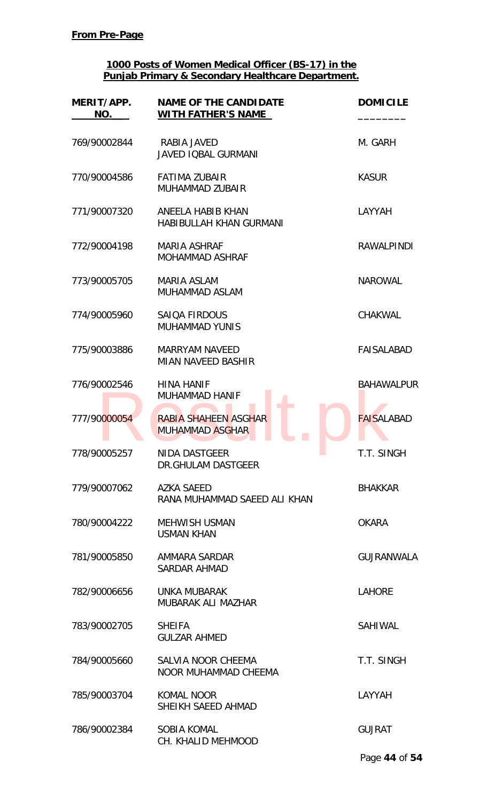| MERIT/APP.<br>NO. | <b>NAME OF THE CANDIDATE</b><br>WITH FATHER'S NAME  | <b>DOMICILE</b>   |
|-------------------|-----------------------------------------------------|-------------------|
| 769/90002844      | RABIA JAVED<br><b>JAVED IOBAL GURMANI</b>           | M. GARH           |
| 770/90004586      | <b>FATIMA ZUBAIR</b><br>MUHAMMAD ZUBAIR             | <b>KASUR</b>      |
| 771/90007320      | ANEELA HABIB KHAN<br><b>HABIBULLAH KHAN GURMANI</b> | LAYYAH            |
| 772/90004198      | <b>MARIA ASHRAF</b><br><b>MOHAMMAD ASHRAF</b>       | <b>RAWALPINDI</b> |
| 773/90005705      | <b>MARIA ASLAM</b><br>MUHAMMAD ASLAM                | <b>NAROWAL</b>    |
| 774/90005960      | <b>SAIQA FIRDOUS</b><br><b>MUHAMMAD YUNIS</b>       | CHAKWAL           |
| 775/90003886      | <b>MARRYAM NAVEED</b><br><b>MIAN NAVEED BASHIR</b>  | <b>FAISALABAD</b> |
| 776/90002546      | <b>HINA HANIF</b><br><b>MUHAMMAD HANIF</b>          | <b>BAHAWALPUR</b> |
| 777/90000054      | RABIA SHAHEEN ASGHAR<br><b>MUHAMMAD ASGHAR</b>      | <b>FAISALABAD</b> |
| 778/90005257      | <b>NIDA DASTGEER</b><br>DR.GHULAM DASTGEER          | T.T. SINGH        |
| 779/90007062      | <b>AZKA SAEED</b><br>RANA MUHAMMAD SAEED ALI KHAN   | <b>BHAKKAR</b>    |
| 780/90004222      | <b>MEHWISH USMAN</b><br><b>USMAN KHAN</b>           | <b>OKARA</b>      |
| 781/90005850      | AMMARA SARDAR<br><b>SARDAR AHMAD</b>                | <b>GUJRANWALA</b> |
| 782/90006656      | UNKA MUBARAK<br>MUBARAK ALI MAZHAR                  | <b>LAHORE</b>     |
| 783/90002705      | <b>SHEIFA</b><br><b>GULZAR AHMED</b>                | <b>SAHIWAL</b>    |
| 784/90005660      | SALVIA NOOR CHEEMA<br>NOOR MUHAMMAD CHEEMA          | T.T. SINGH        |
| 785/90003704      | <b>KOMAL NOOR</b><br>SHEIKH SAEED AHMAD             | LAYYAH            |
| 786/90002384      | <b>SOBIA KOMAL</b><br>CH. KHALID MEHMOOD            | <b>GUJRAT</b>     |
|                   |                                                     | Page 44 of 54     |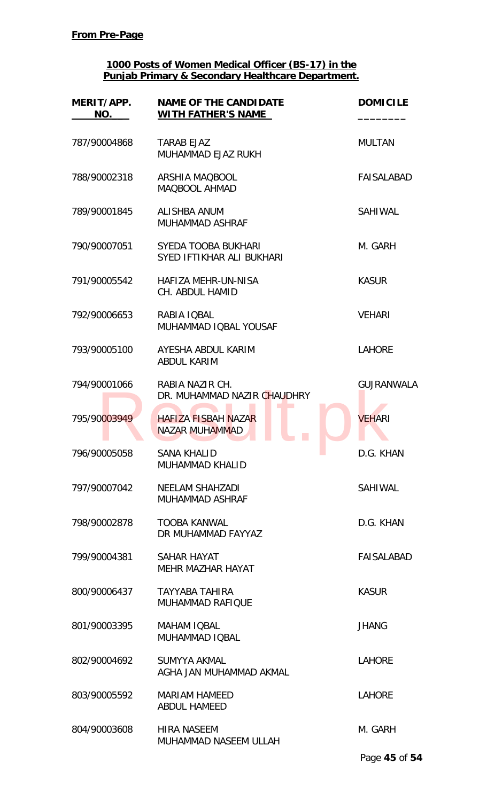| MERIT/APP.<br>NO. | <b>NAME OF THE CANDIDATE</b><br><b>WITH FATHER'S NAME</b> | <b>DOMICILE</b>   |
|-------------------|-----------------------------------------------------------|-------------------|
| 787/90004868      | <b>TARAB EJAZ</b><br>MUHAMMAD EJAZ RUKH                   | <b>MULTAN</b>     |
| 788/90002318      | ARSHIA MAQBOOL<br>MAQBOOL AHMAD                           | FAISALABAD        |
| 789/90001845      | ALISHBA ANUM<br><b>MUHAMMAD ASHRAF</b>                    | <b>SAHIWAL</b>    |
| 790/90007051      | <b>SYEDA TOOBA BUKHARI</b><br>SYED IFTIKHAR ALI BUKHARI   | M. GARH           |
| 791/90005542      | <b>HAFIZA MEHR-UN-NISA</b><br>CH. ABDUL HAMID             | <b>KASUR</b>      |
| 792/90006653      | RABIA IQBAL<br>MUHAMMAD IQBAL YOUSAF                      | <b>VEHARI</b>     |
| 793/90005100      | AYESHA ABDUL KARIM<br><b>ABDUL KARIM</b>                  | <b>LAHORE</b>     |
| 794/90001066      | RABIA NAZIR CH.<br>DR. MUHAMMAD NAZIR CHAUDHRY            | <b>GUJRANWALA</b> |
| 795/90003949      | <b>HAFIZA FISBAH NAZAR</b><br><b>NAZAR MUHAMMAD</b>       | <b>VEHARI</b>     |
| 796/90005058      | <b>SANA KHALID</b><br><b>MUHAMMAD KHALID</b>              | D.G. KHAN         |
| 797/90007042      | NEELAM SHAHZADI<br><b>MUHAMMAD ASHRAF</b>                 | SAHIWAL           |
| 798/90002878      | <b>TOOBA KANWAL</b><br>DR MUHAMMAD FAYYAZ                 | D.G. KHAN         |
| 799/90004381      | SAHAR HAYAT<br><b>MEHR MAZHAR HAYAT</b>                   | FAISALABAD        |
| 800/90006437      | <b>TAYYABA TAHIRA</b><br><b>MUHAMMAD RAFIQUE</b>          | <b>KASUR</b>      |
| 801/90003395      | <b>MAHAM IQBAL</b><br>MUHAMMAD IQBAL                      | <b>JHANG</b>      |
| 802/90004692      | SUMYYA AKMAL<br>AGHA JAN MUHAMMAD AKMAL                   | <b>LAHORE</b>     |
| 803/90005592      | <b>MARIAM HAMEED</b><br><b>ABDUL HAMEED</b>               | <b>LAHORE</b>     |
| 804/90003608      | <b>HIRA NASEEM</b><br>MUHAMMAD NASEEM ULLAH               | M. GARH           |
|                   |                                                           | Page 45 of 54     |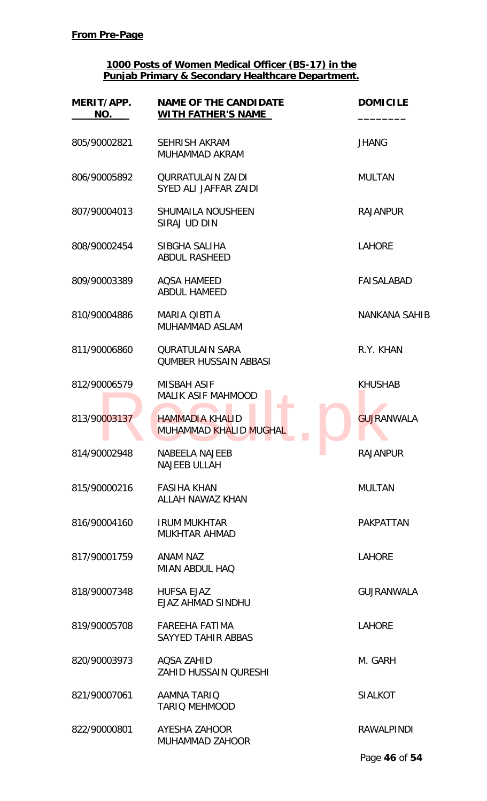| MERIT/APP.<br>NO. | <b>NAME OF THE CANDIDATE</b><br><b>WITH FATHER'S NAME</b> | <b>DOMICILE</b>      |
|-------------------|-----------------------------------------------------------|----------------------|
| 805/90002821      | <b>SEHRISH AKRAM</b><br>MUHAMMAD AKRAM                    | <b>JHANG</b>         |
| 806/90005892      | <b>QURRATULAIN ZAIDI</b><br>SYED ALI JAFFAR ZAIDI         | <b>MULTAN</b>        |
| 807/90004013      | <b>SHUMAILA NOUSHEEN</b><br>SIRAJ UD DIN                  | <b>RAJANPUR</b>      |
| 808/90002454      | SIBGHA SALIHA<br><b>ABDUL RASHEED</b>                     | <b>LAHORE</b>        |
| 809/90003389      | <b>AOSA HAMEED</b><br><b>ABDUL HAMEED</b>                 | <b>FAISALABAD</b>    |
| 810/90004886      | <b>MARIA QIBTIA</b><br>MUHAMMAD ASLAM                     | <b>NANKANA SAHIB</b> |
| 811/90006860      | <b>QURATULAIN SARA</b><br><b>QUMBER HUSSAIN ABBASI</b>    | R.Y. KHAN            |
| 812/90006579      | <b>MISBAH ASIF</b><br><b>MALIK ASIF MAHMOOD</b>           | <b>KHUSHAB</b>       |
| 813/90003137      | <b>HAMMADIA KHALID</b><br>MUHAMMAD KHALID MUGHAL          | <b>GUJRANWALA</b>    |
| 814/90002948      | <b>NABEELA NAJEEB</b><br><b>NAJEEB ULLAH</b>              | <b>RAJANPUR</b>      |
| 815/90000216      | <b>FASIHA KHAN</b><br>ALLAH NAWAZ KHAN                    | <b>MULTAN</b>        |
| 816/90004160      | <b>IRUM MUKHTAR</b><br><b>MUKHTAR AHMAD</b>               | <b>PAKPATTAN</b>     |
| 817/90001759      | ANAM NAZ<br><b>MIAN ABDUL HAQ</b>                         | <b>LAHORE</b>        |
| 818/90007348      | <b>HUFSA EJAZ</b><br>EJAZ AHMAD SINDHU                    | <b>GUJRANWALA</b>    |
| 819/90005708      | <b>FAREEHA FATIMA</b><br>SAYYED TAHIR ABBAS               | <b>LAHORE</b>        |
| 820/90003973      | AQSA ZAHID<br><b>ZAHID HUSSAIN QURESHI</b>                | M. GARH              |
| 821/90007061      | <b>AAMNA TARIQ</b><br><b>TARIO MEHMOOD</b>                | <b>SIALKOT</b>       |
| 822/90000801      | AYESHA ZAHOOR<br><b>MUHAMMAD ZAHOOR</b>                   | <b>RAWALPINDI</b>    |

Page **46** of **54**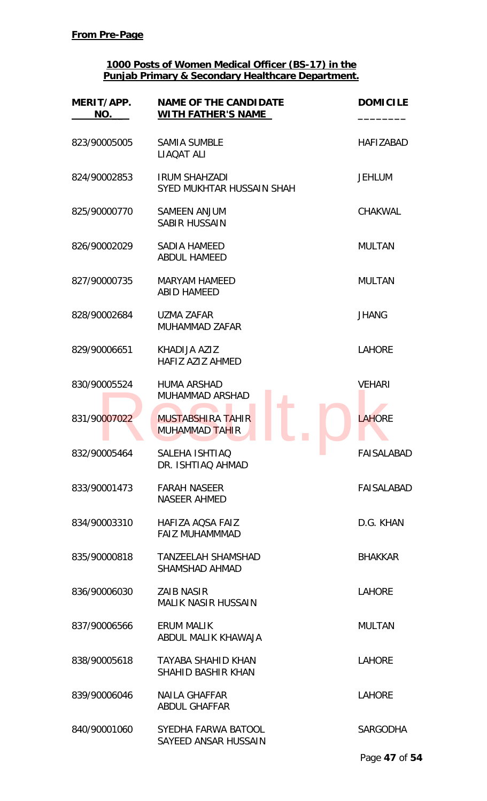| MERIT/APP.<br>NO. | <b>NAME OF THE CANDIDATE</b><br><b>WITH FATHER'S NAME</b> | <b>DOMICILE</b>   |
|-------------------|-----------------------------------------------------------|-------------------|
| 823/90005005      | <b>SAMIA SUMBLE</b><br>LIAQAT ALI                         | <b>HAFIZABAD</b>  |
| 824/90002853      | <b>IRUM SHAHZADI</b><br>SYED MUKHTAR HUSSAIN SHAH         | <b>JEHLUM</b>     |
| 825/90000770      | <b>SAMEEN ANJUM</b><br><b>SABIR HUSSAIN</b>               | <b>CHAKWAL</b>    |
| 826/90002029      | <b>SADIA HAMEED</b><br><b>ABDUL HAMEED</b>                | <b>MULTAN</b>     |
| 827/90000735      | <b>MARYAM HAMEED</b><br><b>ABID HAMEED</b>                | <b>MULTAN</b>     |
| 828/90002684      | <b>UZMA ZAFAR</b><br>MUHAMMAD ZAFAR                       | <b>JHANG</b>      |
| 829/90006651      | KHADIJA AZIZ<br><b>HAFIZ AZIZ AHMED</b>                   | <b>LAHORE</b>     |
| 830/90005524      | <b>HUMA ARSHAD</b><br><b>MUHAMMAD ARSHAD</b>              | <b>VEHARI</b>     |
| 831/90007022      | MUSTABSHIRA TAHIR<br><b>MUHAMMAD TAHIR</b>                | <b>LAHORE</b>     |
| 832/90005464      | SALEHA ISHTIAQ<br>DR. ISHTIAQ AHMAD                       | <b>FAISALABAD</b> |
| 833/90001473      | <b>FARAH NASEER</b><br><b>NASEER AHMED</b>                | FAISALABAD        |
| 834/90003310      | HAFIZA AOSA FAIZ<br><b>FAIZ MUHAMMMAD</b>                 | D.G. KHAN         |
| 835/90000818      | <b>TANZEELAH SHAMSHAD</b><br><b>SHAMSHAD AHMAD</b>        | <b>BHAKKAR</b>    |
| 836/90006030      | <b>ZAIB NASIR</b><br><b>MALIK NASIR HUSSAIN</b>           | <b>LAHORE</b>     |
| 837/90006566      | <b>ERUM MALIK</b><br>ABDUL MALIK KHAWAJA                  | <b>MULTAN</b>     |
| 838/90005618      | TAYABA SHAHID KHAN<br><b>SHAHID BASHIR KHAN</b>           | <b>LAHORE</b>     |
| 839/90006046      | NAILA GHAFFAR<br><b>ABDUL GHAFFAR</b>                     | <b>LAHORE</b>     |
| 840/90001060      | SYEDHA FARWA BATOOL<br>SAYEED ANSAR HUSSAIN               | <b>SARGODHA</b>   |
|                   |                                                           | Page 47 of 54     |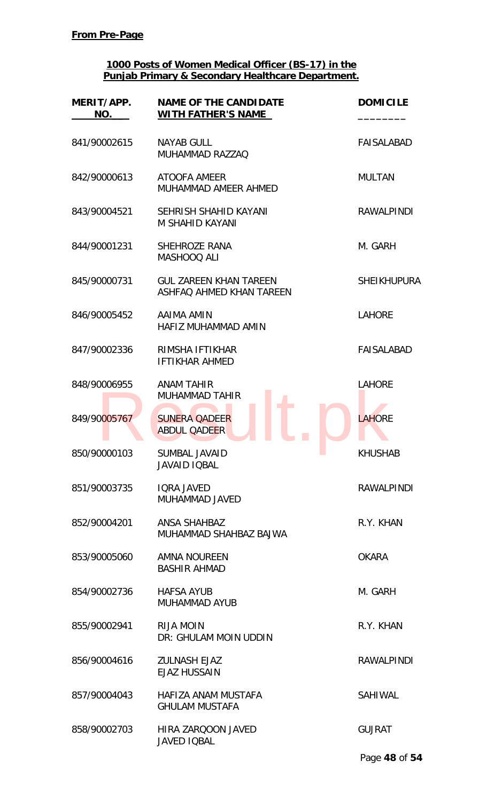| MERIT/APP.<br>NO. | <b>NAME OF THE CANDIDATE</b><br><b>WITH FATHER'S NAME</b>      | <b>DOMICILE</b>    |
|-------------------|----------------------------------------------------------------|--------------------|
| 841/90002615      | <b>NAYAB GULL</b><br>MUHAMMAD RAZZAQ                           | <b>FAISALABAD</b>  |
| 842/90000613      | <b>ATOOFA AMEER</b><br>MUHAMMAD AMEER AHMED                    | <b>MULTAN</b>      |
| 843/90004521      | SEHRISH SHAHID KAYANI<br>M SHAHID KAYANI                       | <b>RAWALPINDI</b>  |
| 844/90001231      | <b>SHEHROZE RANA</b><br>MASHOOQ ALI                            | M. GARH            |
| 845/90000731      | <b>GUL ZAREEN KHAN TAREEN</b><br>ASHFAQ AHMED KHAN TAREEN      | <b>SHEIKHUPURA</b> |
| 846/90005452      | AAIMA AMIN<br>HAFIZ MUHAMMAD AMIN                              | <b>LAHORE</b>      |
| 847/90002336      | RIMSHA IFTIKHAR<br><b>IFTIKHAR AHMED</b>                       | <b>FAISALABAD</b>  |
| 848/90006955      | <b>ANAM TAHIR</b><br><b>MUHAMMAD TAHIR</b>                     | <b>LAHORE</b>      |
| 849/90005767      | <b>SUNERA QADEER</b><br><b>ABDUL QADEER</b>                    | <b>LAHORE</b>      |
| 850/90000103      | <b>SUMBAL JAVAID</b><br><b>Contract</b><br><b>JAVAID IQBAL</b> | KHUSHAB            |
| 851/90003735      | <b>IQRA JAVED</b><br>MUHAMMAD JAVED                            | <b>RAWALPINDI</b>  |
| 852/90004201      | ANSA SHAHBAZ<br>MUHAMMAD SHAHBAZ BAJWA                         | R.Y. KHAN          |
| 853/90005060      | AMNA NOUREEN<br><b>BASHIR AHMAD</b>                            | <b>OKARA</b>       |
| 854/90002736      | <b>HAFSA AYUB</b><br><b>MUHAMMAD AYUB</b>                      | M. GARH            |
| 855/90002941      | <b>RIJA MOIN</b><br>DR: GHULAM MOIN UDDIN                      | R.Y. KHAN          |
| 856/90004616      | <b>ZULNASH EJAZ</b><br><b>EJAZ HUSSAIN</b>                     | <b>RAWALPINDI</b>  |
| 857/90004043      | HAFIZA ANAM MUSTAFA<br><b>GHULAM MUSTAFA</b>                   | SAHIWAL            |
| 858/90002703      | HIRA ZARQOON JAVED<br>JAVED IQBAL                              | <b>GUJRAT</b>      |
|                   |                                                                | Page 48 of 54      |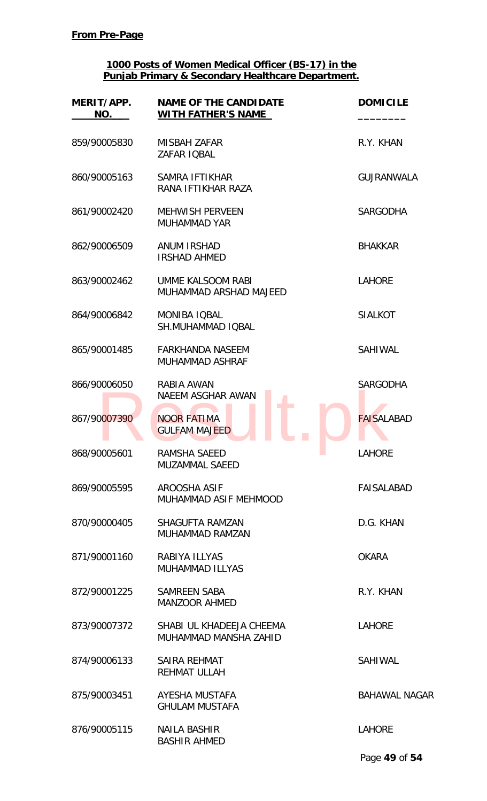| MERIT/APP.<br>NO. | <b>NAME OF THE CANDIDATE</b><br><b>WITH FATHER'S NAME</b> | <b>DOMICILE</b>      |
|-------------------|-----------------------------------------------------------|----------------------|
| 859/90005830      | <b>MISBAH ZAFAR</b><br>ZAFAR IQBAL                        | R.Y. KHAN            |
| 860/90005163      | SAMRA IFTIKHAR<br>RANA IFTIKHAR RAZA                      | <b>GUJRANWALA</b>    |
| 861/90002420      | <b>MEHWISH PERVEEN</b><br><b>MUHAMMAD YAR</b>             | <b>SARGODHA</b>      |
| 862/90006509      | <b>ANUM IRSHAD</b><br><b>IRSHAD AHMED</b>                 | <b>BHAKKAR</b>       |
| 863/90002462      | UMME KALSOOM RABI<br>MUHAMMAD ARSHAD MAJEED               | <b>LAHORE</b>        |
| 864/90006842      | <b>MONIBA IOBAL</b><br><b>SH.MUHAMMAD IQBAL</b>           | <b>SIALKOT</b>       |
| 865/90001485      | <b>FARKHANDA NASEEM</b><br><b>MUHAMMAD ASHRAF</b>         | SAHIWAL              |
| 866/90006050      | RABIA AWAN<br>NAEEM ASGHAR AWAN                           | <b>SARGODHA</b>      |
| 867/90007390      | <b>NOOR FATIMA</b><br><b>GULFAM MAJEED</b>                | <b>FAISALABAD</b>    |
| 868/90005601      | RAMSHA SAEED<br><b>MUZAMMAL SAEED</b>                     | <b>LAHORE</b>        |
| 869/90005595      | AROOSHA ASIF<br>MUHAMMAD ASIF MEHMOOD                     | FAISALABAD           |
| 870/90000405      | <b>SHAGUFTA RAMZAN</b><br>MUHAMMAD RAMZAN                 | D.G. KHAN            |
| 871/90001160      | RABIYA ILLYAS<br><b>MUHAMMAD ILLYAS</b>                   | <b>OKARA</b>         |
| 872/90001225      | SAMREEN SABA<br><b>MANZOOR AHMED</b>                      | R.Y. KHAN            |
| 873/90007372      | SHABI UL KHADEEJA CHEEMA<br>MUHAMMAD MANSHA ZAHID         | <b>LAHORE</b>        |
| 874/90006133      | <b>SAIRA REHMAT</b><br><b>REHMAT ULLAH</b>                | <b>SAHIWAL</b>       |
| 875/90003451      | AYESHA MUSTAFA<br><b>GHULAM MUSTAFA</b>                   | <b>BAHAWAL NAGAR</b> |
| 876/90005115      | <b>NAILA BASHIR</b><br><b>BASHIR AHMED</b>                | <b>LAHORE</b>        |
|                   |                                                           | Page 49 of 54        |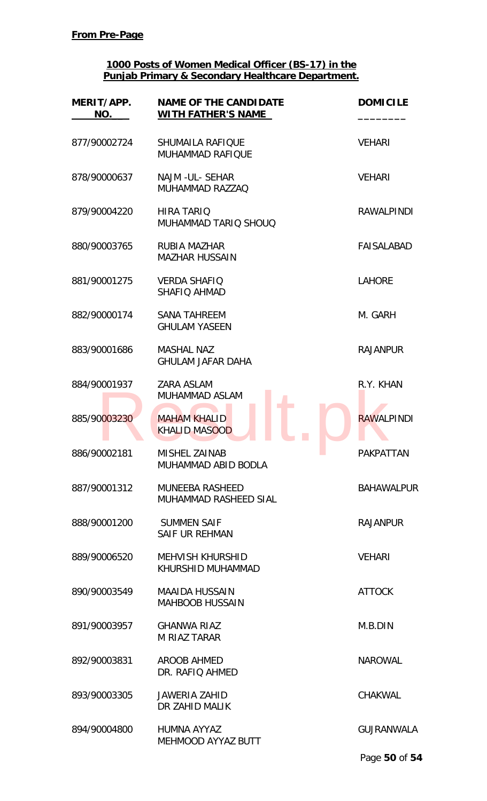| MERIT/APP.<br>NO. | <b>NAME OF THE CANDIDATE</b><br><b>WITH FATHER'S NAME</b> | <b>DOMICILE</b>   |
|-------------------|-----------------------------------------------------------|-------------------|
| 877/90002724      | SHUMAILA RAFIQUE<br><b>MUHAMMAD RAFIOUE</b>               | <b>VEHARI</b>     |
| 878/90000637      | NAJM - UL - SEHAR<br>MUHAMMAD RAZZAQ                      | <b>VEHARI</b>     |
| 879/90004220      | <b>HIRA TARIQ</b><br>MUHAMMAD TARIQ SHOUQ                 | <b>RAWALPINDI</b> |
| 880/90003765      | RUBIA MAZHAR<br><b>MAZHAR HUSSAIN</b>                     | FAISALABAD        |
| 881/90001275      | <b>VERDA SHAFIO</b><br>SHAFIQ AHMAD                       | <b>LAHORE</b>     |
| 882/90000174      | <b>SANA TAHREEM</b><br><b>GHULAM YASEEN</b>               | M. GARH           |
| 883/90001686      | <b>MASHAL NAZ</b><br><b>GHULAM JAFAR DAHA</b>             | <b>RAJANPUR</b>   |
| 884/90001937      | <b>ZARA ASLAM</b><br><b>MUHAMMAD ASLAM</b>                | R.Y. KHAN         |
| 885/90003230      | <b>MAHAM KHALID</b><br><b>KHALID MASOOD</b>               | <b>RAWALPINDI</b> |
| 886/90002181      | MISHEL ZAINAB<br>MUHAMMAD ABID BODLA                      | <b>PAKPATTAN</b>  |
| 887/90001312      | <b>MUNEEBA RASHEED</b><br>MUHAMMAD RASHEED SIAL           | <b>BAHAWALPUR</b> |
| 888/90001200      | <b>SUMMEN SAIF</b><br><b>SAIF UR REHMAN</b>               | <b>RAJANPUR</b>   |
| 889/90006520      | <b>MEHVISH KHURSHID</b><br>KHURSHID MUHAMMAD              | <b>VEHARI</b>     |
| 890/90003549      | <b>MAAIDA HUSSAIN</b><br><b>MAHBOOB HUSSAIN</b>           | <b>ATTOCK</b>     |
| 891/90003957      | <b>GHANWA RIAZ</b><br><b>M RIAZ TARAR</b>                 | M.B.DIN           |
| 892/90003831      | AROOB AHMED<br>DR. RAFIQ AHMED                            | <b>NAROWAL</b>    |
| 893/90003305      | <b>JAWERIA ZAHID</b><br>DR ZAHID MALIK                    | <b>CHAKWAL</b>    |
| 894/90004800      | HUMNA AYYAZ<br>MEHMOOD AYYAZ BUTT                         | <b>GUJRANWALA</b> |
|                   |                                                           | Page 50 of 54     |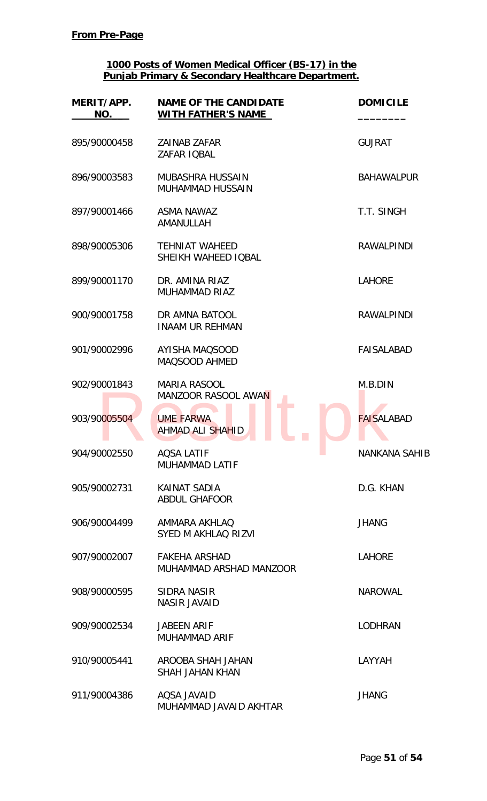| MERIT/APP.<br>NO. | <b>NAME OF THE CANDIDATE</b><br><b>WITH FATHER'S NAME</b> | <b>DOMICILE</b>      |
|-------------------|-----------------------------------------------------------|----------------------|
| 895/90000458      | <b>ZAINAB ZAFAR</b><br>ZAFAR IQBAL                        | <b>GUJRAT</b>        |
| 896/90003583      | MUBASHRA HUSSAIN<br>MUHAMMAD HUSSAIN                      | <b>BAHAWALPUR</b>    |
| 897/90001466      | <b>ASMA NAWAZ</b><br>AMANULLAH                            | T.T. SINGH           |
| 898/90005306      | <b>TEHNIAT WAHEED</b><br>SHEIKH WAHEED IQBAL              | <b>RAWALPINDI</b>    |
| 899/90001170      | DR. AMINA RIAZ<br><b>MUHAMMAD RIAZ</b>                    | <b>LAHORE</b>        |
| 900/90001758      | DR AMNA BATOOL<br><b>INAAM UR REHMAN</b>                  | <b>RAWALPINDI</b>    |
| 901/90002996      | <b>AYISHA MAQSOOD</b><br>MAQSOOD AHMED                    | <b>FAISALABAD</b>    |
| 902/90001843      | <b>MARIA RASOOL</b><br>MANZOOR RASOOL AWAN                | M.B.DIN              |
| 903/90005504      | <b>UME FARWA</b><br><b>AHMAD ALI SHAHID</b>               | <b>FAISALABAD</b>    |
| 904/90002550      | <b>AQSA LATIF</b><br><b>MUHAMMAD LATIF</b>                | <b>NANKANA SAHIB</b> |
| 905/90002731      | KAINAT SADIA<br><b>ABDUL GHAFOOR</b>                      | D.G. KHAN            |
| 906/90004499      | AMMARA AKHLAQ<br>SYED M AKHLAQ RIZVI                      | <b>JHANG</b>         |
| 907/90002007      | <b>FAKEHA ARSHAD</b><br>MUHAMMAD ARSHAD MANZOOR           | <b>LAHORE</b>        |
| 908/90000595      | SIDRA NASIR<br><b>NASIR JAVAID</b>                        | <b>NAROWAL</b>       |
| 909/90002534      | <b>JABEEN ARIF</b><br><b>MUHAMMAD ARIF</b>                | <b>LODHRAN</b>       |
| 910/90005441      | AROOBA SHAH JAHAN<br><b>SHAH JAHAN KHAN</b>               | LAYYAH               |
| 911/90004386      | AQSA JAVAID<br>MUHAMMAD JAVAID AKHTAR                     | <b>JHANG</b>         |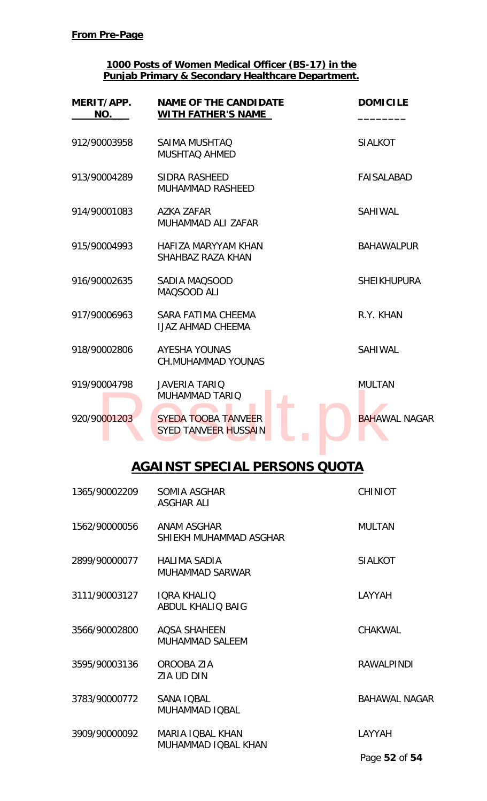| MERIT/APP.<br>NO. | <b>NAME OF THE CANDIDATE</b><br><b>WITH FATHER'S NAME</b> | <b>DOMICILE</b>      |
|-------------------|-----------------------------------------------------------|----------------------|
| 912/90003958      | <b>SAIMA MUSHTAQ</b><br><b>MUSHTAQ AHMED</b>              | <b>SIALKOT</b>       |
| 913/90004289      | <b>SIDRA RASHEED</b><br><b>MUHAMMAD RASHEED</b>           | <b>FAISALABAD</b>    |
| 914/90001083      | <b>AZKA ZAFAR</b><br>MUHAMMAD ALI ZAFAR                   | <b>SAHIWAL</b>       |
| 915/90004993      | HAFIZA MARYYAM KHAN<br>SHAHBAZ RAZA KHAN                  | <b>BAHAWALPUR</b>    |
| 916/90002635      | SADIA MAQSOOD<br>MAQSOOD ALI                              | <b>SHEIKHUPURA</b>   |
| 917/90006963      | SARA FATIMA CHEEMA<br><b>IJAZ AHMAD CHEEMA</b>            | R.Y. KHAN            |
| 918/90002806      | <b>AYESHA YOUNAS</b><br><b>CH.MUHAMMAD YOUNAS</b>         | <b>SAHIWAL</b>       |
| 919/90004798      | <b>JAVERIA TARIQ</b><br><b>MUHAMMAD TARIQ</b>             | <b>MULTAN</b>        |
| 920/90001203      | <b>SYEDA TOOBA TANVEER</b><br><b>SYED TANVEER HUSSAIN</b> | <b>BAHAWAL NAGAR</b> |

# **AGAINST SPECIAL PERSONS QUOTA**

| 1365/90002209 | SOMIA ASGHAR<br><b>ASGHAR ALI</b>              | <b>CHINIOT</b>       |
|---------------|------------------------------------------------|----------------------|
| 1562/90000056 | ANAM ASGHAR<br>SHIEKH MUHAMMAD ASGHAR          | <b>MULTAN</b>        |
| 2899/90000077 | <b>HALIMA SADIA</b><br>MUHAMMAD SARWAR         | <b>SIALKOT</b>       |
| 3111/90003127 | <b>IQRA KHALIQ</b><br><b>ABDUL KHALIQ BAIG</b> | LAYYAH               |
| 3566/90002800 | <b>AQSA SHAHEEN</b><br><b>MUHAMMAD SALEEM</b>  | CHAKWAL              |
| 3595/90003136 | OROOBA ZIA<br>ZIA UD DIN                       | <b>RAWALPINDI</b>    |
| 3783/90000772 | SANA IQBAL<br>MUHAMMAD IQBAL                   | <b>BAHAWAL NAGAR</b> |
| 3909/90000092 | <b>MARIA IQBAL KHAN</b><br>MUHAMMAD IQBAL KHAN | LAYYAH               |
|               |                                                | Page 52 of 54        |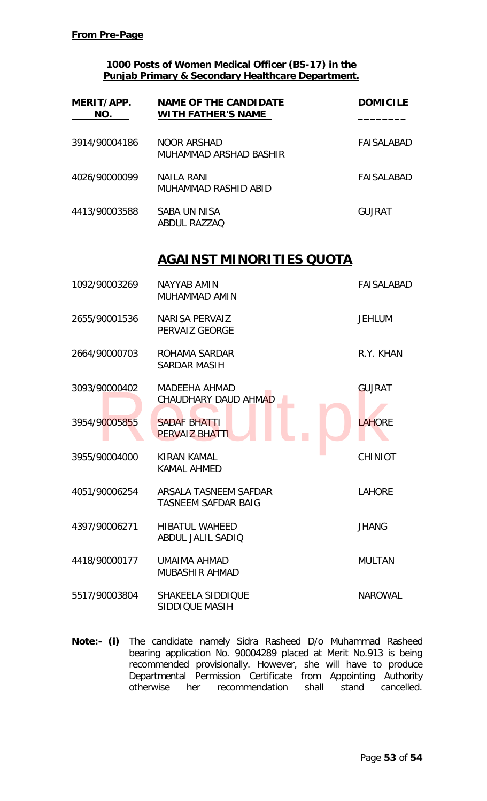| MERIT/APP.<br>NO. | <b>NAME OF THE CANDIDATE</b><br><b>WITH FATHER'S NAME</b> | <b>DOMICILE</b>   |
|-------------------|-----------------------------------------------------------|-------------------|
| 3914/90004186     | <b>NOOR ARSHAD</b><br>MUHAMMAD ARSHAD BASHIR              | <b>FAISALABAD</b> |
| 4026/90000099     | <b>NAILA RANI</b><br>MUHAMMAD RASHID ABID                 | <b>FAISALABAD</b> |
| 4413/90003588     | <b>SABA UN NISA</b><br><b>ABDUL RAZZAO</b>                | <b>GUJRAT</b>     |
|                   | AGAINST MINORITIES QUOTA                                  |                   |
| 1092/90003269     | NAYYAB AMIN<br>MUHAMMAD AMIN                              | <b>FAISALABAD</b> |
| 2655/90001536     | <b>NARISA PERVAIZ</b><br>PERVAIZ GEORGE                   | <b>JEHLUM</b>     |
| 2664/90000703     | ROHAMA SARDAR<br><b>SARDAR MASIH</b>                      | R.Y. KHAN         |
| 3093/90000402     | <b>MADEEHA AHMAD</b><br>CHAUDHARY DAUD AHMAD              | <b>GUJRAT</b>     |
| 3954/90005855     | <b>SADAF BHATTI</b><br><b>PERVAIZ BHATTI</b>              | <b>LAHORE</b>     |
| 3955/90004000     | a a<br><b>KIRAN KAMAL</b><br><b>KAMAL AHMED</b>           | <b>CHINIOT</b>    |
| 4051/90006254     | ARSALA TASNEEM SAFDAR<br><b>TASNEEM SAFDAR BAIG</b>       | <b>LAHORE</b>     |
| 4397/90006271     | <b>HIBATUL WAHEED</b><br>ABDUL JALIL SADIO                | <b>JHANG</b>      |
| 4418/90000177     | UMAIMA AHMAD<br><b>MUBASHIR AHMAD</b>                     | <b>MULTAN</b>     |
| 5517/90003804     | SHAKEELA SIDDIQUE<br>SIDDIQUE MASIH                       | <b>NAROWAL</b>    |

**Note:- (i)** The candidate namely Sidra Rasheed D/o Muhammad Rasheed bearing application No. 90004289 placed at Merit No.913 is being recommended provisionally. However, she will have to produce Departmental Permission Certificate from Appointing Authority otherwise her recommendation shall stand cancelled.